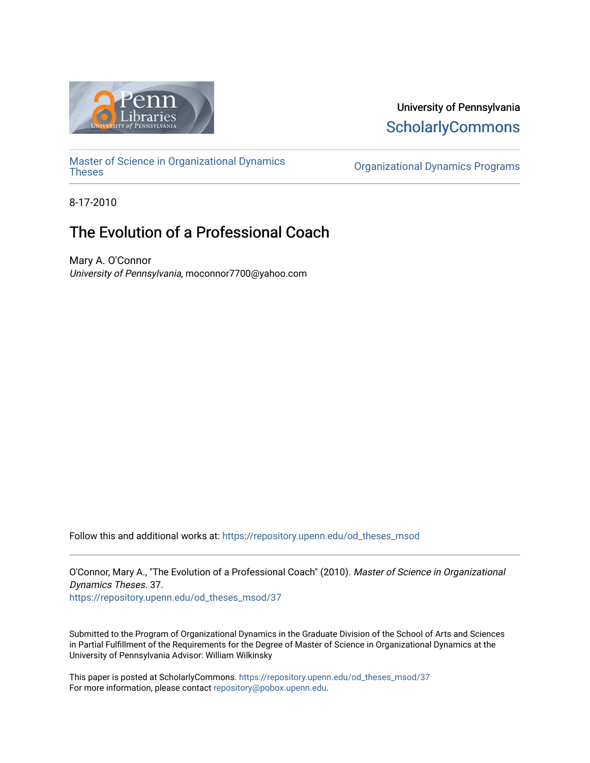

# University of Pennsylvania **ScholarlyCommons**

[Master of Science in Organizational Dynamics](https://repository.upenn.edu/od_theses_msod)

**Organizational Dynamics Programs** 

8-17-2010

# The Evolution of a Professional Coach

Mary A. O'Connor University of Pennsylvania, moconnor7700@yahoo.com

Follow this and additional works at: [https://repository.upenn.edu/od\\_theses\\_msod](https://repository.upenn.edu/od_theses_msod?utm_source=repository.upenn.edu%2Fod_theses_msod%2F37&utm_medium=PDF&utm_campaign=PDFCoverPages) 

O'Connor, Mary A., "The Evolution of a Professional Coach" (2010). Master of Science in Organizational Dynamics Theses. 37. [https://repository.upenn.edu/od\\_theses\\_msod/37](https://repository.upenn.edu/od_theses_msod/37?utm_source=repository.upenn.edu%2Fod_theses_msod%2F37&utm_medium=PDF&utm_campaign=PDFCoverPages)

Submitted to the Program of Organizational Dynamics in the Graduate Division of the School of Arts and Sciences in Partial Fulfillment of the Requirements for the Degree of Master of Science in Organizational Dynamics at the University of Pennsylvania Advisor: William Wilkinsky

This paper is posted at ScholarlyCommons. [https://repository.upenn.edu/od\\_theses\\_msod/37](https://repository.upenn.edu/od_theses_msod/37)  For more information, please contact [repository@pobox.upenn.edu.](mailto:repository@pobox.upenn.edu)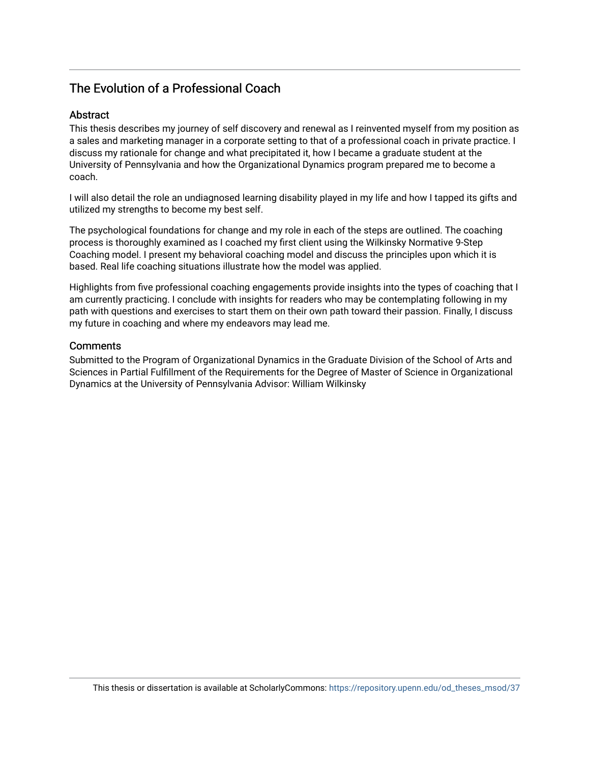# The Evolution of a Professional Coach

## Abstract

This thesis describes my journey of self discovery and renewal as I reinvented myself from my position as a sales and marketing manager in a corporate setting to that of a professional coach in private practice. I discuss my rationale for change and what precipitated it, how I became a graduate student at the University of Pennsylvania and how the Organizational Dynamics program prepared me to become a coach.

I will also detail the role an undiagnosed learning disability played in my life and how I tapped its gifts and utilized my strengths to become my best self.

The psychological foundations for change and my role in each of the steps are outlined. The coaching process is thoroughly examined as I coached my first client using the Wilkinsky Normative 9-Step Coaching model. I present my behavioral coaching model and discuss the principles upon which it is based. Real life coaching situations illustrate how the model was applied.

Highlights from five professional coaching engagements provide insights into the types of coaching that I am currently practicing. I conclude with insights for readers who may be contemplating following in my path with questions and exercises to start them on their own path toward their passion. Finally, I discuss my future in coaching and where my endeavors may lead me.

### **Comments**

Submitted to the Program of Organizational Dynamics in the Graduate Division of the School of Arts and Sciences in Partial Fulfillment of the Requirements for the Degree of Master of Science in Organizational Dynamics at the University of Pennsylvania Advisor: William Wilkinsky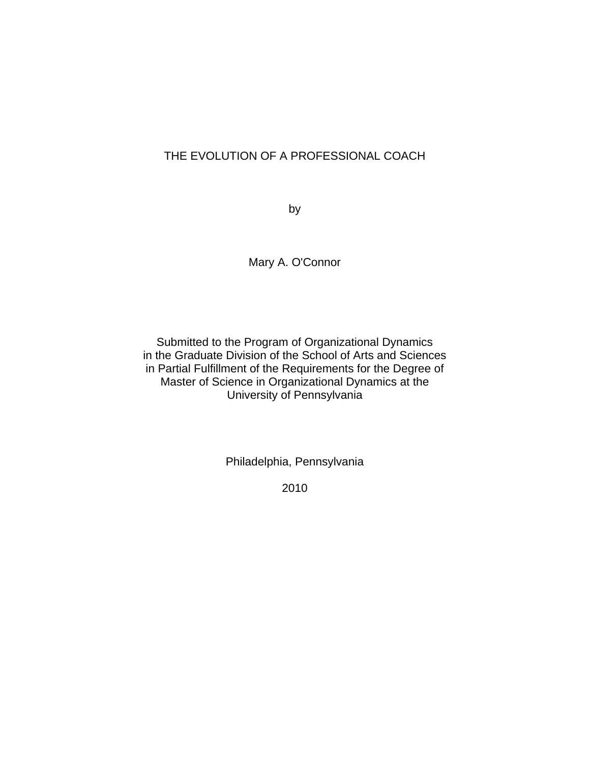# THE EVOLUTION OF A PROFESSIONAL COACH

by

Mary A. O'Connor

Submitted to the Program of Organizational Dynamics in the Graduate Division of the School of Arts and Sciences in Partial Fulfillment of the Requirements for the Degree of Master of Science in Organizational Dynamics at the University of Pennsylvania

Philadelphia, Pennsylvania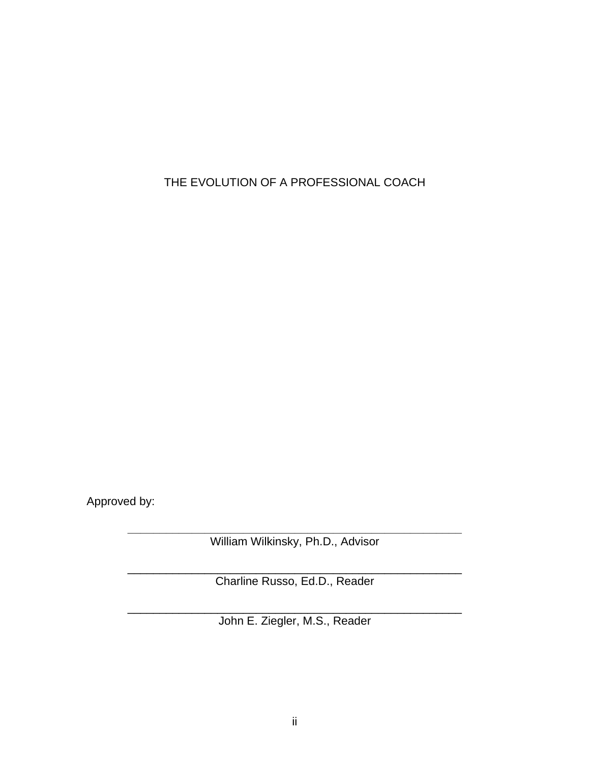THE EVOLUTION OF A PROFESSIONAL COACH

Approved by:

**\_\_\_\_\_\_\_\_\_\_\_\_\_\_\_\_\_\_\_\_\_\_\_\_\_\_\_\_\_\_\_\_\_\_\_\_\_\_\_\_\_\_\_\_\_\_\_\_\_\_\_\_**  William Wilkinsky, Ph.D., Advisor

\_\_\_\_\_\_\_\_\_\_\_\_\_\_\_\_\_\_\_\_\_\_\_\_\_\_\_\_\_\_\_\_\_\_\_\_\_\_\_\_\_\_\_\_\_\_\_\_\_\_\_\_ Charline Russo, Ed.D., Reader

\_\_\_\_\_\_\_\_\_\_\_\_\_\_\_\_\_\_\_\_\_\_\_\_\_\_\_\_\_\_\_\_\_\_\_\_\_\_\_\_\_\_\_\_\_\_\_\_\_\_\_\_ John E. Ziegler, M.S., Reader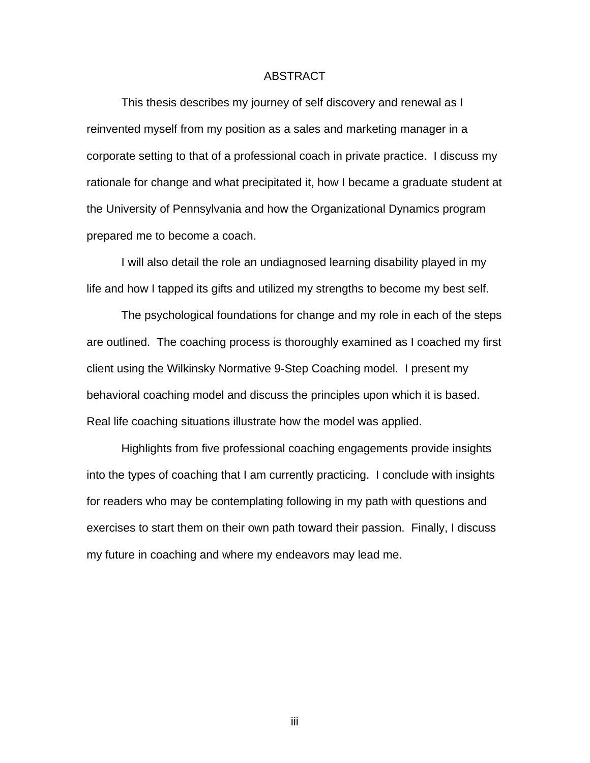## ABSTRACT

 This thesis describes my journey of self discovery and renewal as I reinvented myself from my position as a sales and marketing manager in a corporate setting to that of a professional coach in private practice. I discuss my rationale for change and what precipitated it, how I became a graduate student at the University of Pennsylvania and how the Organizational Dynamics program prepared me to become a coach.

 I will also detail the role an undiagnosed learning disability played in my life and how I tapped its gifts and utilized my strengths to become my best self.

 The psychological foundations for change and my role in each of the steps are outlined. The coaching process is thoroughly examined as I coached my first client using the Wilkinsky Normative 9-Step Coaching model. I present my behavioral coaching model and discuss the principles upon which it is based. Real life coaching situations illustrate how the model was applied.

 Highlights from five professional coaching engagements provide insights into the types of coaching that I am currently practicing. I conclude with insights for readers who may be contemplating following in my path with questions and exercises to start them on their own path toward their passion. Finally, I discuss my future in coaching and where my endeavors may lead me.

iii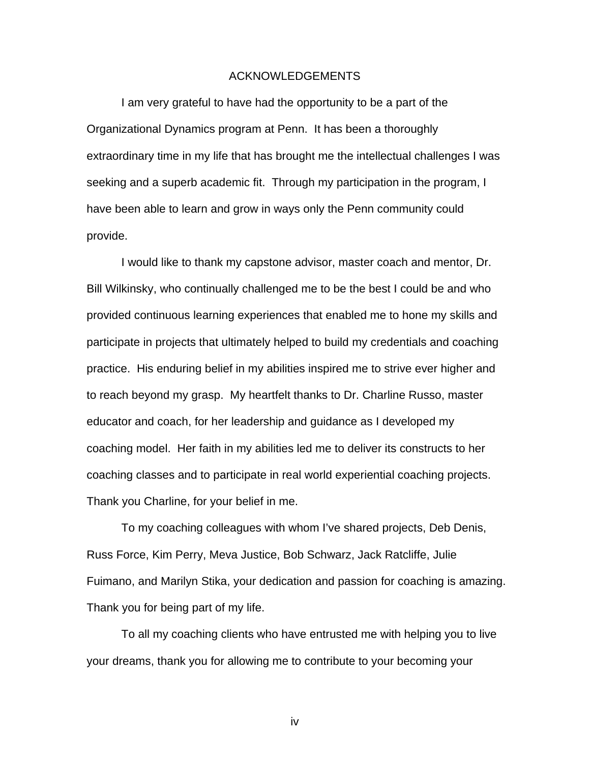#### ACKNOWLEDGEMENTS

I am very grateful to have had the opportunity to be a part of the Organizational Dynamics program at Penn. It has been a thoroughly extraordinary time in my life that has brought me the intellectual challenges I was seeking and a superb academic fit. Through my participation in the program, I have been able to learn and grow in ways only the Penn community could provide.

 I would like to thank my capstone advisor, master coach and mentor, Dr. Bill Wilkinsky, who continually challenged me to be the best I could be and who provided continuous learning experiences that enabled me to hone my skills and participate in projects that ultimately helped to build my credentials and coaching practice. His enduring belief in my abilities inspired me to strive ever higher and to reach beyond my grasp. My heartfelt thanks to Dr. Charline Russo, master educator and coach, for her leadership and guidance as I developed my coaching model. Her faith in my abilities led me to deliver its constructs to her coaching classes and to participate in real world experiential coaching projects. Thank you Charline, for your belief in me.

 To my coaching colleagues with whom I've shared projects, Deb Denis, Russ Force, Kim Perry, Meva Justice, Bob Schwarz, Jack Ratcliffe, Julie Fuimano, and Marilyn Stika, your dedication and passion for coaching is amazing. Thank you for being part of my life.

 To all my coaching clients who have entrusted me with helping you to live your dreams, thank you for allowing me to contribute to your becoming your

iv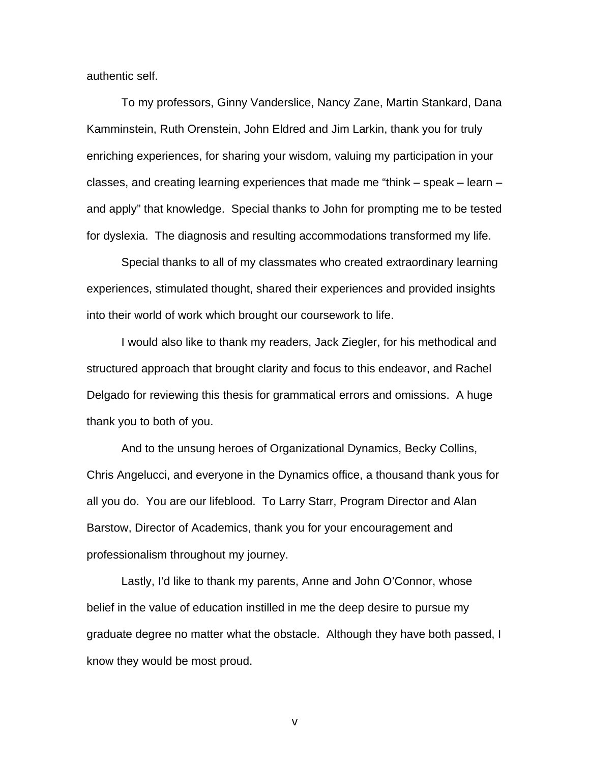authentic self.

To my professors, Ginny Vanderslice, Nancy Zane, Martin Stankard, Dana Kamminstein, Ruth Orenstein, John Eldred and Jim Larkin, thank you for truly enriching experiences, for sharing your wisdom, valuing my participation in your classes, and creating learning experiences that made me "think – speak – learn – and apply" that knowledge. Special thanks to John for prompting me to be tested for dyslexia. The diagnosis and resulting accommodations transformed my life.

 Special thanks to all of my classmates who created extraordinary learning experiences, stimulated thought, shared their experiences and provided insights into their world of work which brought our coursework to life.

 I would also like to thank my readers, Jack Ziegler, for his methodical and structured approach that brought clarity and focus to this endeavor, and Rachel Delgado for reviewing this thesis for grammatical errors and omissions. A huge thank you to both of you.

 And to the unsung heroes of Organizational Dynamics, Becky Collins, Chris Angelucci, and everyone in the Dynamics office, a thousand thank yous for all you do. You are our lifeblood. To Larry Starr, Program Director and Alan Barstow, Director of Academics, thank you for your encouragement and professionalism throughout my journey.

 Lastly, I'd like to thank my parents, Anne and John O'Connor, whose belief in the value of education instilled in me the deep desire to pursue my graduate degree no matter what the obstacle. Although they have both passed, I know they would be most proud.

v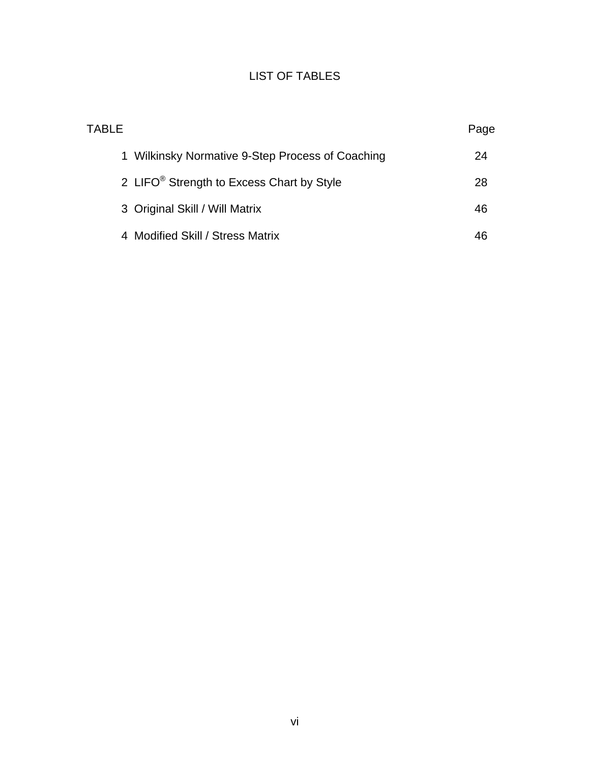# LIST OF TABLES

| TABLE                                                 | Page |
|-------------------------------------------------------|------|
| 1 Wilkinsky Normative 9-Step Process of Coaching      | 24   |
| 2 LIFO <sup>®</sup> Strength to Excess Chart by Style | 28   |
| 3 Original Skill / Will Matrix                        | 46   |
| 4 Modified Skill / Stress Matrix                      | 46   |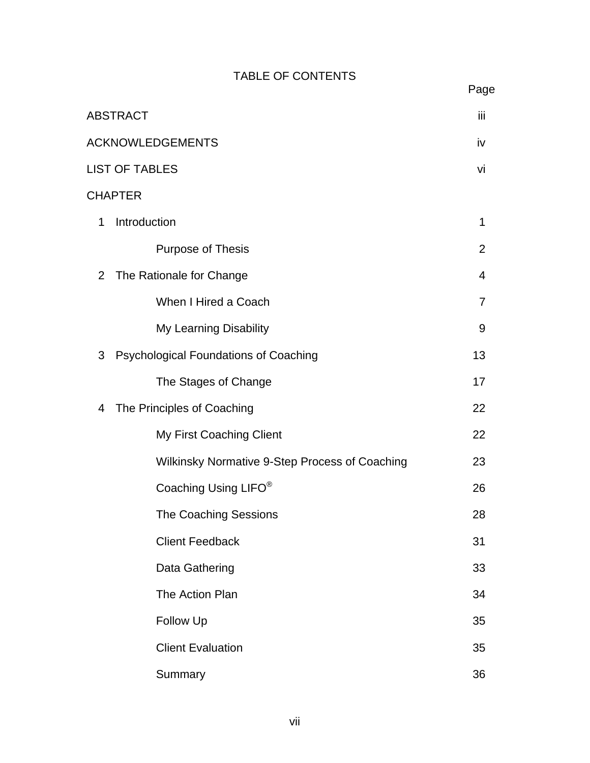# TABLE OF CONTENTS

|                         | <b>ABSTRACT</b>                                | iii            |
|-------------------------|------------------------------------------------|----------------|
| <b>ACKNOWLEDGEMENTS</b> |                                                |                |
|                         | <b>LIST OF TABLES</b>                          | vi             |
|                         | <b>CHAPTER</b>                                 |                |
| 1                       | Introduction                                   | 1              |
|                         | Purpose of Thesis                              | 2              |
| 2                       | The Rationale for Change                       | $\overline{4}$ |
|                         | When I Hired a Coach                           | $\overline{7}$ |
|                         | <b>My Learning Disability</b>                  | 9              |
| 3                       | <b>Psychological Foundations of Coaching</b>   | 13             |
|                         | The Stages of Change                           | 17             |
| 4                       | The Principles of Coaching                     | 22             |
|                         | My First Coaching Client                       | 22             |
|                         | Wilkinsky Normative 9-Step Process of Coaching | 23             |
|                         | Coaching Using LIFO <sup>®</sup>               | 26             |
|                         | <b>The Coaching Sessions</b>                   | 28             |
|                         | <b>Client Feedback</b>                         | 31             |
|                         | Data Gathering                                 | 33             |
|                         | The Action Plan                                | 34             |
|                         | Follow Up                                      | 35             |
|                         | <b>Client Evaluation</b>                       | 35             |
|                         | Summary                                        | 36             |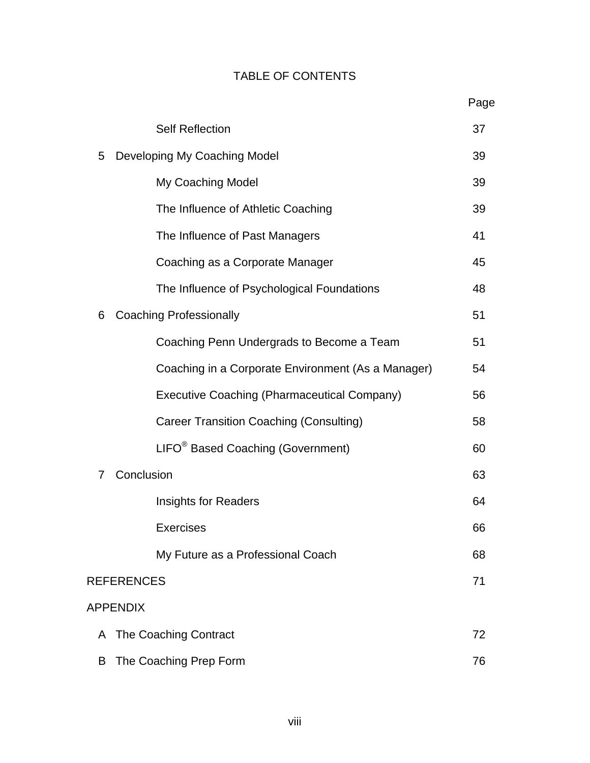# TABLE OF CONTENTS

|                   |                                                    | Page |
|-------------------|----------------------------------------------------|------|
|                   | <b>Self Reflection</b>                             | 37   |
| 5                 | Developing My Coaching Model                       | 39   |
|                   | My Coaching Model                                  | 39   |
|                   | The Influence of Athletic Coaching                 | 39   |
|                   | The Influence of Past Managers                     | 41   |
|                   | Coaching as a Corporate Manager                    | 45   |
|                   | The Influence of Psychological Foundations         | 48   |
| 6                 | <b>Coaching Professionally</b>                     | 51   |
|                   | Coaching Penn Undergrads to Become a Team          | 51   |
|                   | Coaching in a Corporate Environment (As a Manager) | 54   |
|                   | <b>Executive Coaching (Pharmaceutical Company)</b> | 56   |
|                   | <b>Career Transition Coaching (Consulting)</b>     | 58   |
|                   | LIFO <sup>®</sup> Based Coaching (Government)      | 60   |
| 7                 | Conclusion                                         | 63   |
|                   | <b>Insights for Readers</b>                        | 64   |
|                   | <b>Exercises</b>                                   | 66   |
|                   | My Future as a Professional Coach                  | 68   |
| <b>REFERENCES</b> |                                                    | 71   |
| <b>APPENDIX</b>   |                                                    |      |
| A                 | The Coaching Contract                              | 72   |
| B                 | The Coaching Prep Form                             | 76   |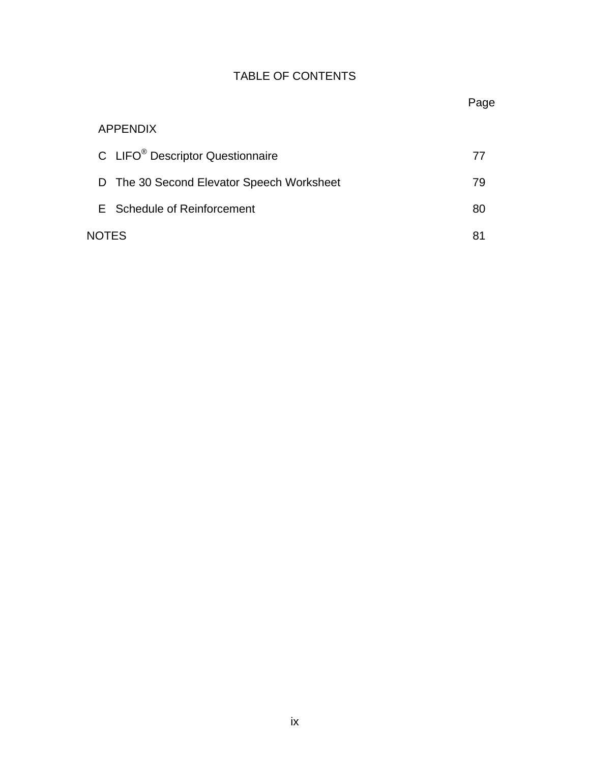# TABLE OF CONTENTS

# APPENDIX C LIFO<sup>®</sup> Descriptor Questionnaire 77 D The 30 Second Elevator Speech Worksheet 79 E Schedule of Reinforcement 80 NOTES 81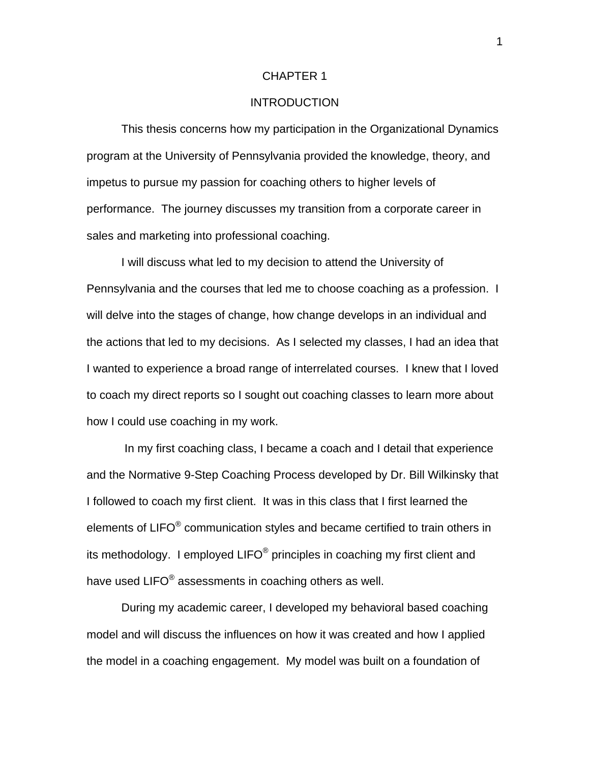#### CHAPTER 1

## **INTRODUCTION**

 This thesis concerns how my participation in the Organizational Dynamics program at the University of Pennsylvania provided the knowledge, theory, and impetus to pursue my passion for coaching others to higher levels of performance. The journey discusses my transition from a corporate career in sales and marketing into professional coaching.

 I will discuss what led to my decision to attend the University of Pennsylvania and the courses that led me to choose coaching as a profession. I will delve into the stages of change, how change develops in an individual and the actions that led to my decisions. As I selected my classes, I had an idea that I wanted to experience a broad range of interrelated courses. I knew that I loved to coach my direct reports so I sought out coaching classes to learn more about how I could use coaching in my work.

 In my first coaching class, I became a coach and I detail that experience and the Normative 9-Step Coaching Process developed by Dr. Bill Wilkinsky that I followed to coach my first client. It was in this class that I first learned the elements of LIFO® communication styles and became certified to train others in its methodology. I employed  $LIFO^{\circledast}$  principles in coaching my first client and have used LIFO<sup>®</sup> assessments in coaching others as well.

 During my academic career, I developed my behavioral based coaching model and will discuss the influences on how it was created and how I applied the model in a coaching engagement. My model was built on a foundation of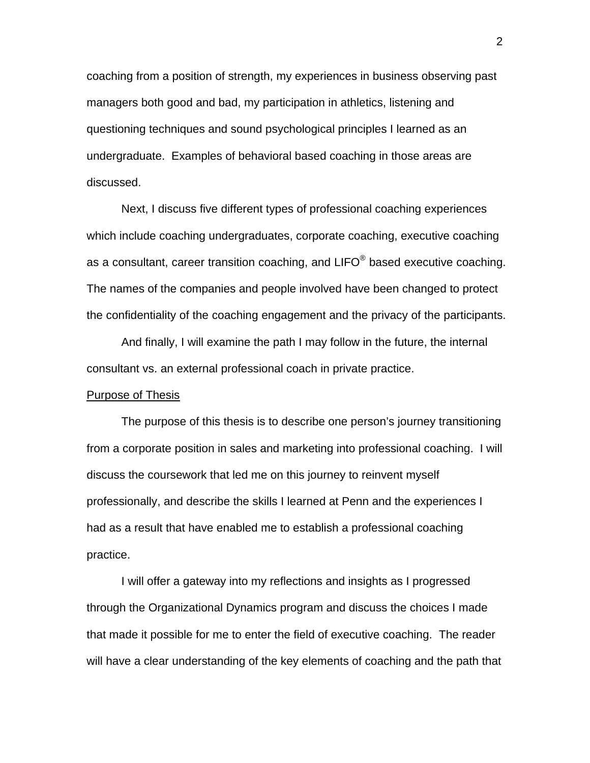coaching from a position of strength, my experiences in business observing past managers both good and bad, my participation in athletics, listening and questioning techniques and sound psychological principles I learned as an undergraduate. Examples of behavioral based coaching in those areas are discussed.

 Next, I discuss five different types of professional coaching experiences which include coaching undergraduates, corporate coaching, executive coaching as a consultant, career transition coaching, and  $LIFO^{\circledast}$  based executive coaching. The names of the companies and people involved have been changed to protect the confidentiality of the coaching engagement and the privacy of the participants.

 And finally, I will examine the path I may follow in the future, the internal consultant vs. an external professional coach in private practice.

#### Purpose of Thesis

 The purpose of this thesis is to describe one person's journey transitioning from a corporate position in sales and marketing into professional coaching. I will discuss the coursework that led me on this journey to reinvent myself professionally, and describe the skills I learned at Penn and the experiences I had as a result that have enabled me to establish a professional coaching practice.

 I will offer a gateway into my reflections and insights as I progressed through the Organizational Dynamics program and discuss the choices I made that made it possible for me to enter the field of executive coaching. The reader will have a clear understanding of the key elements of coaching and the path that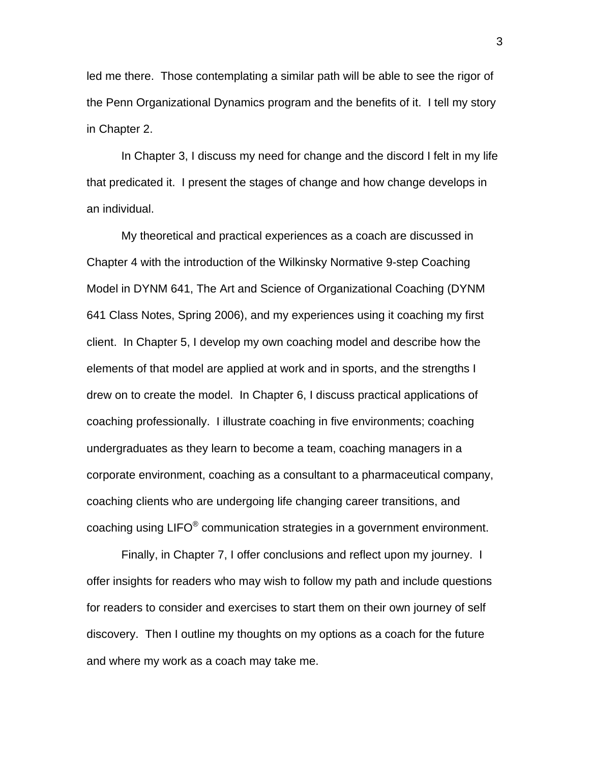led me there. Those contemplating a similar path will be able to see the rigor of the Penn Organizational Dynamics program and the benefits of it. I tell my story in Chapter 2.

In Chapter 3, I discuss my need for change and the discord I felt in my life that predicated it. I present the stages of change and how change develops in an individual.

My theoretical and practical experiences as a coach are discussed in Chapter 4 with the introduction of the Wilkinsky Normative 9-step Coaching Model in DYNM 641, The Art and Science of Organizational Coaching (DYNM 641 Class Notes, Spring 2006), and my experiences using it coaching my first client. In Chapter 5, I develop my own coaching model and describe how the elements of that model are applied at work and in sports, and the strengths I drew on to create the model. In Chapter 6, I discuss practical applications of coaching professionally. I illustrate coaching in five environments; coaching undergraduates as they learn to become a team, coaching managers in a corporate environment, coaching as a consultant to a pharmaceutical company, coaching clients who are undergoing life changing career transitions, and coaching using LIFO $^{\circ}$  communication strategies in a government environment.

 Finally, in Chapter 7, I offer conclusions and reflect upon my journey. I offer insights for readers who may wish to follow my path and include questions for readers to consider and exercises to start them on their own journey of self discovery. Then I outline my thoughts on my options as a coach for the future and where my work as a coach may take me.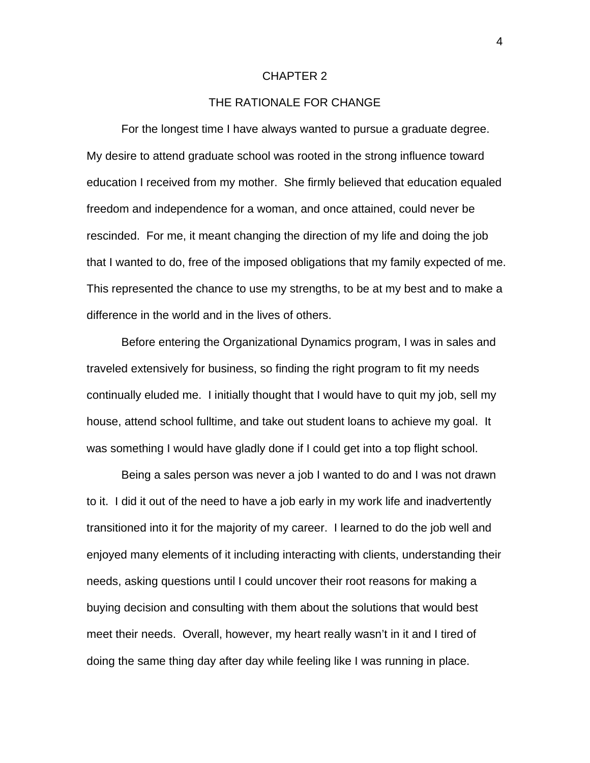#### CHAPTER 2

## THE RATIONALE FOR CHANGE

For the longest time I have always wanted to pursue a graduate degree. My desire to attend graduate school was rooted in the strong influence toward education I received from my mother. She firmly believed that education equaled freedom and independence for a woman, and once attained, could never be rescinded. For me, it meant changing the direction of my life and doing the job that I wanted to do, free of the imposed obligations that my family expected of me. This represented the chance to use my strengths, to be at my best and to make a difference in the world and in the lives of others.

Before entering the Organizational Dynamics program, I was in sales and traveled extensively for business, so finding the right program to fit my needs continually eluded me. I initially thought that I would have to quit my job, sell my house, attend school fulltime, and take out student loans to achieve my goal. It was something I would have gladly done if I could get into a top flight school.

Being a sales person was never a job I wanted to do and I was not drawn to it. I did it out of the need to have a job early in my work life and inadvertently transitioned into it for the majority of my career. I learned to do the job well and enjoyed many elements of it including interacting with clients, understanding their needs, asking questions until I could uncover their root reasons for making a buying decision and consulting with them about the solutions that would best meet their needs. Overall, however, my heart really wasn't in it and I tired of doing the same thing day after day while feeling like I was running in place.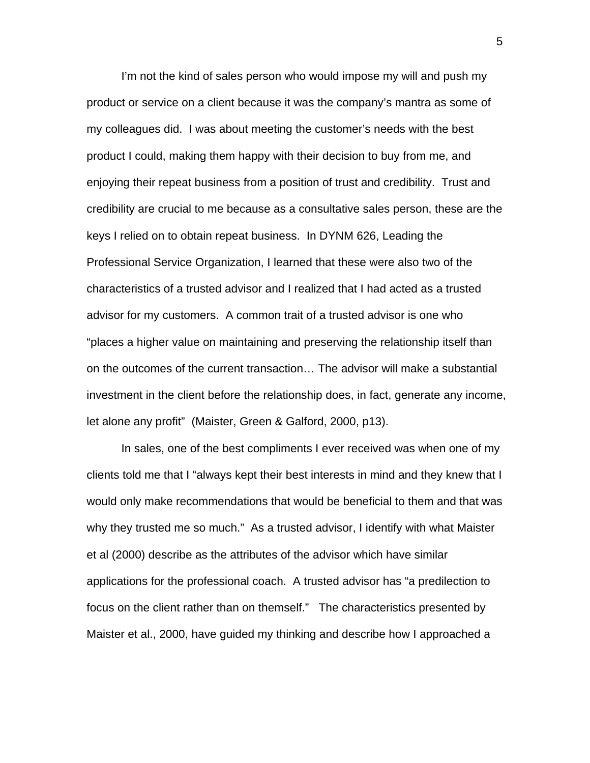I'm not the kind of sales person who would impose my will and push my product or service on a client because it was the company's mantra as some of my colleagues did. I was about meeting the customer's needs with the best product I could, making them happy with their decision to buy from me, and enjoying their repeat business from a position of trust and credibility. Trust and credibility are crucial to me because as a consultative sales person, these are the keys I relied on to obtain repeat business. In DYNM 626, Leading the Professional Service Organization, I learned that these were also two of the characteristics of a trusted advisor and I realized that I had acted as a trusted advisor for my customers. A common trait of a trusted advisor is one who "places a higher value on maintaining and preserving the relationship itself than on the outcomes of the current transaction… The advisor will make a substantial investment in the client before the relationship does, in fact, generate any income, let alone any profit" (Maister, Green & Galford, 2000, p13).

In sales, one of the best compliments I ever received was when one of my clients told me that I "always kept their best interests in mind and they knew that I would only make recommendations that would be beneficial to them and that was why they trusted me so much." As a trusted advisor, I identify with what Maister et al (2000) describe as the attributes of the advisor which have similar applications for the professional coach. A trusted advisor has "a predilection to focus on the client rather than on themself." The characteristics presented by Maister et al., 2000, have guided my thinking and describe how I approached a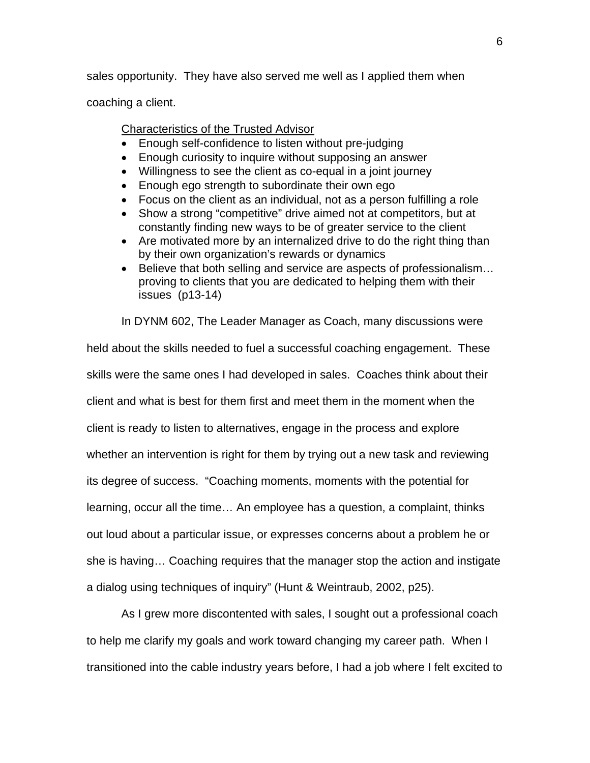sales opportunity. They have also served me well as I applied them when

coaching a client.

## Characteristics of the Trusted Advisor

- Enough self-confidence to listen without pre-judging
- Enough curiosity to inquire without supposing an answer
- Willingness to see the client as co-equal in a joint journey
- Enough ego strength to subordinate their own ego
- Focus on the client as an individual, not as a person fulfilling a role
- Show a strong "competitive" drive aimed not at competitors, but at constantly finding new ways to be of greater service to the client
- Are motivated more by an internalized drive to do the right thing than by their own organization's rewards or dynamics
- Believe that both selling and service are aspects of professionalism... proving to clients that you are dedicated to helping them with their issues (p13-14)

In DYNM 602, The Leader Manager as Coach, many discussions were

held about the skills needed to fuel a successful coaching engagement. These skills were the same ones I had developed in sales. Coaches think about their client and what is best for them first and meet them in the moment when the client is ready to listen to alternatives, engage in the process and explore whether an intervention is right for them by trying out a new task and reviewing its degree of success. "Coaching moments, moments with the potential for learning, occur all the time… An employee has a question, a complaint, thinks out loud about a particular issue, or expresses concerns about a problem he or she is having… Coaching requires that the manager stop the action and instigate a dialog using techniques of inquiry" (Hunt & Weintraub, 2002, p25).

As I grew more discontented with sales, I sought out a professional coach to help me clarify my goals and work toward changing my career path. When I transitioned into the cable industry years before, I had a job where I felt excited to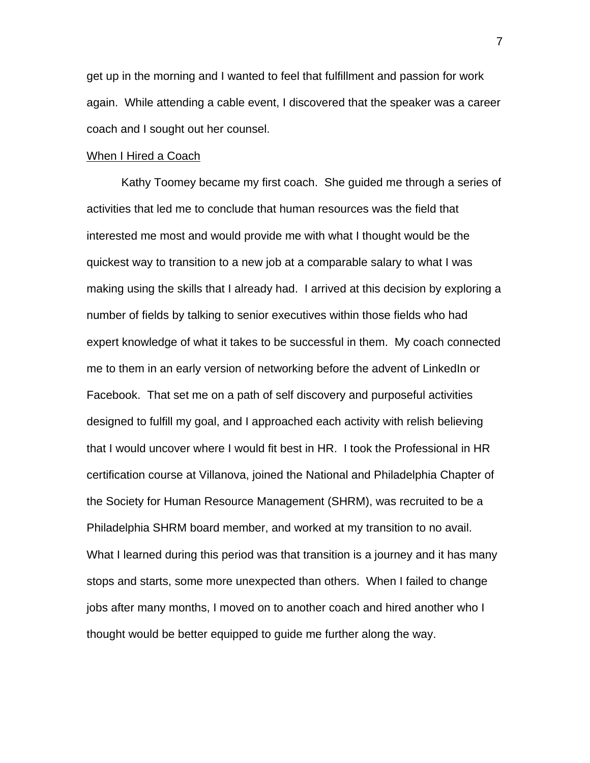get up in the morning and I wanted to feel that fulfillment and passion for work again. While attending a cable event, I discovered that the speaker was a career coach and I sought out her counsel.

#### When I Hired a Coach

Kathy Toomey became my first coach. She guided me through a series of activities that led me to conclude that human resources was the field that interested me most and would provide me with what I thought would be the quickest way to transition to a new job at a comparable salary to what I was making using the skills that I already had. I arrived at this decision by exploring a number of fields by talking to senior executives within those fields who had expert knowledge of what it takes to be successful in them. My coach connected me to them in an early version of networking before the advent of LinkedIn or Facebook. That set me on a path of self discovery and purposeful activities designed to fulfill my goal, and I approached each activity with relish believing that I would uncover where I would fit best in HR. I took the Professional in HR certification course at Villanova, joined the National and Philadelphia Chapter of the Society for Human Resource Management (SHRM), was recruited to be a Philadelphia SHRM board member, and worked at my transition to no avail. What I learned during this period was that transition is a journey and it has many stops and starts, some more unexpected than others. When I failed to change jobs after many months, I moved on to another coach and hired another who I thought would be better equipped to guide me further along the way.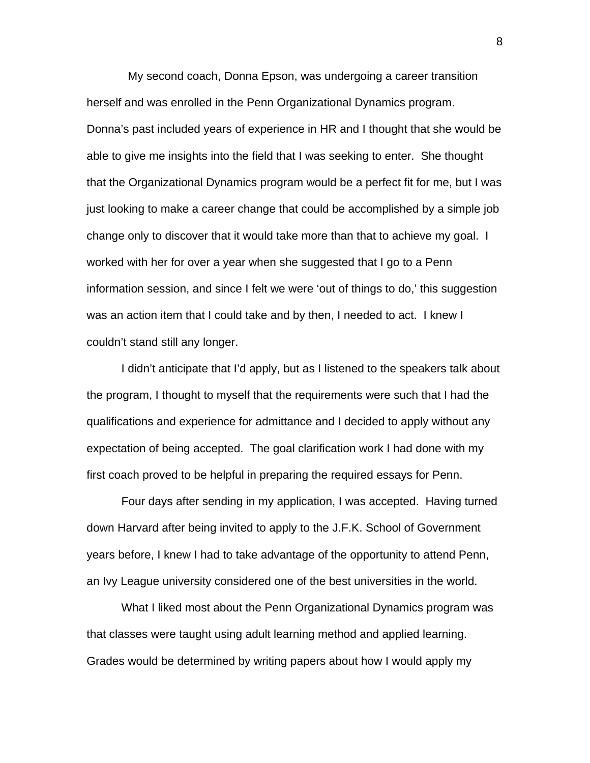My second coach, Donna Epson, was undergoing a career transition herself and was enrolled in the Penn Organizational Dynamics program. Donna's past included years of experience in HR and I thought that she would be able to give me insights into the field that I was seeking to enter. She thought that the Organizational Dynamics program would be a perfect fit for me, but I was just looking to make a career change that could be accomplished by a simple job change only to discover that it would take more than that to achieve my goal. I worked with her for over a year when she suggested that I go to a Penn information session, and since I felt we were 'out of things to do,' this suggestion was an action item that I could take and by then, I needed to act. I knew I couldn't stand still any longer.

I didn't anticipate that I'd apply, but as I listened to the speakers talk about the program, I thought to myself that the requirements were such that I had the qualifications and experience for admittance and I decided to apply without any expectation of being accepted. The goal clarification work I had done with my first coach proved to be helpful in preparing the required essays for Penn.

Four days after sending in my application, I was accepted. Having turned down Harvard after being invited to apply to the J.F.K. School of Government years before, I knew I had to take advantage of the opportunity to attend Penn, an Ivy League university considered one of the best universities in the world.

What I liked most about the Penn Organizational Dynamics program was that classes were taught using adult learning method and applied learning. Grades would be determined by writing papers about how I would apply my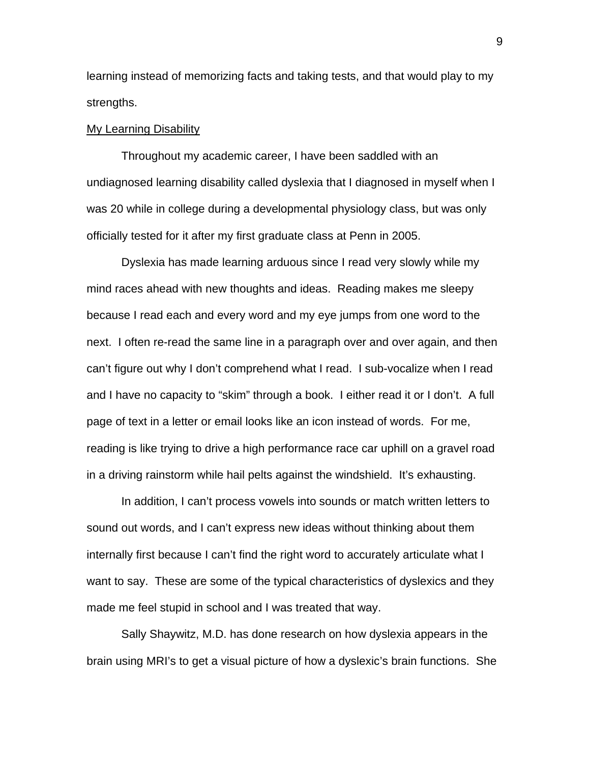learning instead of memorizing facts and taking tests, and that would play to my strengths.

#### My Learning Disability

Throughout my academic career, I have been saddled with an undiagnosed learning disability called dyslexia that I diagnosed in myself when I was 20 while in college during a developmental physiology class, but was only officially tested for it after my first graduate class at Penn in 2005.

Dyslexia has made learning arduous since I read very slowly while my mind races ahead with new thoughts and ideas. Reading makes me sleepy because I read each and every word and my eye jumps from one word to the next. I often re-read the same line in a paragraph over and over again, and then can't figure out why I don't comprehend what I read. I sub-vocalize when I read and I have no capacity to "skim" through a book. I either read it or I don't. A full page of text in a letter or email looks like an icon instead of words. For me, reading is like trying to drive a high performance race car uphill on a gravel road in a driving rainstorm while hail pelts against the windshield. It's exhausting.

In addition, I can't process vowels into sounds or match written letters to sound out words, and I can't express new ideas without thinking about them internally first because I can't find the right word to accurately articulate what I want to say. These are some of the typical characteristics of dyslexics and they made me feel stupid in school and I was treated that way.

Sally Shaywitz, M.D. has done research on how dyslexia appears in the brain using MRI's to get a visual picture of how a dyslexic's brain functions. She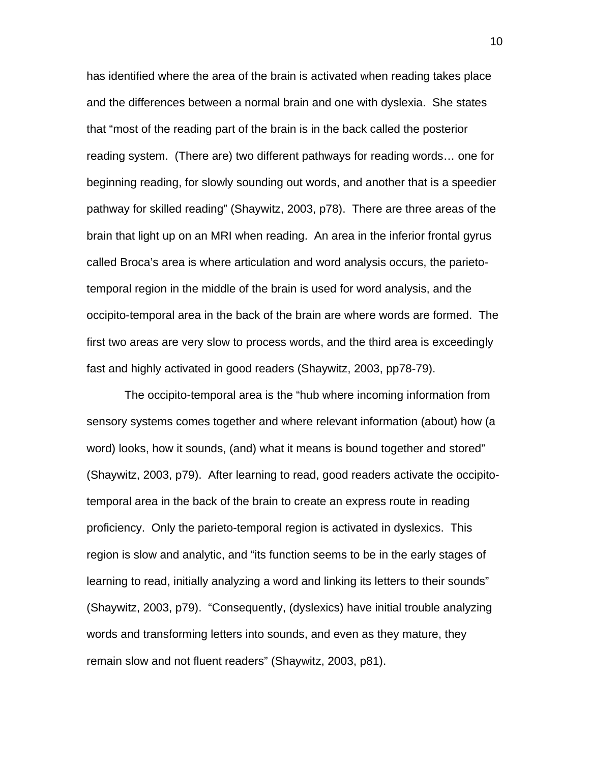has identified where the area of the brain is activated when reading takes place and the differences between a normal brain and one with dyslexia. She states that "most of the reading part of the brain is in the back called the posterior reading system. (There are) two different pathways for reading words… one for beginning reading, for slowly sounding out words, and another that is a speedier pathway for skilled reading" (Shaywitz, 2003, p78). There are three areas of the brain that light up on an MRI when reading. An area in the inferior frontal gyrus called Broca's area is where articulation and word analysis occurs, the parietotemporal region in the middle of the brain is used for word analysis, and the occipito-temporal area in the back of the brain are where words are formed. The first two areas are very slow to process words, and the third area is exceedingly fast and highly activated in good readers (Shaywitz, 2003, pp78-79).

 The occipito-temporal area is the "hub where incoming information from sensory systems comes together and where relevant information (about) how (a word) looks, how it sounds, (and) what it means is bound together and stored" (Shaywitz, 2003, p79). After learning to read, good readers activate the occipitotemporal area in the back of the brain to create an express route in reading proficiency. Only the parieto-temporal region is activated in dyslexics. This region is slow and analytic, and "its function seems to be in the early stages of learning to read, initially analyzing a word and linking its letters to their sounds" (Shaywitz, 2003, p79). "Consequently, (dyslexics) have initial trouble analyzing words and transforming letters into sounds, and even as they mature, they remain slow and not fluent readers" (Shaywitz, 2003, p81).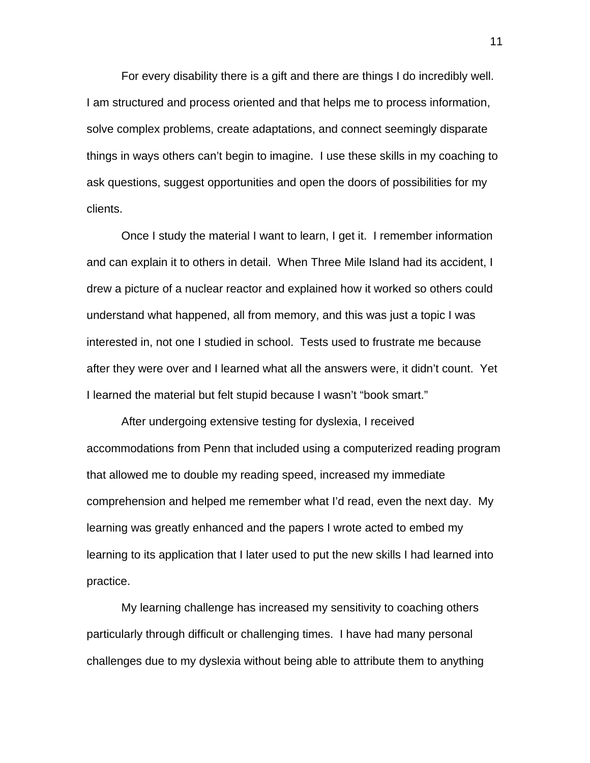For every disability there is a gift and there are things I do incredibly well. I am structured and process oriented and that helps me to process information, solve complex problems, create adaptations, and connect seemingly disparate things in ways others can't begin to imagine. I use these skills in my coaching to ask questions, suggest opportunities and open the doors of possibilities for my clients.

Once I study the material I want to learn, I get it. I remember information and can explain it to others in detail. When Three Mile Island had its accident, I drew a picture of a nuclear reactor and explained how it worked so others could understand what happened, all from memory, and this was just a topic I was interested in, not one I studied in school. Tests used to frustrate me because after they were over and I learned what all the answers were, it didn't count. Yet I learned the material but felt stupid because I wasn't "book smart."

After undergoing extensive testing for dyslexia, I received accommodations from Penn that included using a computerized reading program that allowed me to double my reading speed, increased my immediate comprehension and helped me remember what I'd read, even the next day. My learning was greatly enhanced and the papers I wrote acted to embed my learning to its application that I later used to put the new skills I had learned into practice.

My learning challenge has increased my sensitivity to coaching others particularly through difficult or challenging times. I have had many personal challenges due to my dyslexia without being able to attribute them to anything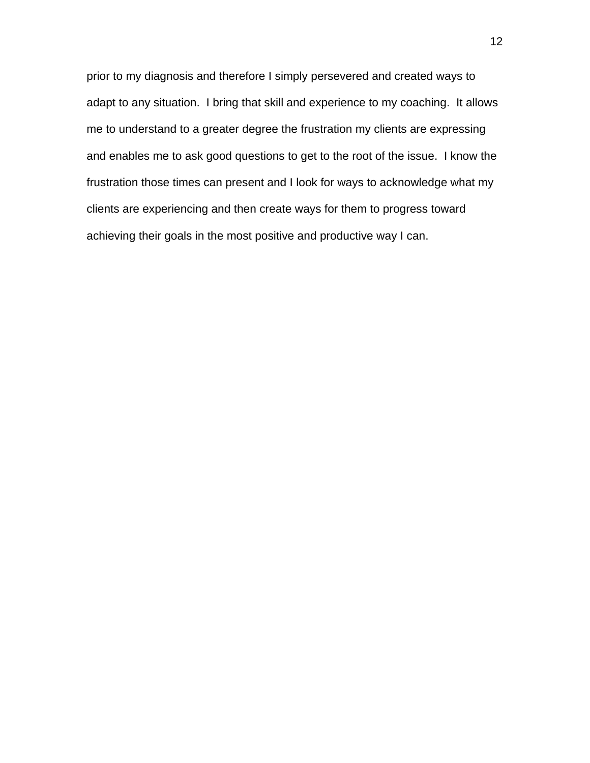prior to my diagnosis and therefore I simply persevered and created ways to adapt to any situation. I bring that skill and experience to my coaching. It allows me to understand to a greater degree the frustration my clients are expressing and enables me to ask good questions to get to the root of the issue. I know the frustration those times can present and I look for ways to acknowledge what my clients are experiencing and then create ways for them to progress toward achieving their goals in the most positive and productive way I can.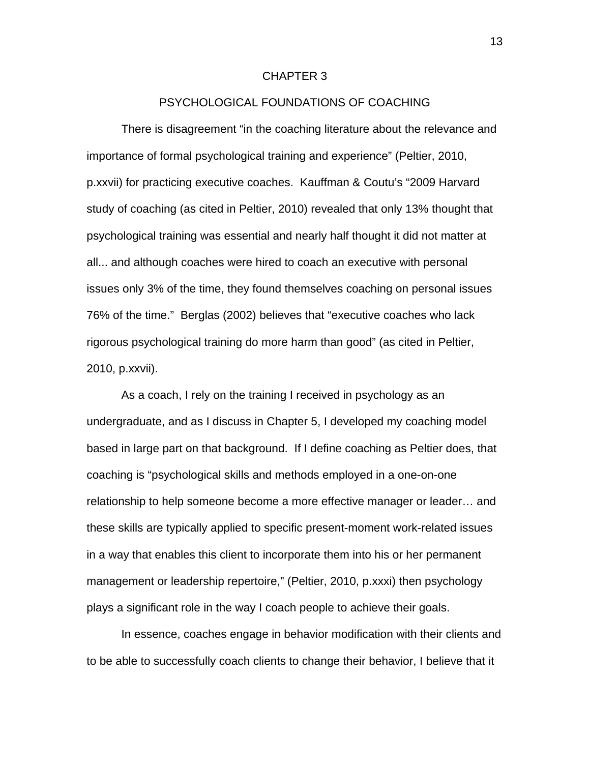#### CHAPTER 3

## PSYCHOLOGICAL FOUNDATIONS OF COACHING

 There is disagreement "in the coaching literature about the relevance and importance of formal psychological training and experience" (Peltier, 2010, p.xxvii) for practicing executive coaches. Kauffman & Coutu's "2009 Harvard study of coaching (as cited in Peltier, 2010) revealed that only 13% thought that psychological training was essential and nearly half thought it did not matter at all... and although coaches were hired to coach an executive with personal issues only 3% of the time, they found themselves coaching on personal issues 76% of the time." Berglas (2002) believes that "executive coaches who lack rigorous psychological training do more harm than good" (as cited in Peltier, 2010, p.xxvii).

 As a coach, I rely on the training I received in psychology as an undergraduate, and as I discuss in Chapter 5, I developed my coaching model based in large part on that background. If I define coaching as Peltier does, that coaching is "psychological skills and methods employed in a one-on-one relationship to help someone become a more effective manager or leader… and these skills are typically applied to specific present-moment work-related issues in a way that enables this client to incorporate them into his or her permanent management or leadership repertoire," (Peltier, 2010, p.xxxi) then psychology plays a significant role in the way I coach people to achieve their goals.

 In essence, coaches engage in behavior modification with their clients and to be able to successfully coach clients to change their behavior, I believe that it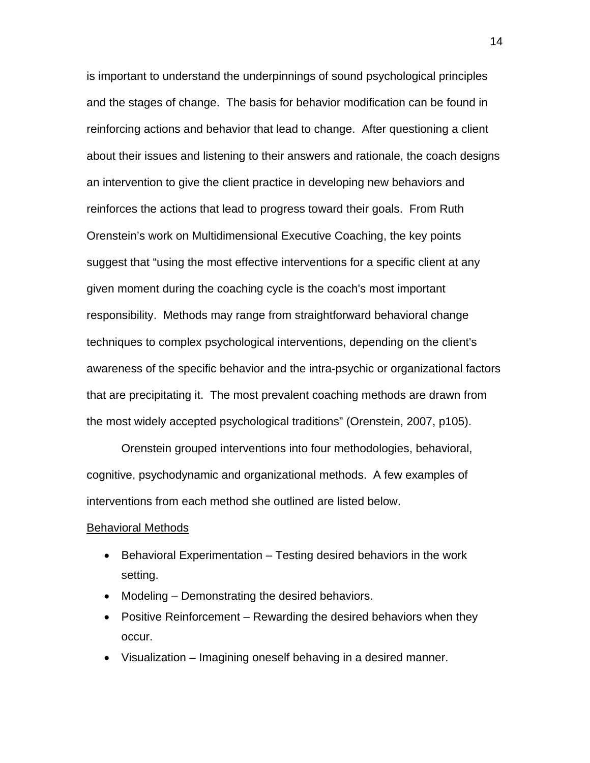is important to understand the underpinnings of sound psychological principles and the stages of change. The basis for behavior modification can be found in reinforcing actions and behavior that lead to change. After questioning a client about their issues and listening to their answers and rationale, the coach designs an intervention to give the client practice in developing new behaviors and reinforces the actions that lead to progress toward their goals. From Ruth Orenstein's work on Multidimensional Executive Coaching, the key points suggest that "using the most effective interventions for a specific client at any given moment during the coaching cycle is the coach's most important responsibility. Methods may range from straightforward behavioral change techniques to complex psychological interventions, depending on the client's awareness of the specific behavior and the intra-psychic or organizational factors that are precipitating it. The most prevalent coaching methods are drawn from the most widely accepted psychological traditions" (Orenstein, 2007, p105).

 Orenstein grouped interventions into four methodologies, behavioral, cognitive, psychodynamic and organizational methods. A few examples of interventions from each method she outlined are listed below.

#### Behavioral Methods

- Behavioral Experimentation Testing desired behaviors in the work setting.
- Modeling Demonstrating the desired behaviors.
- Positive Reinforcement Rewarding the desired behaviors when they occur.
- Visualization Imagining oneself behaving in a desired manner.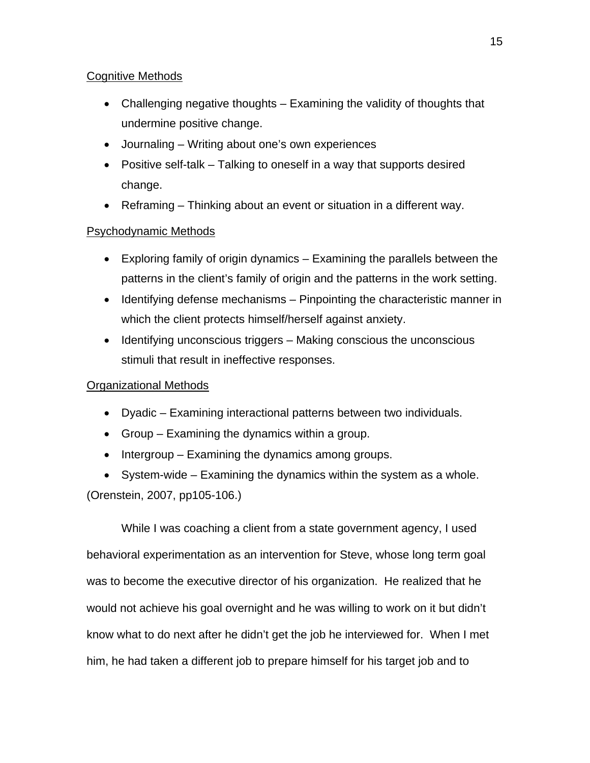# Cognitive Methods

- Challenging negative thoughts Examining the validity of thoughts that undermine positive change.
- Journaling Writing about one's own experiences
- Positive self-talk Talking to oneself in a way that supports desired change.
- Reframing Thinking about an event or situation in a different way.

# Psychodynamic Methods

- Exploring family of origin dynamics Examining the parallels between the patterns in the client's family of origin and the patterns in the work setting.
- $\bullet$  Identifying defense mechanisms Pinpointing the characteristic manner in which the client protects himself/herself against anxiety.
- $\bullet$  Identifying unconscious triggers Making conscious the unconscious stimuli that result in ineffective responses.

# Organizational Methods

- Dyadic Examining interactional patterns between two individuals.
- Group Examining the dynamics within a group.
- $\bullet$  Intergroup Examining the dynamics among groups.

 System-wide – Examining the dynamics within the system as a whole. (Orenstein, 2007, pp105-106.)

 While I was coaching a client from a state government agency, I used behavioral experimentation as an intervention for Steve, whose long term goal was to become the executive director of his organization. He realized that he would not achieve his goal overnight and he was willing to work on it but didn't know what to do next after he didn't get the job he interviewed for. When I met him, he had taken a different job to prepare himself for his target job and to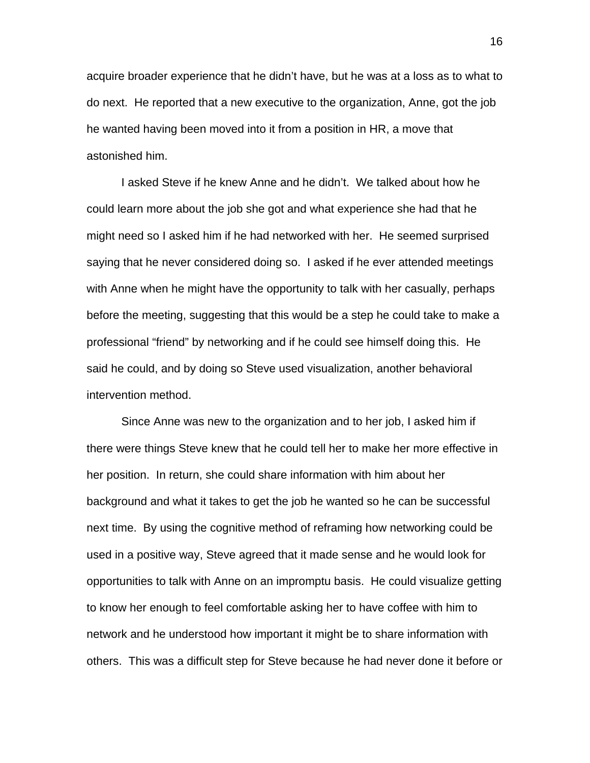acquire broader experience that he didn't have, but he was at a loss as to what to do next. He reported that a new executive to the organization, Anne, got the job he wanted having been moved into it from a position in HR, a move that astonished him.

 I asked Steve if he knew Anne and he didn't. We talked about how he could learn more about the job she got and what experience she had that he might need so I asked him if he had networked with her. He seemed surprised saying that he never considered doing so. I asked if he ever attended meetings with Anne when he might have the opportunity to talk with her casually, perhaps before the meeting, suggesting that this would be a step he could take to make a professional "friend" by networking and if he could see himself doing this. He said he could, and by doing so Steve used visualization, another behavioral intervention method.

 Since Anne was new to the organization and to her job, I asked him if there were things Steve knew that he could tell her to make her more effective in her position. In return, she could share information with him about her background and what it takes to get the job he wanted so he can be successful next time. By using the cognitive method of reframing how networking could be used in a positive way, Steve agreed that it made sense and he would look for opportunities to talk with Anne on an impromptu basis. He could visualize getting to know her enough to feel comfortable asking her to have coffee with him to network and he understood how important it might be to share information with others. This was a difficult step for Steve because he had never done it before or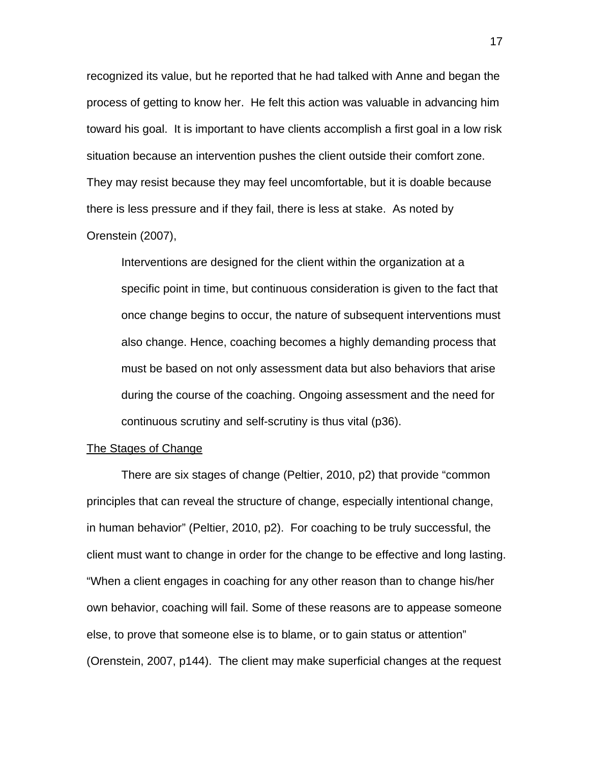recognized its value, but he reported that he had talked with Anne and began the process of getting to know her. He felt this action was valuable in advancing him toward his goal. It is important to have clients accomplish a first goal in a low risk situation because an intervention pushes the client outside their comfort zone. They may resist because they may feel uncomfortable, but it is doable because there is less pressure and if they fail, there is less at stake. As noted by Orenstein (2007),

Interventions are designed for the client within the organization at a specific point in time, but continuous consideration is given to the fact that once change begins to occur, the nature of subsequent interventions must also change. Hence, coaching becomes a highly demanding process that must be based on not only assessment data but also behaviors that arise during the course of the coaching. Ongoing assessment and the need for continuous scrutiny and self-scrutiny is thus vital (p36).

#### The Stages of Change

 There are six stages of change (Peltier, 2010, p2) that provide "common principles that can reveal the structure of change, especially intentional change, in human behavior" (Peltier, 2010, p2). For coaching to be truly successful, the client must want to change in order for the change to be effective and long lasting. "When a client engages in coaching for any other reason than to change his/her own behavior, coaching will fail. Some of these reasons are to appease someone else, to prove that someone else is to blame, or to gain status or attention" (Orenstein, 2007, p144). The client may make superficial changes at the request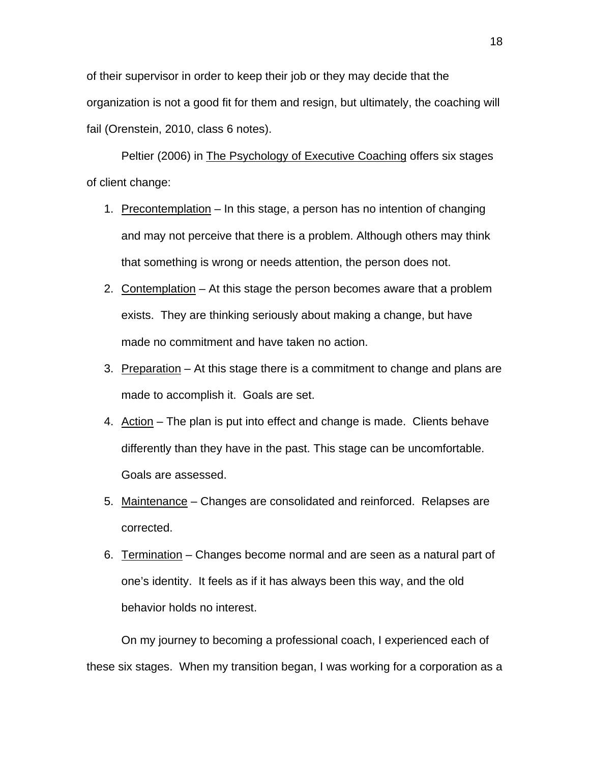of their supervisor in order to keep their job or they may decide that the organization is not a good fit for them and resign, but ultimately, the coaching will fail (Orenstein, 2010, class 6 notes).

Peltier (2006) in The Psychology of Executive Coaching offers six stages of client change:

- 1. Precontemplation In this stage, a person has no intention of changing and may not perceive that there is a problem. Although others may think that something is wrong or needs attention, the person does not.
- 2. Contemplation At this stage the person becomes aware that a problem exists. They are thinking seriously about making a change, but have made no commitment and have taken no action.
- 3. Preparation At this stage there is a commitment to change and plans are made to accomplish it. Goals are set.
- 4. Action The plan is put into effect and change is made. Clients behave differently than they have in the past. This stage can be uncomfortable. Goals are assessed.
- 5. Maintenance Changes are consolidated and reinforced. Relapses are corrected.
- 6. Termination Changes become normal and are seen as a natural part of one's identity. It feels as if it has always been this way, and the old behavior holds no interest.

 On my journey to becoming a professional coach, I experienced each of these six stages. When my transition began, I was working for a corporation as a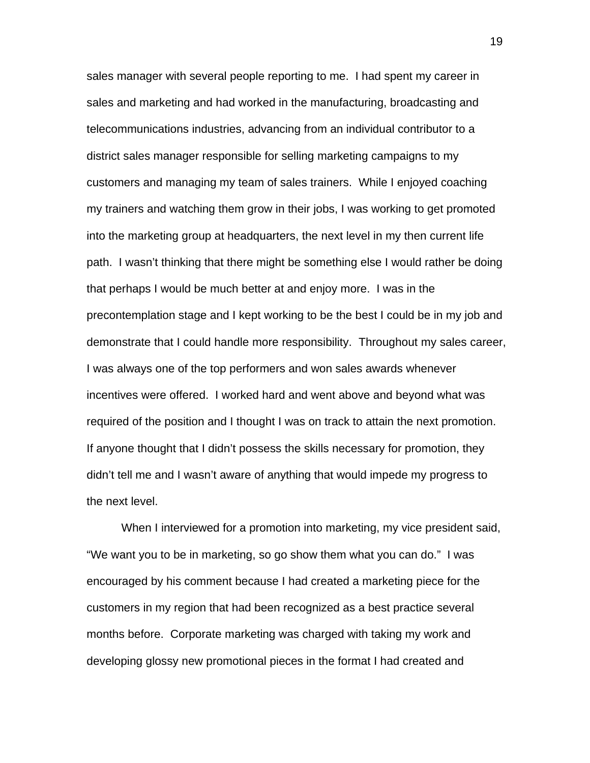sales manager with several people reporting to me. I had spent my career in sales and marketing and had worked in the manufacturing, broadcasting and telecommunications industries, advancing from an individual contributor to a district sales manager responsible for selling marketing campaigns to my customers and managing my team of sales trainers. While I enjoyed coaching my trainers and watching them grow in their jobs, I was working to get promoted into the marketing group at headquarters, the next level in my then current life path. I wasn't thinking that there might be something else I would rather be doing that perhaps I would be much better at and enjoy more. I was in the precontemplation stage and I kept working to be the best I could be in my job and demonstrate that I could handle more responsibility. Throughout my sales career, I was always one of the top performers and won sales awards whenever incentives were offered. I worked hard and went above and beyond what was required of the position and I thought I was on track to attain the next promotion. If anyone thought that I didn't possess the skills necessary for promotion, they didn't tell me and I wasn't aware of anything that would impede my progress to the next level.

 When I interviewed for a promotion into marketing, my vice president said, "We want you to be in marketing, so go show them what you can do." I was encouraged by his comment because I had created a marketing piece for the customers in my region that had been recognized as a best practice several months before. Corporate marketing was charged with taking my work and developing glossy new promotional pieces in the format I had created and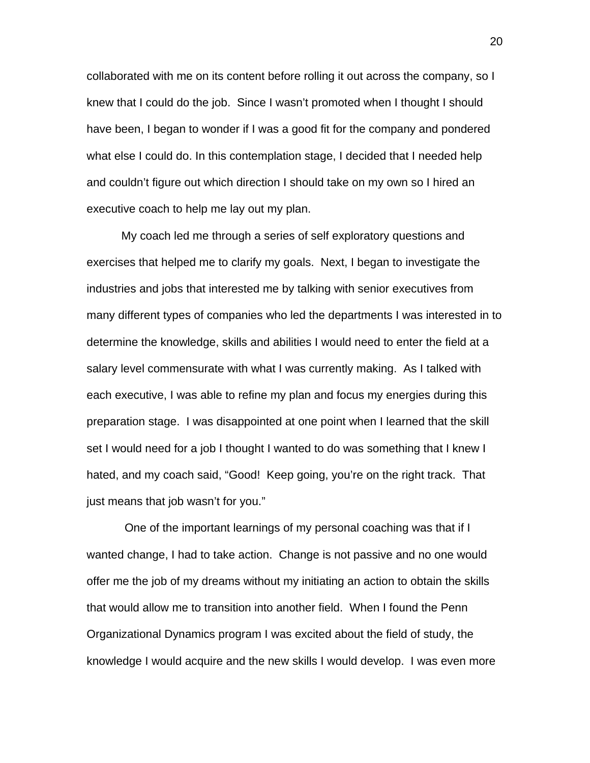collaborated with me on its content before rolling it out across the company, so I knew that I could do the job. Since I wasn't promoted when I thought I should have been, I began to wonder if I was a good fit for the company and pondered what else I could do. In this contemplation stage, I decided that I needed help and couldn't figure out which direction I should take on my own so I hired an executive coach to help me lay out my plan.

 My coach led me through a series of self exploratory questions and exercises that helped me to clarify my goals. Next, I began to investigate the industries and jobs that interested me by talking with senior executives from many different types of companies who led the departments I was interested in to determine the knowledge, skills and abilities I would need to enter the field at a salary level commensurate with what I was currently making. As I talked with each executive, I was able to refine my plan and focus my energies during this preparation stage. I was disappointed at one point when I learned that the skill set I would need for a job I thought I wanted to do was something that I knew I hated, and my coach said, "Good! Keep going, you're on the right track. That just means that job wasn't for you."

 One of the important learnings of my personal coaching was that if I wanted change, I had to take action. Change is not passive and no one would offer me the job of my dreams without my initiating an action to obtain the skills that would allow me to transition into another field. When I found the Penn Organizational Dynamics program I was excited about the field of study, the knowledge I would acquire and the new skills I would develop. I was even more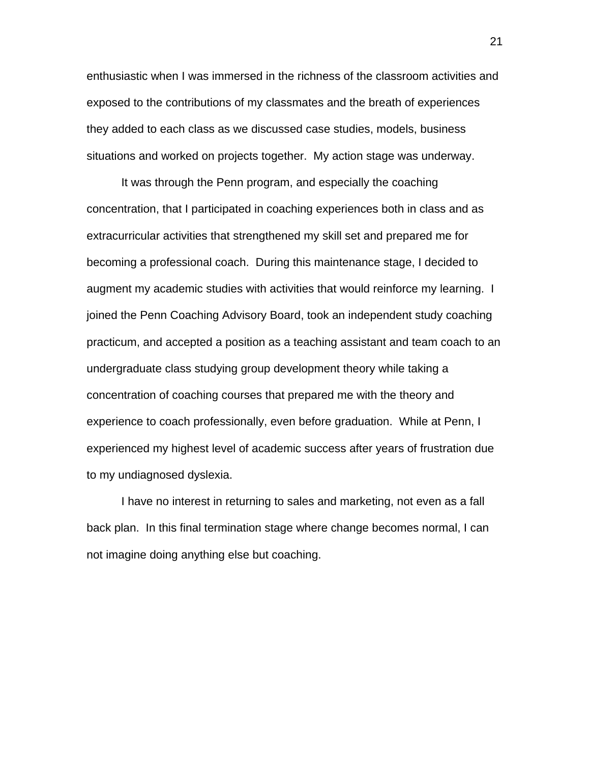enthusiastic when I was immersed in the richness of the classroom activities and exposed to the contributions of my classmates and the breath of experiences they added to each class as we discussed case studies, models, business situations and worked on projects together. My action stage was underway.

It was through the Penn program, and especially the coaching concentration, that I participated in coaching experiences both in class and as extracurricular activities that strengthened my skill set and prepared me for becoming a professional coach. During this maintenance stage, I decided to augment my academic studies with activities that would reinforce my learning. I joined the Penn Coaching Advisory Board, took an independent study coaching practicum, and accepted a position as a teaching assistant and team coach to an undergraduate class studying group development theory while taking a concentration of coaching courses that prepared me with the theory and experience to coach professionally, even before graduation. While at Penn, I experienced my highest level of academic success after years of frustration due to my undiagnosed dyslexia.

 I have no interest in returning to sales and marketing, not even as a fall back plan. In this final termination stage where change becomes normal, I can not imagine doing anything else but coaching.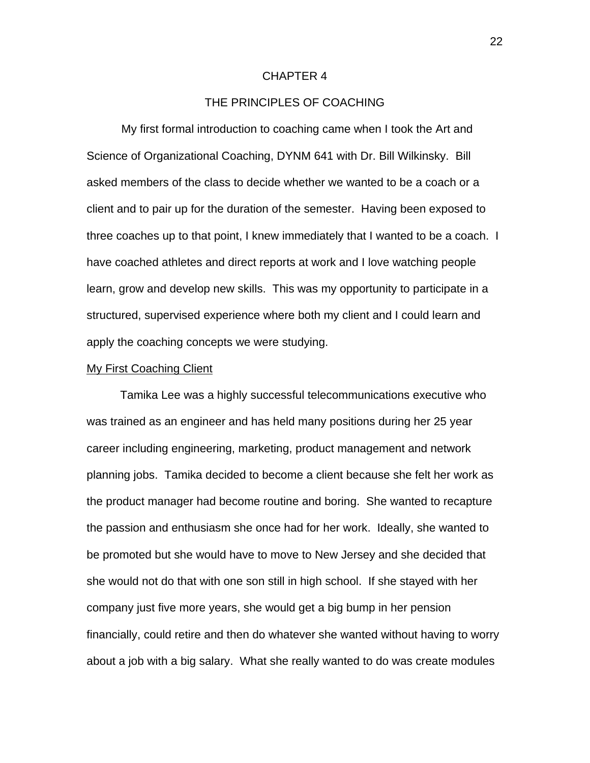### CHAPTER 4

## THE PRINCIPLES OF COACHING

 My first formal introduction to coaching came when I took the Art and Science of Organizational Coaching, DYNM 641 with Dr. Bill Wilkinsky. Bill asked members of the class to decide whether we wanted to be a coach or a client and to pair up for the duration of the semester. Having been exposed to three coaches up to that point, I knew immediately that I wanted to be a coach. I have coached athletes and direct reports at work and I love watching people learn, grow and develop new skills. This was my opportunity to participate in a structured, supervised experience where both my client and I could learn and apply the coaching concepts we were studying.

## My First Coaching Client

 Tamika Lee was a highly successful telecommunications executive who was trained as an engineer and has held many positions during her 25 year career including engineering, marketing, product management and network planning jobs. Tamika decided to become a client because she felt her work as the product manager had become routine and boring. She wanted to recapture the passion and enthusiasm she once had for her work. Ideally, she wanted to be promoted but she would have to move to New Jersey and she decided that she would not do that with one son still in high school. If she stayed with her company just five more years, she would get a big bump in her pension financially, could retire and then do whatever she wanted without having to worry about a job with a big salary. What she really wanted to do was create modules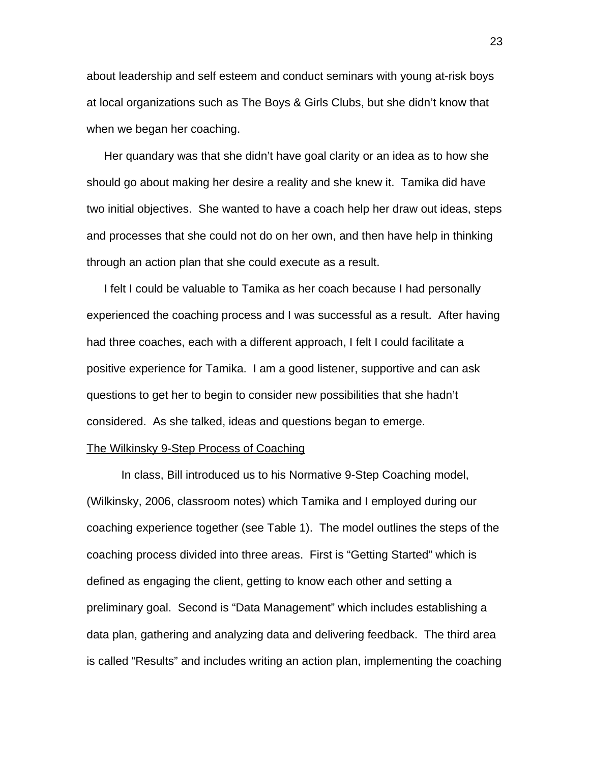about leadership and self esteem and conduct seminars with young at-risk boys at local organizations such as The Boys & Girls Clubs, but she didn't know that when we began her coaching.

Her quandary was that she didn't have goal clarity or an idea as to how she should go about making her desire a reality and she knew it. Tamika did have two initial objectives. She wanted to have a coach help her draw out ideas, steps and processes that she could not do on her own, and then have help in thinking through an action plan that she could execute as a result.

 I felt I could be valuable to Tamika as her coach because I had personally experienced the coaching process and I was successful as a result. After having had three coaches, each with a different approach, I felt I could facilitate a positive experience for Tamika. I am a good listener, supportive and can ask questions to get her to begin to consider new possibilities that she hadn't considered. As she talked, ideas and questions began to emerge.

#### The Wilkinsky 9-Step Process of Coaching

 In class, Bill introduced us to his Normative 9-Step Coaching model, (Wilkinsky, 2006, classroom notes) which Tamika and I employed during our coaching experience together (see Table 1). The model outlines the steps of the coaching process divided into three areas. First is "Getting Started" which is defined as engaging the client, getting to know each other and setting a preliminary goal. Second is "Data Management" which includes establishing a data plan, gathering and analyzing data and delivering feedback. The third area is called "Results" and includes writing an action plan, implementing the coaching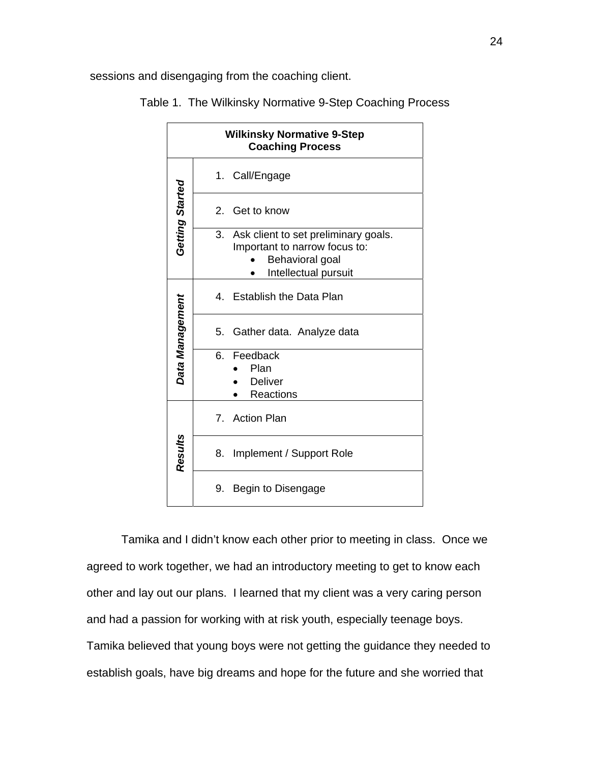sessions and disengaging from the coaching client.

| <b>Wilkinsky Normative 9-Step</b><br><b>Coaching Process</b> |                                                                                                                     |  |
|--------------------------------------------------------------|---------------------------------------------------------------------------------------------------------------------|--|
|                                                              | 1.<br>Call/Engage                                                                                                   |  |
| Getting Started                                              | Get to know<br>$2^{\circ}$                                                                                          |  |
|                                                              | 3. Ask client to set preliminary goals.<br>Important to narrow focus to:<br>Behavioral goal<br>Intellectual pursuit |  |
|                                                              | <b>Establish the Data Plan</b><br>4.                                                                                |  |
|                                                              | 5.<br>Gather data. Analyze data                                                                                     |  |
| Data Management                                              | Feedback<br>6.<br>Plan<br><b>Deliver</b><br><b>Reactions</b>                                                        |  |
|                                                              | 7. Action Plan                                                                                                      |  |
| <b>Results</b>                                               | Implement / Support Role<br>8.                                                                                      |  |
|                                                              | Begin to Disengage<br>9.                                                                                            |  |

Table 1. The Wilkinsky Normative 9-Step Coaching Process

 Tamika and I didn't know each other prior to meeting in class. Once we agreed to work together, we had an introductory meeting to get to know each other and lay out our plans. I learned that my client was a very caring person and had a passion for working with at risk youth, especially teenage boys. Tamika believed that young boys were not getting the guidance they needed to establish goals, have big dreams and hope for the future and she worried that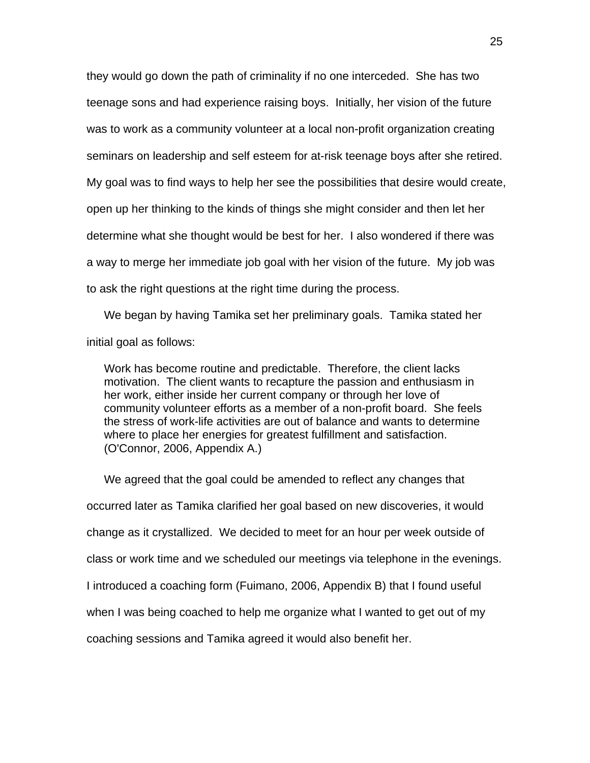they would go down the path of criminality if no one interceded. She has two teenage sons and had experience raising boys. Initially, her vision of the future was to work as a community volunteer at a local non-profit organization creating seminars on leadership and self esteem for at-risk teenage boys after she retired. My goal was to find ways to help her see the possibilities that desire would create, open up her thinking to the kinds of things she might consider and then let her determine what she thought would be best for her. I also wondered if there was a way to merge her immediate job goal with her vision of the future. My job was to ask the right questions at the right time during the process.

 We began by having Tamika set her preliminary goals. Tamika stated her initial goal as follows:

Work has become routine and predictable. Therefore, the client lacks motivation. The client wants to recapture the passion and enthusiasm in her work, either inside her current company or through her love of community volunteer efforts as a member of a non-profit board. She feels the stress of work-life activities are out of balance and wants to determine where to place her energies for greatest fulfillment and satisfaction. (O'Connor, 2006, Appendix A.)

 We agreed that the goal could be amended to reflect any changes that occurred later as Tamika clarified her goal based on new discoveries, it would change as it crystallized. We decided to meet for an hour per week outside of class or work time and we scheduled our meetings via telephone in the evenings. I introduced a coaching form (Fuimano, 2006, Appendix B) that I found useful when I was being coached to help me organize what I wanted to get out of my coaching sessions and Tamika agreed it would also benefit her.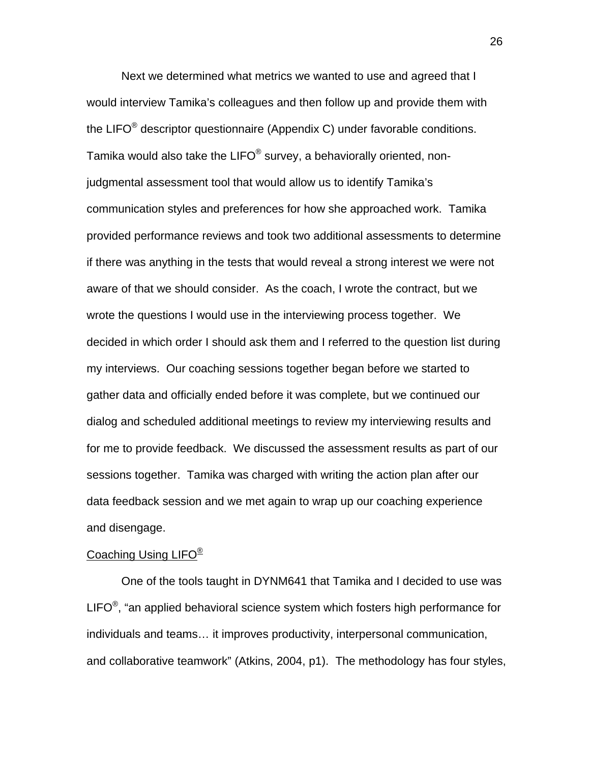Next we determined what metrics we wanted to use and agreed that I would interview Tamika's colleagues and then follow up and provide them with the LIFO $^{\circ}$  descriptor questionnaire (Appendix C) under favorable conditions. Tamika would also take the LIFO<sup>®</sup> survey, a behaviorally oriented, nonjudgmental assessment tool that would allow us to identify Tamika's communication styles and preferences for how she approached work. Tamika provided performance reviews and took two additional assessments to determine if there was anything in the tests that would reveal a strong interest we were not aware of that we should consider. As the coach, I wrote the contract, but we wrote the questions I would use in the interviewing process together. We decided in which order I should ask them and I referred to the question list during my interviews. Our coaching sessions together began before we started to gather data and officially ended before it was complete, but we continued our dialog and scheduled additional meetings to review my interviewing results and for me to provide feedback. We discussed the assessment results as part of our sessions together. Tamika was charged with writing the action plan after our data feedback session and we met again to wrap up our coaching experience and disengage.

## Coaching Using LIFO<sup>®</sup>

 One of the tools taught in DYNM641 that Tamika and I decided to use was LIFO $\textdegree$ , "an applied behavioral science system which fosters high performance for individuals and teams… it improves productivity, interpersonal communication, and collaborative teamwork" (Atkins, 2004, p1). The methodology has four styles,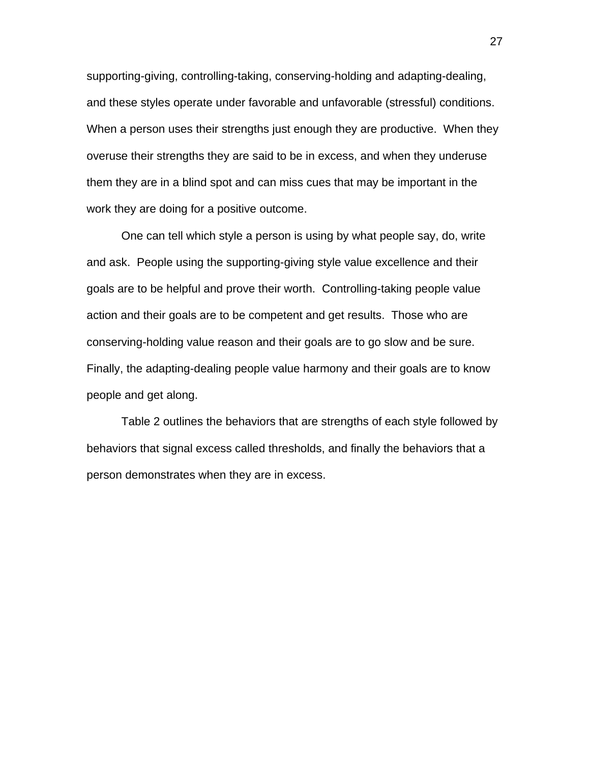supporting-giving, controlling-taking, conserving-holding and adapting-dealing, and these styles operate under favorable and unfavorable (stressful) conditions. When a person uses their strengths just enough they are productive. When they overuse their strengths they are said to be in excess, and when they underuse them they are in a blind spot and can miss cues that may be important in the work they are doing for a positive outcome.

 One can tell which style a person is using by what people say, do, write and ask. People using the supporting-giving style value excellence and their goals are to be helpful and prove their worth. Controlling-taking people value action and their goals are to be competent and get results. Those who are conserving-holding value reason and their goals are to go slow and be sure. Finally, the adapting-dealing people value harmony and their goals are to know people and get along.

 Table 2 outlines the behaviors that are strengths of each style followed by behaviors that signal excess called thresholds, and finally the behaviors that a person demonstrates when they are in excess.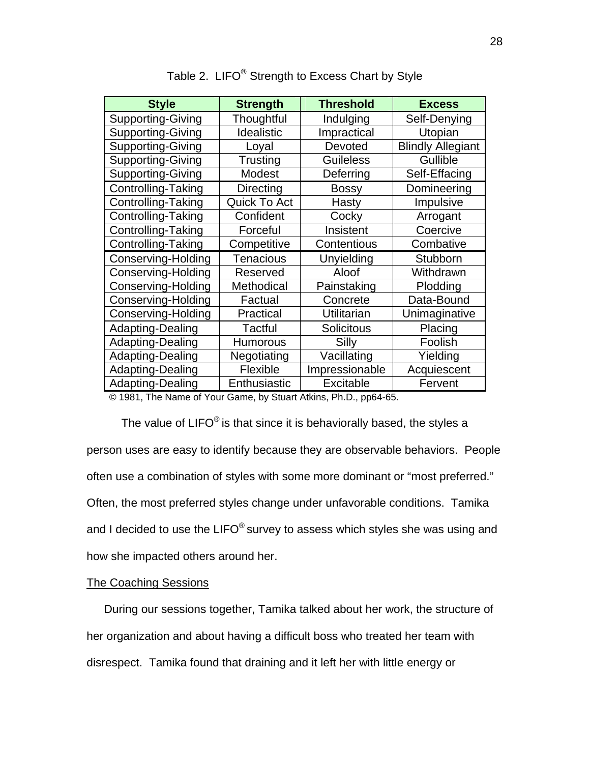| <b>Style</b>                             | <b>Strength</b>  | <b>Threshold</b>                         | <b>Excess</b>            |
|------------------------------------------|------------------|------------------------------------------|--------------------------|
| Supporting-Giving                        | Thoughtful       | Indulging                                | Self-Denying             |
| <b>Supporting-Giving</b>                 | Idealistic       | Impractical                              | Utopian                  |
| <b>Supporting-Giving</b>                 | Loyal            | Devoted                                  | <b>Blindly Allegiant</b> |
| <b>Supporting-Giving</b>                 | Trusting         | <b>Guileless</b>                         | Gullible                 |
| <b>Supporting-Giving</b>                 | Modest           | Deferring                                | Self-Effacing            |
| Controlling-Taking                       | <b>Directing</b> | <b>Bossy</b>                             | Domineering              |
| Controlling-Taking                       | Quick To Act     | Hasty                                    | Impulsive                |
| <b>Controlling-Taking</b>                | Confident        | Cocky                                    | Arrogant                 |
| Controlling-Taking                       | Forceful         | Insistent                                | Coercive                 |
| Controlling-Taking                       | Competitive      | Contentious                              | Combative                |
| Conserving-Holding                       | <b>Tenacious</b> | Unyielding                               | Stubborn                 |
| <b>Conserving-Holding</b>                | Reserved         | Aloof                                    | Withdrawn                |
| <b>Conserving-Holding</b>                | Methodical       | Painstaking                              | Plodding                 |
| Conserving-Holding                       | Factual          | Concrete                                 | Data-Bound               |
| Conserving-Holding                       | Practical        | Utilitarian                              | Unimaginative            |
| Adapting-Dealing                         | <b>Tactful</b>   | <b>Solicitous</b>                        | Placing                  |
| Adapting-Dealing                         | <b>Humorous</b>  | Silly                                    | Foolish                  |
| Adapting-Dealing                         | Negotiating      | Vacillating                              | Yielding                 |
| Adapting-Dealing                         | Flexible         | Impressionable                           | Acquiescent              |
| Adapting-Dealing<br>$\sim$ $\sim$ $\sim$ | Enthusiastic     | Excitable<br>$\sim$ $\sim$ $\sim$ $\sim$ | Fervent                  |

Table 2. LIFO<sup>®</sup> Strength to Excess Chart by Style

© 1981, The Name of Your Game, by Stuart Atkins, Ph.D., pp64-65.

The value of LIFO<sup>®</sup> is that since it is behaviorally based, the styles a person uses are easy to identify because they are observable behaviors. People often use a combination of styles with some more dominant or "most preferred." Often, the most preferred styles change under unfavorable conditions. Tamika and I decided to use the LIFO $^{\circ}$  survey to assess which styles she was using and how she impacted others around her.

# The Coaching Sessions

 During our sessions together, Tamika talked about her work, the structure of her organization and about having a difficult boss who treated her team with disrespect. Tamika found that draining and it left her with little energy or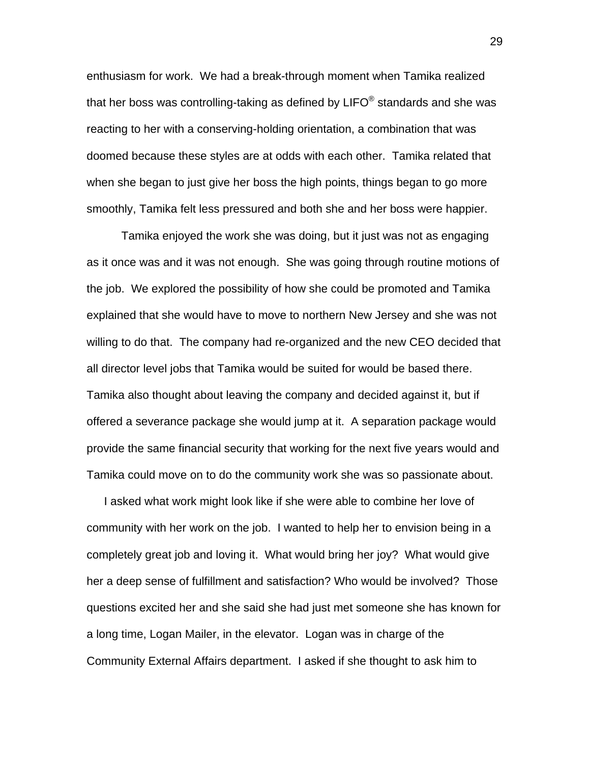enthusiasm for work. We had a break-through moment when Tamika realized that her boss was controlling-taking as defined by  $LIFO^{\circledast}$  standards and she was reacting to her with a conserving-holding orientation, a combination that was doomed because these styles are at odds with each other. Tamika related that when she began to just give her boss the high points, things began to go more smoothly, Tamika felt less pressured and both she and her boss were happier.

 Tamika enjoyed the work she was doing, but it just was not as engaging as it once was and it was not enough. She was going through routine motions of the job. We explored the possibility of how she could be promoted and Tamika explained that she would have to move to northern New Jersey and she was not willing to do that. The company had re-organized and the new CEO decided that all director level jobs that Tamika would be suited for would be based there. Tamika also thought about leaving the company and decided against it, but if offered a severance package she would jump at it. A separation package would provide the same financial security that working for the next five years would and Tamika could move on to do the community work she was so passionate about.

 I asked what work might look like if she were able to combine her love of community with her work on the job. I wanted to help her to envision being in a completely great job and loving it. What would bring her joy? What would give her a deep sense of fulfillment and satisfaction? Who would be involved? Those questions excited her and she said she had just met someone she has known for a long time, Logan Mailer, in the elevator. Logan was in charge of the Community External Affairs department. I asked if she thought to ask him to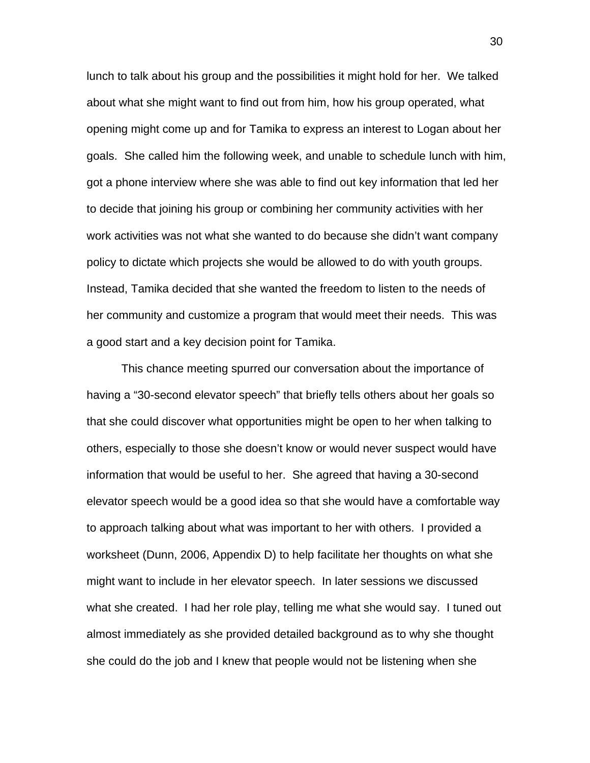lunch to talk about his group and the possibilities it might hold for her. We talked about what she might want to find out from him, how his group operated, what opening might come up and for Tamika to express an interest to Logan about her goals. She called him the following week, and unable to schedule lunch with him, got a phone interview where she was able to find out key information that led her to decide that joining his group or combining her community activities with her work activities was not what she wanted to do because she didn't want company policy to dictate which projects she would be allowed to do with youth groups. Instead, Tamika decided that she wanted the freedom to listen to the needs of her community and customize a program that would meet their needs. This was a good start and a key decision point for Tamika.

 This chance meeting spurred our conversation about the importance of having a "30-second elevator speech" that briefly tells others about her goals so that she could discover what opportunities might be open to her when talking to others, especially to those she doesn't know or would never suspect would have information that would be useful to her. She agreed that having a 30-second elevator speech would be a good idea so that she would have a comfortable way to approach talking about what was important to her with others. I provided a worksheet (Dunn, 2006, Appendix D) to help facilitate her thoughts on what she might want to include in her elevator speech. In later sessions we discussed what she created. I had her role play, telling me what she would say. I tuned out almost immediately as she provided detailed background as to why she thought she could do the job and I knew that people would not be listening when she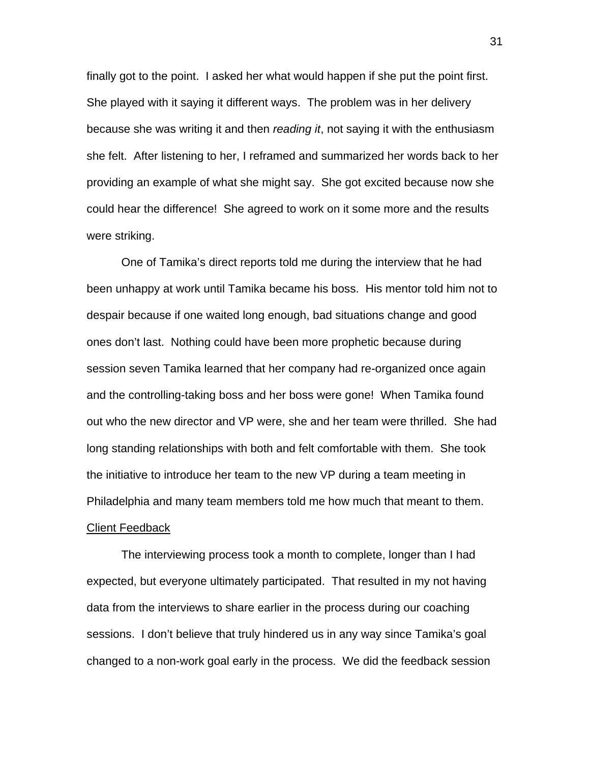finally got to the point. I asked her what would happen if she put the point first. She played with it saying it different ways. The problem was in her delivery because she was writing it and then *reading it*, not saying it with the enthusiasm she felt. After listening to her, I reframed and summarized her words back to her providing an example of what she might say. She got excited because now she could hear the difference! She agreed to work on it some more and the results were striking.

 One of Tamika's direct reports told me during the interview that he had been unhappy at work until Tamika became his boss. His mentor told him not to despair because if one waited long enough, bad situations change and good ones don't last. Nothing could have been more prophetic because during session seven Tamika learned that her company had re-organized once again and the controlling-taking boss and her boss were gone! When Tamika found out who the new director and VP were, she and her team were thrilled. She had long standing relationships with both and felt comfortable with them. She took the initiative to introduce her team to the new VP during a team meeting in Philadelphia and many team members told me how much that meant to them. **Client Feedback** 

 The interviewing process took a month to complete, longer than I had expected, but everyone ultimately participated. That resulted in my not having data from the interviews to share earlier in the process during our coaching sessions. I don't believe that truly hindered us in any way since Tamika's goal changed to a non-work goal early in the process. We did the feedback session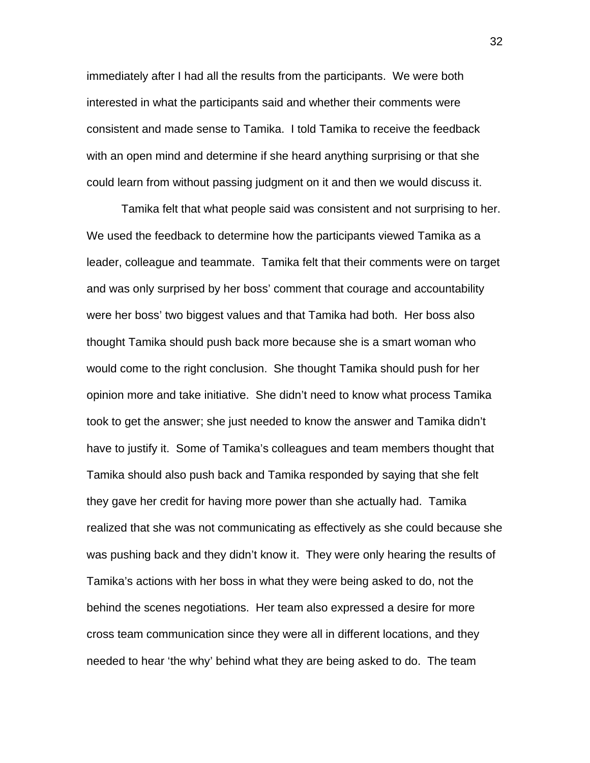immediately after I had all the results from the participants. We were both interested in what the participants said and whether their comments were consistent and made sense to Tamika. I told Tamika to receive the feedback with an open mind and determine if she heard anything surprising or that she could learn from without passing judgment on it and then we would discuss it.

 Tamika felt that what people said was consistent and not surprising to her. We used the feedback to determine how the participants viewed Tamika as a leader, colleague and teammate. Tamika felt that their comments were on target and was only surprised by her boss' comment that courage and accountability were her boss' two biggest values and that Tamika had both. Her boss also thought Tamika should push back more because she is a smart woman who would come to the right conclusion. She thought Tamika should push for her opinion more and take initiative. She didn't need to know what process Tamika took to get the answer; she just needed to know the answer and Tamika didn't have to justify it. Some of Tamika's colleagues and team members thought that Tamika should also push back and Tamika responded by saying that she felt they gave her credit for having more power than she actually had. Tamika realized that she was not communicating as effectively as she could because she was pushing back and they didn't know it. They were only hearing the results of Tamika's actions with her boss in what they were being asked to do, not the behind the scenes negotiations. Her team also expressed a desire for more cross team communication since they were all in different locations, and they needed to hear 'the why' behind what they are being asked to do. The team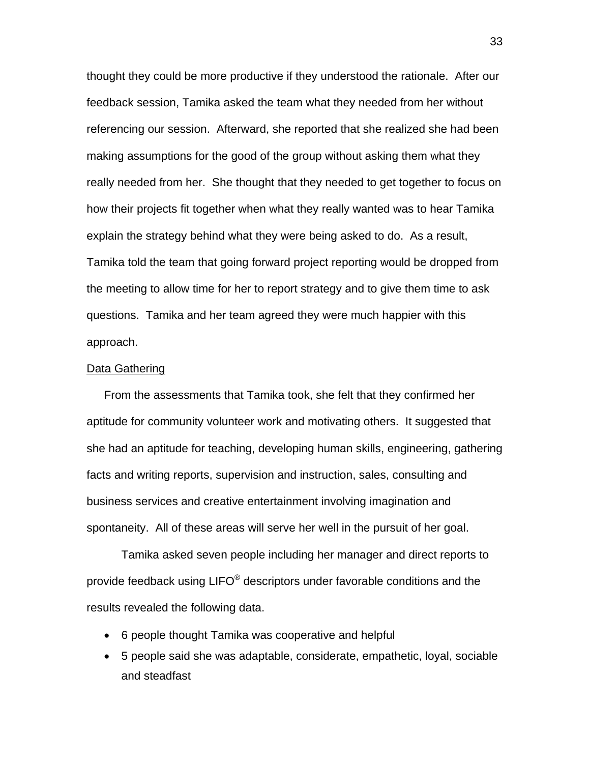thought they could be more productive if they understood the rationale. After our feedback session, Tamika asked the team what they needed from her without referencing our session. Afterward, she reported that she realized she had been making assumptions for the good of the group without asking them what they really needed from her. She thought that they needed to get together to focus on how their projects fit together when what they really wanted was to hear Tamika explain the strategy behind what they were being asked to do. As a result, Tamika told the team that going forward project reporting would be dropped from the meeting to allow time for her to report strategy and to give them time to ask questions. Tamika and her team agreed they were much happier with this approach.

#### Data Gathering

 From the assessments that Tamika took, she felt that they confirmed her aptitude for community volunteer work and motivating others. It suggested that she had an aptitude for teaching, developing human skills, engineering, gathering facts and writing reports, supervision and instruction, sales, consulting and business services and creative entertainment involving imagination and spontaneity. All of these areas will serve her well in the pursuit of her goal.

 Tamika asked seven people including her manager and direct reports to provide feedback using LIFO® descriptors under favorable conditions and the results revealed the following data.

- 6 people thought Tamika was cooperative and helpful
- 5 people said she was adaptable, considerate, empathetic, loyal, sociable and steadfast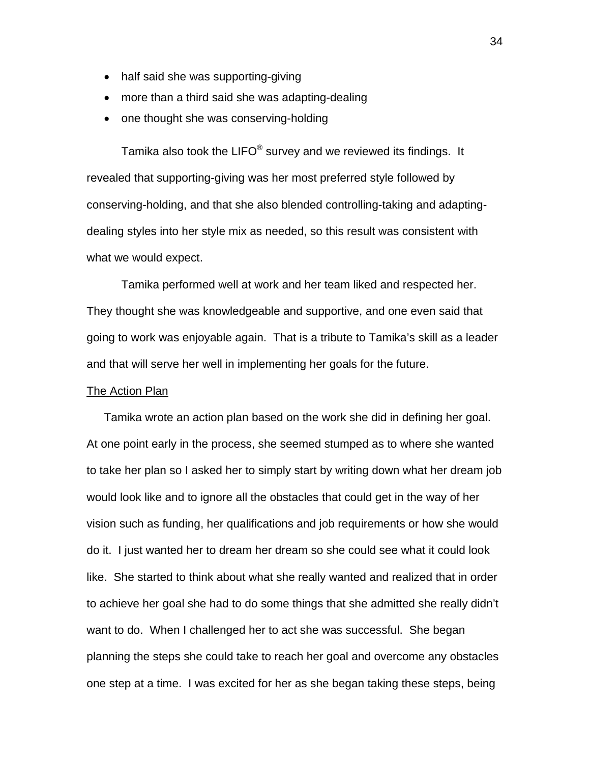- half said she was supporting-giving
- more than a third said she was adapting-dealing
- one thought she was conserving-holding

 Tamika also took the LIFO® survey and we reviewed its findings. It revealed that supporting-giving was her most preferred style followed by conserving-holding, and that she also blended controlling-taking and adaptingdealing styles into her style mix as needed, so this result was consistent with what we would expect.

 Tamika performed well at work and her team liked and respected her. They thought she was knowledgeable and supportive, and one even said that going to work was enjoyable again. That is a tribute to Tamika's skill as a leader and that will serve her well in implementing her goals for the future.

#### **The Action Plan**

 Tamika wrote an action plan based on the work she did in defining her goal. At one point early in the process, she seemed stumped as to where she wanted to take her plan so I asked her to simply start by writing down what her dream job would look like and to ignore all the obstacles that could get in the way of her vision such as funding, her qualifications and job requirements or how she would do it. I just wanted her to dream her dream so she could see what it could look like. She started to think about what she really wanted and realized that in order to achieve her goal she had to do some things that she admitted she really didn't want to do. When I challenged her to act she was successful. She began planning the steps she could take to reach her goal and overcome any obstacles one step at a time. I was excited for her as she began taking these steps, being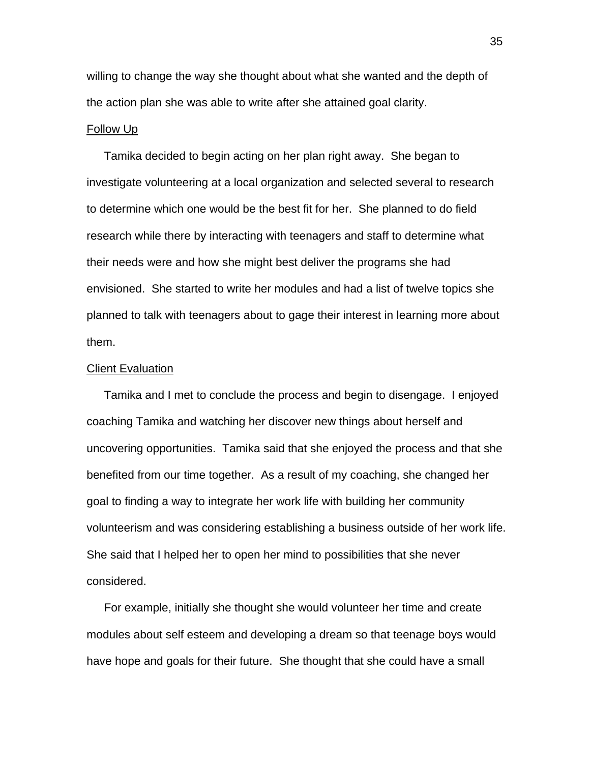willing to change the way she thought about what she wanted and the depth of the action plan she was able to write after she attained goal clarity.

### Follow Up

 Tamika decided to begin acting on her plan right away. She began to investigate volunteering at a local organization and selected several to research to determine which one would be the best fit for her. She planned to do field research while there by interacting with teenagers and staff to determine what their needs were and how she might best deliver the programs she had envisioned. She started to write her modules and had a list of twelve topics she planned to talk with teenagers about to gage their interest in learning more about them.

#### Client Evaluation

 Tamika and I met to conclude the process and begin to disengage. I enjoyed coaching Tamika and watching her discover new things about herself and uncovering opportunities. Tamika said that she enjoyed the process and that she benefited from our time together. As a result of my coaching, she changed her goal to finding a way to integrate her work life with building her community volunteerism and was considering establishing a business outside of her work life. She said that I helped her to open her mind to possibilities that she never considered.

 For example, initially she thought she would volunteer her time and create modules about self esteem and developing a dream so that teenage boys would have hope and goals for their future. She thought that she could have a small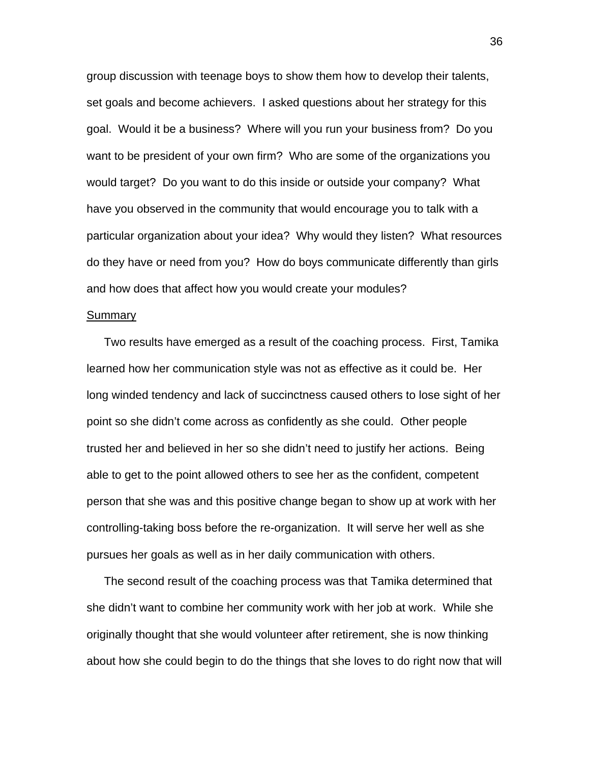group discussion with teenage boys to show them how to develop their talents, set goals and become achievers. I asked questions about her strategy for this goal. Would it be a business? Where will you run your business from? Do you want to be president of your own firm? Who are some of the organizations you would target? Do you want to do this inside or outside your company? What have you observed in the community that would encourage you to talk with a particular organization about your idea? Why would they listen? What resources do they have or need from you? How do boys communicate differently than girls and how does that affect how you would create your modules?

#### **Summary**

 Two results have emerged as a result of the coaching process. First, Tamika learned how her communication style was not as effective as it could be. Her long winded tendency and lack of succinctness caused others to lose sight of her point so she didn't come across as confidently as she could. Other people trusted her and believed in her so she didn't need to justify her actions. Being able to get to the point allowed others to see her as the confident, competent person that she was and this positive change began to show up at work with her controlling-taking boss before the re-organization. It will serve her well as she pursues her goals as well as in her daily communication with others.

 The second result of the coaching process was that Tamika determined that she didn't want to combine her community work with her job at work. While she originally thought that she would volunteer after retirement, she is now thinking about how she could begin to do the things that she loves to do right now that will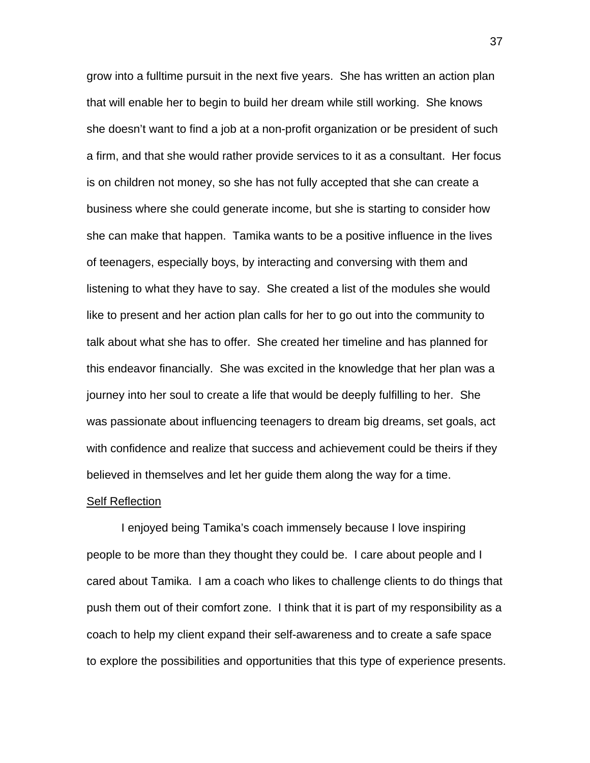grow into a fulltime pursuit in the next five years. She has written an action plan that will enable her to begin to build her dream while still working. She knows she doesn't want to find a job at a non-profit organization or be president of such a firm, and that she would rather provide services to it as a consultant. Her focus is on children not money, so she has not fully accepted that she can create a business where she could generate income, but she is starting to consider how she can make that happen. Tamika wants to be a positive influence in the lives of teenagers, especially boys, by interacting and conversing with them and listening to what they have to say. She created a list of the modules she would like to present and her action plan calls for her to go out into the community to talk about what she has to offer. She created her timeline and has planned for this endeavor financially. She was excited in the knowledge that her plan was a journey into her soul to create a life that would be deeply fulfilling to her. She was passionate about influencing teenagers to dream big dreams, set goals, act with confidence and realize that success and achievement could be theirs if they believed in themselves and let her guide them along the way for a time.

#### Self Reflection

 I enjoyed being Tamika's coach immensely because I love inspiring people to be more than they thought they could be. I care about people and I cared about Tamika. I am a coach who likes to challenge clients to do things that push them out of their comfort zone. I think that it is part of my responsibility as a coach to help my client expand their self-awareness and to create a safe space to explore the possibilities and opportunities that this type of experience presents.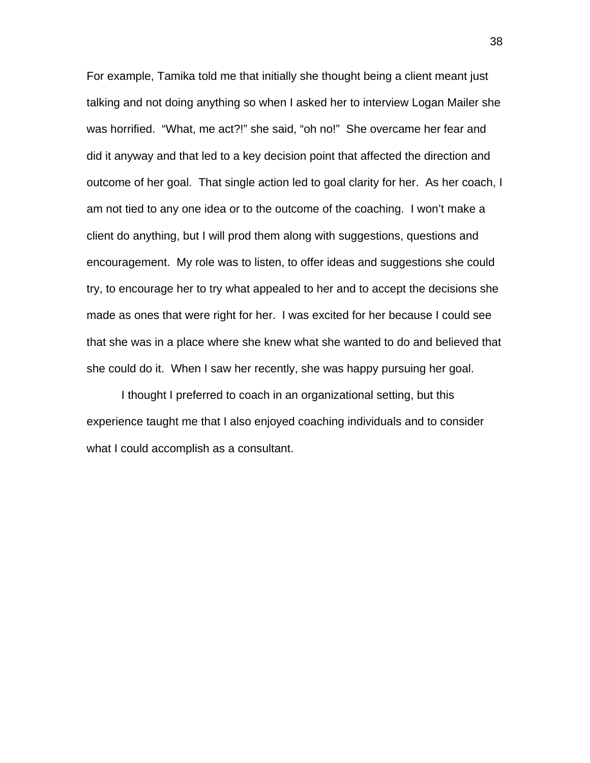For example, Tamika told me that initially she thought being a client meant just talking and not doing anything so when I asked her to interview Logan Mailer she was horrified. "What, me act?!" she said, "oh no!" She overcame her fear and did it anyway and that led to a key decision point that affected the direction and outcome of her goal. That single action led to goal clarity for her. As her coach, I am not tied to any one idea or to the outcome of the coaching. I won't make a client do anything, but I will prod them along with suggestions, questions and encouragement. My role was to listen, to offer ideas and suggestions she could try, to encourage her to try what appealed to her and to accept the decisions she made as ones that were right for her. I was excited for her because I could see that she was in a place where she knew what she wanted to do and believed that she could do it. When I saw her recently, she was happy pursuing her goal.

 I thought I preferred to coach in an organizational setting, but this experience taught me that I also enjoyed coaching individuals and to consider what I could accomplish as a consultant.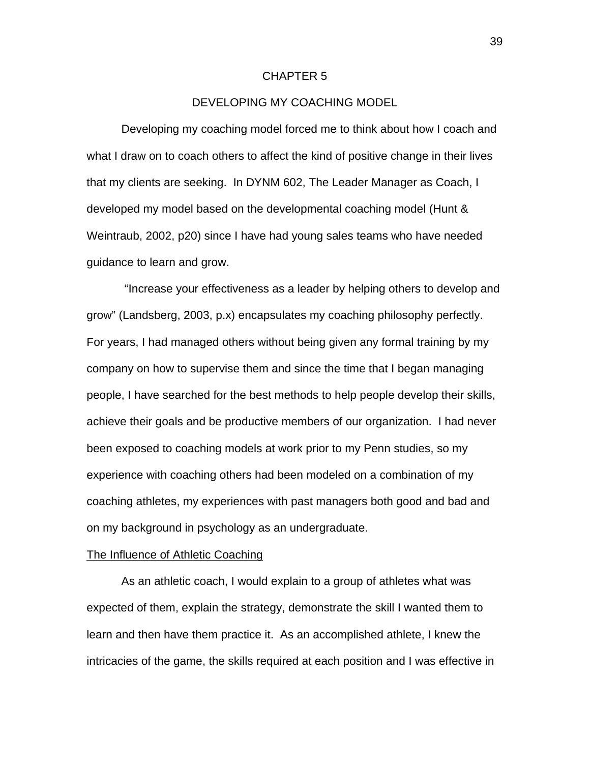#### CHAPTER 5

# DEVELOPING MY COACHING MODEL

 Developing my coaching model forced me to think about how I coach and what I draw on to coach others to affect the kind of positive change in their lives that my clients are seeking. In DYNM 602, The Leader Manager as Coach, I developed my model based on the developmental coaching model (Hunt & Weintraub, 2002, p20) since I have had young sales teams who have needed guidance to learn and grow.

 "Increase your effectiveness as a leader by helping others to develop and grow" (Landsberg, 2003, p.x) encapsulates my coaching philosophy perfectly. For years, I had managed others without being given any formal training by my company on how to supervise them and since the time that I began managing people, I have searched for the best methods to help people develop their skills, achieve their goals and be productive members of our organization. I had never been exposed to coaching models at work prior to my Penn studies, so my experience with coaching others had been modeled on a combination of my coaching athletes, my experiences with past managers both good and bad and on my background in psychology as an undergraduate.

#### The Influence of Athletic Coaching

 As an athletic coach, I would explain to a group of athletes what was expected of them, explain the strategy, demonstrate the skill I wanted them to learn and then have them practice it. As an accomplished athlete, I knew the intricacies of the game, the skills required at each position and I was effective in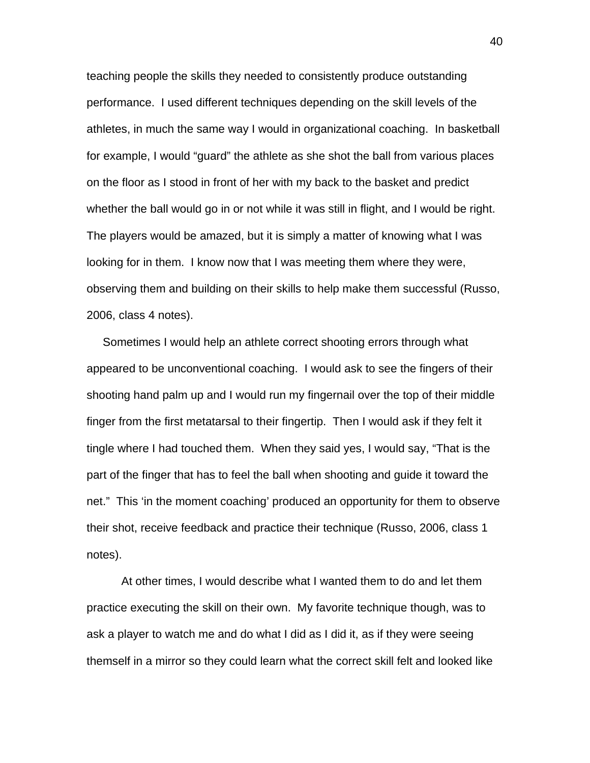teaching people the skills they needed to consistently produce outstanding performance. I used different techniques depending on the skill levels of the athletes, in much the same way I would in organizational coaching. In basketball for example, I would "guard" the athlete as she shot the ball from various places on the floor as I stood in front of her with my back to the basket and predict whether the ball would go in or not while it was still in flight, and I would be right. The players would be amazed, but it is simply a matter of knowing what I was looking for in them. I know now that I was meeting them where they were, observing them and building on their skills to help make them successful (Russo, 2006, class 4 notes).

 Sometimes I would help an athlete correct shooting errors through what appeared to be unconventional coaching. I would ask to see the fingers of their shooting hand palm up and I would run my fingernail over the top of their middle finger from the first metatarsal to their fingertip. Then I would ask if they felt it tingle where I had touched them. When they said yes, I would say, "That is the part of the finger that has to feel the ball when shooting and guide it toward the net." This 'in the moment coaching' produced an opportunity for them to observe their shot, receive feedback and practice their technique (Russo, 2006, class 1 notes).

 At other times, I would describe what I wanted them to do and let them practice executing the skill on their own. My favorite technique though, was to ask a player to watch me and do what I did as I did it, as if they were seeing themself in a mirror so they could learn what the correct skill felt and looked like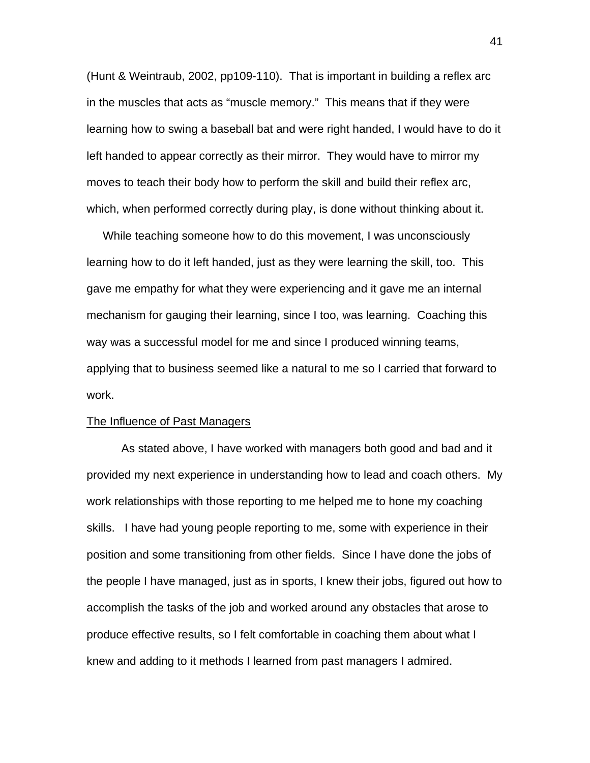(Hunt & Weintraub, 2002, pp109-110). That is important in building a reflex arc in the muscles that acts as "muscle memory." This means that if they were learning how to swing a baseball bat and were right handed, I would have to do it left handed to appear correctly as their mirror. They would have to mirror my moves to teach their body how to perform the skill and build their reflex arc, which, when performed correctly during play, is done without thinking about it.

 While teaching someone how to do this movement, I was unconsciously learning how to do it left handed, just as they were learning the skill, too. This gave me empathy for what they were experiencing and it gave me an internal mechanism for gauging their learning, since I too, was learning. Coaching this way was a successful model for me and since I produced winning teams, applying that to business seemed like a natural to me so I carried that forward to work.

# The Influence of Past Managers

As stated above, I have worked with managers both good and bad and it provided my next experience in understanding how to lead and coach others. My work relationships with those reporting to me helped me to hone my coaching skills. I have had young people reporting to me, some with experience in their position and some transitioning from other fields. Since I have done the jobs of the people I have managed, just as in sports, I knew their jobs, figured out how to accomplish the tasks of the job and worked around any obstacles that arose to produce effective results, so I felt comfortable in coaching them about what I knew and adding to it methods I learned from past managers I admired.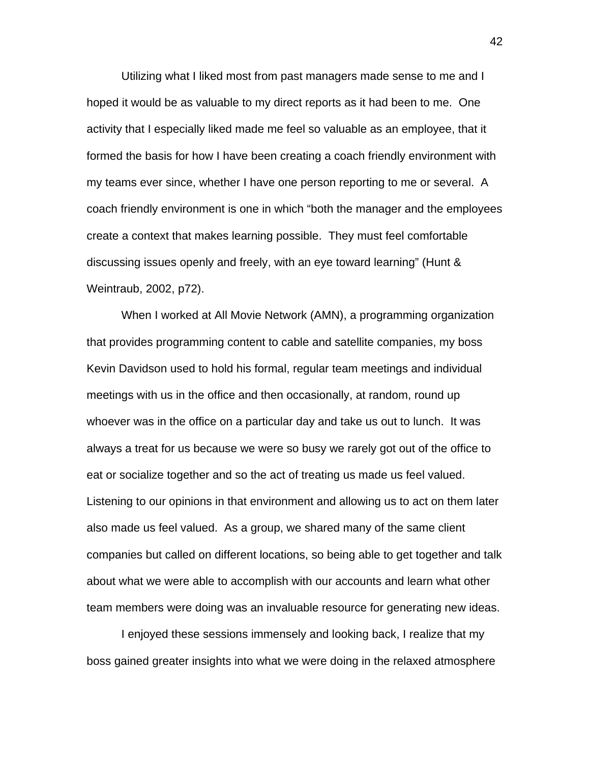Utilizing what I liked most from past managers made sense to me and I hoped it would be as valuable to my direct reports as it had been to me. One activity that I especially liked made me feel so valuable as an employee, that it formed the basis for how I have been creating a coach friendly environment with my teams ever since, whether I have one person reporting to me or several. A coach friendly environment is one in which "both the manager and the employees create a context that makes learning possible. They must feel comfortable discussing issues openly and freely, with an eye toward learning" (Hunt & Weintraub, 2002, p72).

 When I worked at All Movie Network (AMN), a programming organization that provides programming content to cable and satellite companies, my boss Kevin Davidson used to hold his formal, regular team meetings and individual meetings with us in the office and then occasionally, at random, round up whoever was in the office on a particular day and take us out to lunch. It was always a treat for us because we were so busy we rarely got out of the office to eat or socialize together and so the act of treating us made us feel valued. Listening to our opinions in that environment and allowing us to act on them later also made us feel valued. As a group, we shared many of the same client companies but called on different locations, so being able to get together and talk about what we were able to accomplish with our accounts and learn what other team members were doing was an invaluable resource for generating new ideas.

 I enjoyed these sessions immensely and looking back, I realize that my boss gained greater insights into what we were doing in the relaxed atmosphere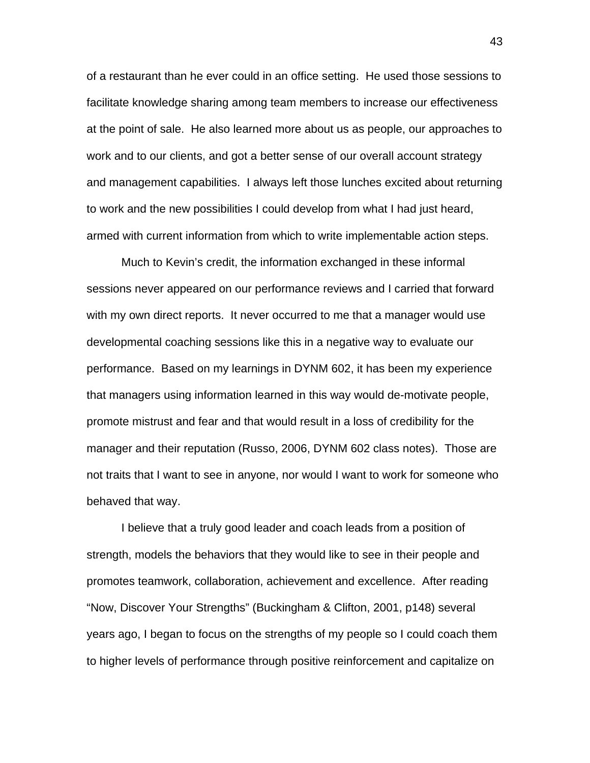of a restaurant than he ever could in an office setting. He used those sessions to facilitate knowledge sharing among team members to increase our effectiveness at the point of sale. He also learned more about us as people, our approaches to work and to our clients, and got a better sense of our overall account strategy and management capabilities. I always left those lunches excited about returning to work and the new possibilities I could develop from what I had just heard, armed with current information from which to write implementable action steps.

 Much to Kevin's credit, the information exchanged in these informal sessions never appeared on our performance reviews and I carried that forward with my own direct reports. It never occurred to me that a manager would use developmental coaching sessions like this in a negative way to evaluate our performance. Based on my learnings in DYNM 602, it has been my experience that managers using information learned in this way would de-motivate people, promote mistrust and fear and that would result in a loss of credibility for the manager and their reputation (Russo, 2006, DYNM 602 class notes). Those are not traits that I want to see in anyone, nor would I want to work for someone who behaved that way.

 I believe that a truly good leader and coach leads from a position of strength, models the behaviors that they would like to see in their people and promotes teamwork, collaboration, achievement and excellence. After reading "Now, Discover Your Strengths" (Buckingham & Clifton, 2001, p148) several years ago, I began to focus on the strengths of my people so I could coach them to higher levels of performance through positive reinforcement and capitalize on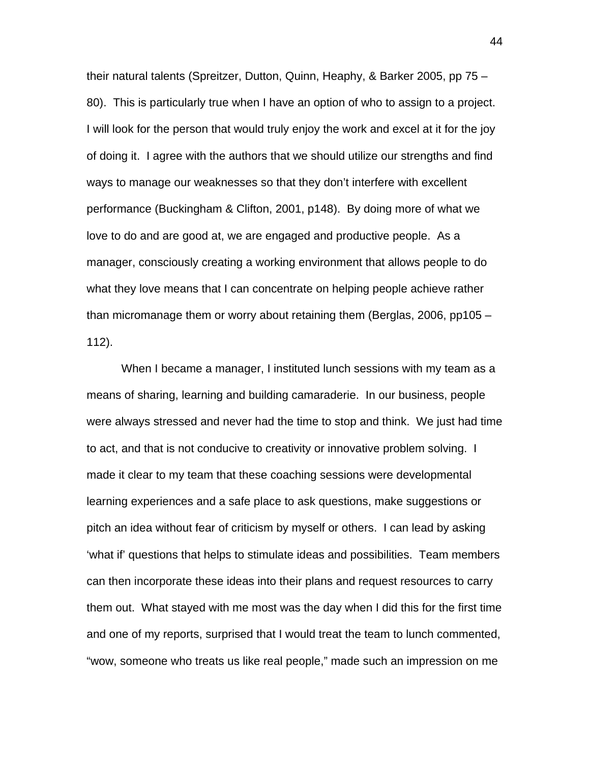their natural talents (Spreitzer, Dutton, Quinn, Heaphy, & Barker 2005, pp 75 – 80). This is particularly true when I have an option of who to assign to a project. I will look for the person that would truly enjoy the work and excel at it for the joy of doing it. I agree with the authors that we should utilize our strengths and find ways to manage our weaknesses so that they don't interfere with excellent performance (Buckingham & Clifton, 2001, p148). By doing more of what we love to do and are good at, we are engaged and productive people. As a manager, consciously creating a working environment that allows people to do what they love means that I can concentrate on helping people achieve rather than micromanage them or worry about retaining them (Berglas, 2006, pp105 – 112).

When I became a manager, I instituted lunch sessions with my team as a means of sharing, learning and building camaraderie. In our business, people were always stressed and never had the time to stop and think. We just had time to act, and that is not conducive to creativity or innovative problem solving. I made it clear to my team that these coaching sessions were developmental learning experiences and a safe place to ask questions, make suggestions or pitch an idea without fear of criticism by myself or others. I can lead by asking 'what if' questions that helps to stimulate ideas and possibilities. Team members can then incorporate these ideas into their plans and request resources to carry them out. What stayed with me most was the day when I did this for the first time and one of my reports, surprised that I would treat the team to lunch commented, "wow, someone who treats us like real people," made such an impression on me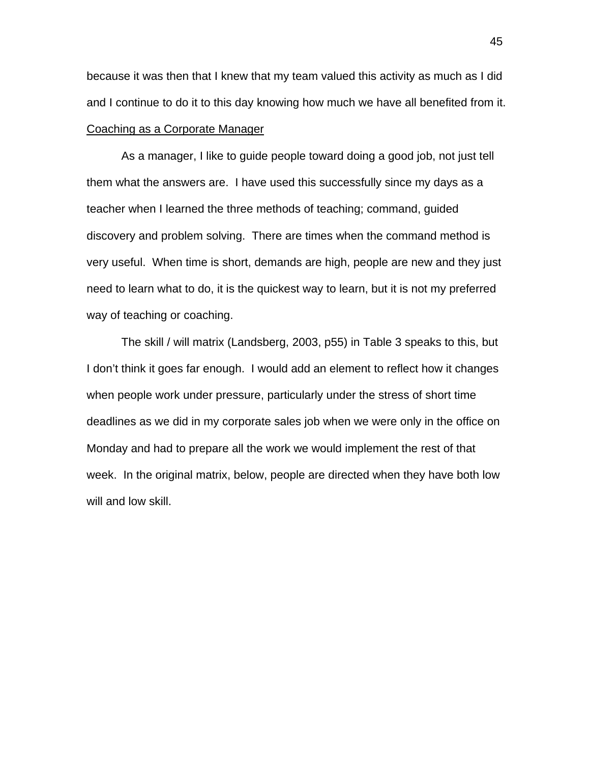because it was then that I knew that my team valued this activity as much as I did and I continue to do it to this day knowing how much we have all benefited from it. Coaching as a Corporate Manager

 As a manager, I like to guide people toward doing a good job, not just tell them what the answers are. I have used this successfully since my days as a teacher when I learned the three methods of teaching; command, guided discovery and problem solving. There are times when the command method is very useful. When time is short, demands are high, people are new and they just need to learn what to do, it is the quickest way to learn, but it is not my preferred way of teaching or coaching.

 The skill / will matrix (Landsberg, 2003, p55) in Table 3 speaks to this, but I don't think it goes far enough. I would add an element to reflect how it changes when people work under pressure, particularly under the stress of short time deadlines as we did in my corporate sales job when we were only in the office on Monday and had to prepare all the work we would implement the rest of that week. In the original matrix, below, people are directed when they have both low will and low skill.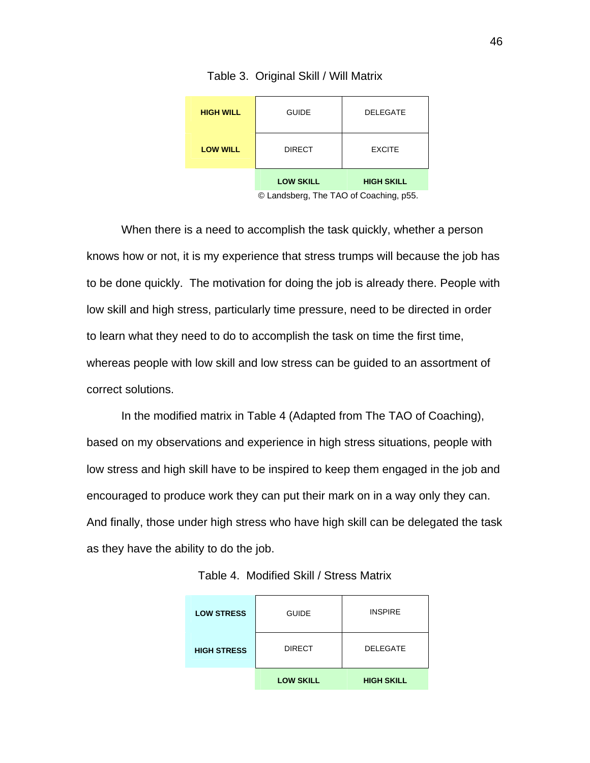| <b>HIGH WILL</b> | <b>GUIDE</b>                           | <b>DELEGATE</b>   |
|------------------|----------------------------------------|-------------------|
| <b>LOW WILL</b>  | <b>DIRECT</b>                          | <b>EXCITE</b>     |
|                  | <b>LOW SKILL</b>                       | <b>HIGH SKILL</b> |
|                  | © Landsberg. The TAO of Coaching. p55. |                   |

Table 3. Original Skill / Will Matrix

When there is a need to accomplish the task quickly, whether a person knows how or not, it is my experience that stress trumps will because the job has to be done quickly. The motivation for doing the job is already there. People with low skill and high stress, particularly time pressure, need to be directed in order to learn what they need to do to accomplish the task on time the first time, whereas people with low skill and low stress can be guided to an assortment of correct solutions.

In the modified matrix in Table 4 (Adapted from The TAO of Coaching), based on my observations and experience in high stress situations, people with low stress and high skill have to be inspired to keep them engaged in the job and encouraged to produce work they can put their mark on in a way only they can. And finally, those under high stress who have high skill can be delegated the task as they have the ability to do the job.

| <b>LOW STRESS</b>  | <b>GUIDE</b>     | <b>INSPIRE</b>    |
|--------------------|------------------|-------------------|
| <b>HIGH STRESS</b> | <b>DIRECT</b>    | <b>DELEGATE</b>   |
|                    | <b>LOW SKILL</b> | <b>HIGH SKILL</b> |

Table 4. Modified Skill / Stress Matrix

<sup>©</sup> Landsberg, The TAO of Coach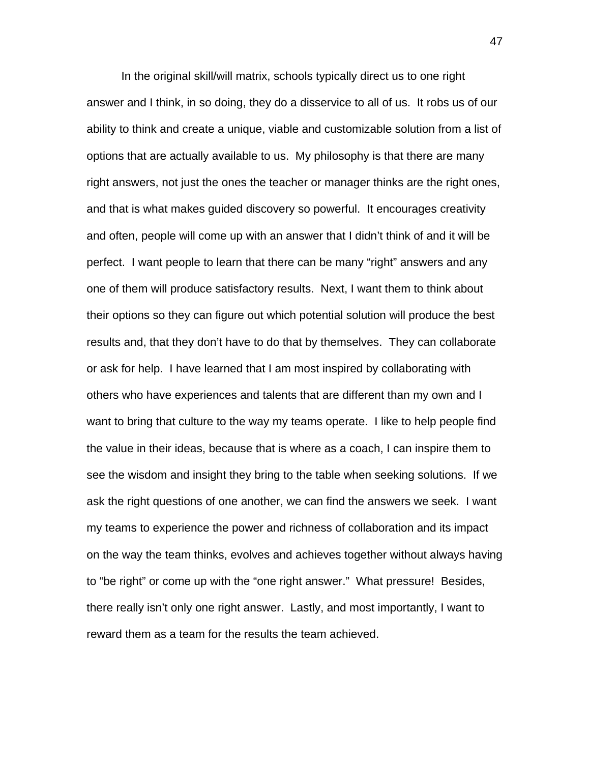In the original skill/will matrix, schools typically direct us to one right answer and I think, in so doing, they do a disservice to all of us. It robs us of our ability to think and create a unique, viable and customizable solution from a list of options that are actually available to us. My philosophy is that there are many right answers, not just the ones the teacher or manager thinks are the right ones, and that is what makes guided discovery so powerful. It encourages creativity and often, people will come up with an answer that I didn't think of and it will be perfect. I want people to learn that there can be many "right" answers and any one of them will produce satisfactory results. Next, I want them to think about their options so they can figure out which potential solution will produce the best results and, that they don't have to do that by themselves. They can collaborate or ask for help. I have learned that I am most inspired by collaborating with others who have experiences and talents that are different than my own and I want to bring that culture to the way my teams operate. I like to help people find the value in their ideas, because that is where as a coach, I can inspire them to see the wisdom and insight they bring to the table when seeking solutions. If we ask the right questions of one another, we can find the answers we seek. I want my teams to experience the power and richness of collaboration and its impact on the way the team thinks, evolves and achieves together without always having to "be right" or come up with the "one right answer." What pressure! Besides, there really isn't only one right answer. Lastly, and most importantly, I want to reward them as a team for the results the team achieved.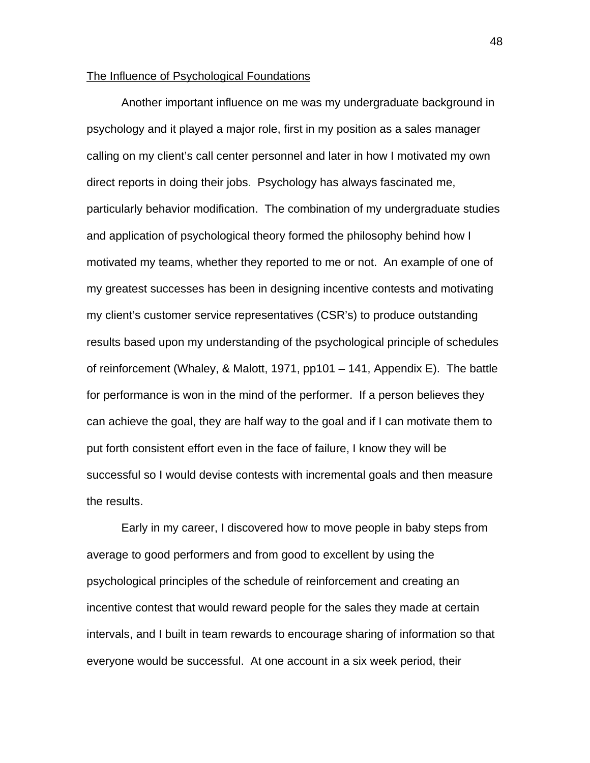### The Influence of Psychological Foundations

 Another important influence on me was my undergraduate background in psychology and it played a major role, first in my position as a sales manager calling on my client's call center personnel and later in how I motivated my own direct reports in doing their jobs. Psychology has always fascinated me, particularly behavior modification. The combination of my undergraduate studies and application of psychological theory formed the philosophy behind how I motivated my teams, whether they reported to me or not. An example of one of my greatest successes has been in designing incentive contests and motivating my client's customer service representatives (CSR's) to produce outstanding results based upon my understanding of the psychological principle of schedules of reinforcement (Whaley, & Malott, 1971, pp101 – 141, Appendix E). The battle for performance is won in the mind of the performer. If a person believes they can achieve the goal, they are half way to the goal and if I can motivate them to put forth consistent effort even in the face of failure, I know they will be successful so I would devise contests with incremental goals and then measure the results.

 Early in my career, I discovered how to move people in baby steps from average to good performers and from good to excellent by using the psychological principles of the schedule of reinforcement and creating an incentive contest that would reward people for the sales they made at certain intervals, and I built in team rewards to encourage sharing of information so that everyone would be successful. At one account in a six week period, their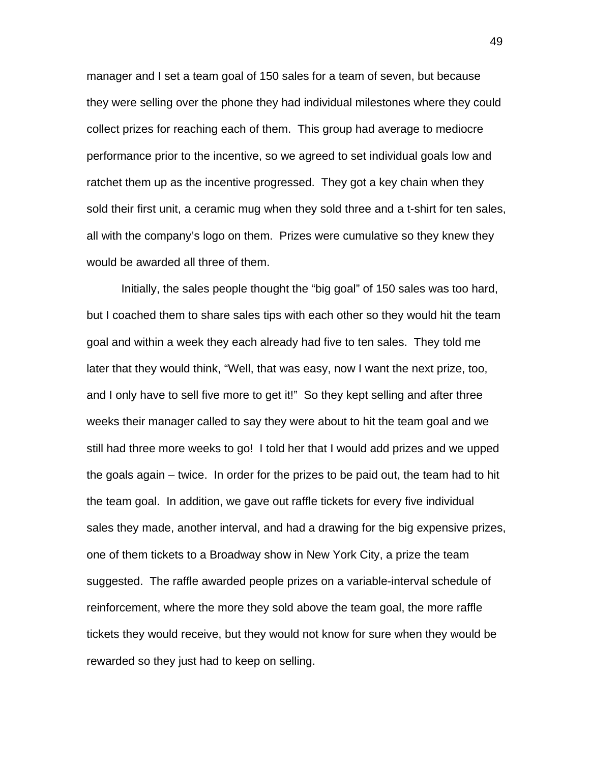manager and I set a team goal of 150 sales for a team of seven, but because they were selling over the phone they had individual milestones where they could collect prizes for reaching each of them. This group had average to mediocre performance prior to the incentive, so we agreed to set individual goals low and ratchet them up as the incentive progressed. They got a key chain when they sold their first unit, a ceramic mug when they sold three and a t-shirt for ten sales, all with the company's logo on them. Prizes were cumulative so they knew they would be awarded all three of them.

 Initially, the sales people thought the "big goal" of 150 sales was too hard, but I coached them to share sales tips with each other so they would hit the team goal and within a week they each already had five to ten sales. They told me later that they would think, "Well, that was easy, now I want the next prize, too, and I only have to sell five more to get it!" So they kept selling and after three weeks their manager called to say they were about to hit the team goal and we still had three more weeks to go! I told her that I would add prizes and we upped the goals again – twice. In order for the prizes to be paid out, the team had to hit the team goal. In addition, we gave out raffle tickets for every five individual sales they made, another interval, and had a drawing for the big expensive prizes, one of them tickets to a Broadway show in New York City, a prize the team suggested. The raffle awarded people prizes on a variable-interval schedule of reinforcement, where the more they sold above the team goal, the more raffle tickets they would receive, but they would not know for sure when they would be rewarded so they just had to keep on selling.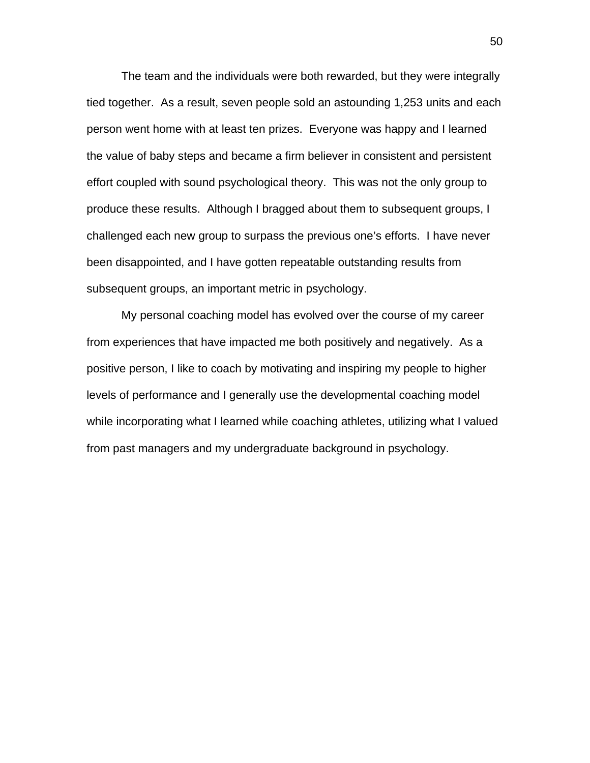The team and the individuals were both rewarded, but they were integrally tied together. As a result, seven people sold an astounding 1,253 units and each person went home with at least ten prizes. Everyone was happy and I learned the value of baby steps and became a firm believer in consistent and persistent effort coupled with sound psychological theory. This was not the only group to produce these results. Although I bragged about them to subsequent groups, I challenged each new group to surpass the previous one's efforts. I have never been disappointed, and I have gotten repeatable outstanding results from subsequent groups, an important metric in psychology.

 My personal coaching model has evolved over the course of my career from experiences that have impacted me both positively and negatively. As a positive person, I like to coach by motivating and inspiring my people to higher levels of performance and I generally use the developmental coaching model while incorporating what I learned while coaching athletes, utilizing what I valued from past managers and my undergraduate background in psychology.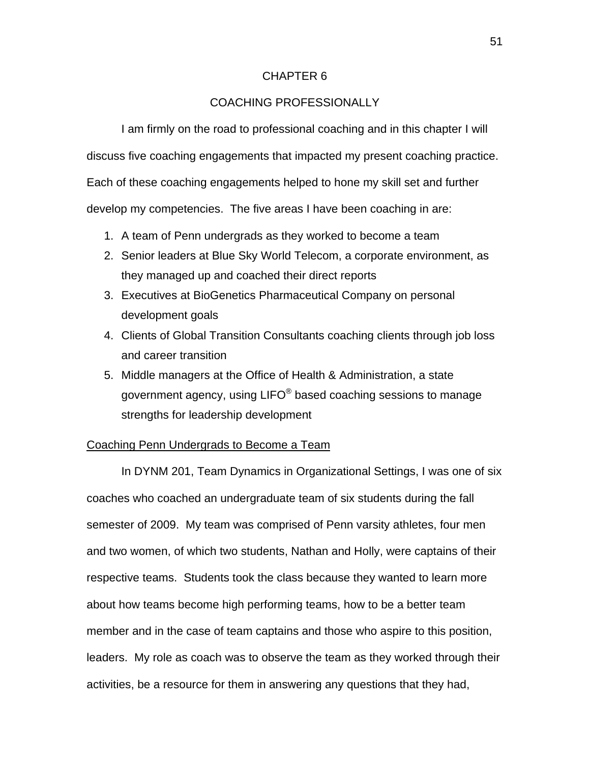## CHAPTER 6

# COACHING PROFESSIONALLY

I am firmly on the road to professional coaching and in this chapter I will discuss five coaching engagements that impacted my present coaching practice. Each of these coaching engagements helped to hone my skill set and further develop my competencies. The five areas I have been coaching in are:

- 1. A team of Penn undergrads as they worked to become a team
- 2. Senior leaders at Blue Sky World Telecom, a corporate environment, as they managed up and coached their direct reports
- 3. Executives at BioGenetics Pharmaceutical Company on personal development goals
- 4. Clients of Global Transition Consultants coaching clients through job loss and career transition
- 5. Middle managers at the Office of Health & Administration, a state government agency, using LIFO $^{\circ}$  based coaching sessions to manage strengths for leadership development

### Coaching Penn Undergrads to Become a Team

 In DYNM 201, Team Dynamics in Organizational Settings, I was one of six coaches who coached an undergraduate team of six students during the fall semester of 2009. My team was comprised of Penn varsity athletes, four men and two women, of which two students, Nathan and Holly, were captains of their respective teams. Students took the class because they wanted to learn more about how teams become high performing teams, how to be a better team member and in the case of team captains and those who aspire to this position, leaders. My role as coach was to observe the team as they worked through their activities, be a resource for them in answering any questions that they had,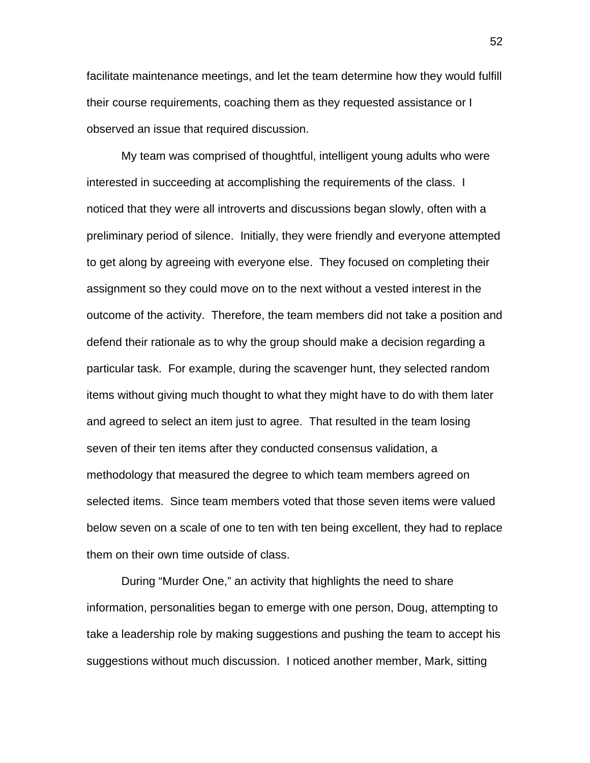facilitate maintenance meetings, and let the team determine how they would fulfill their course requirements, coaching them as they requested assistance or I observed an issue that required discussion.

 My team was comprised of thoughtful, intelligent young adults who were interested in succeeding at accomplishing the requirements of the class. I noticed that they were all introverts and discussions began slowly, often with a preliminary period of silence. Initially, they were friendly and everyone attempted to get along by agreeing with everyone else. They focused on completing their assignment so they could move on to the next without a vested interest in the outcome of the activity. Therefore, the team members did not take a position and defend their rationale as to why the group should make a decision regarding a particular task. For example, during the scavenger hunt, they selected random items without giving much thought to what they might have to do with them later and agreed to select an item just to agree. That resulted in the team losing seven of their ten items after they conducted consensus validation, a methodology that measured the degree to which team members agreed on selected items. Since team members voted that those seven items were valued below seven on a scale of one to ten with ten being excellent, they had to replace them on their own time outside of class.

 During "Murder One," an activity that highlights the need to share information, personalities began to emerge with one person, Doug, attempting to take a leadership role by making suggestions and pushing the team to accept his suggestions without much discussion. I noticed another member, Mark, sitting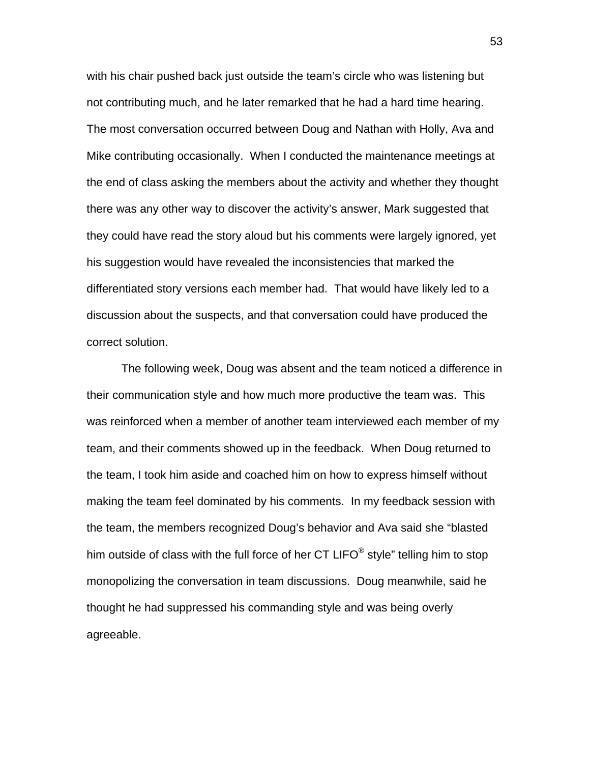with his chair pushed back just outside the team's circle who was listening but not contributing much, and he later remarked that he had a hard time hearing. The most conversation occurred between Doug and Nathan with Holly, Ava and Mike contributing occasionally. When I conducted the maintenance meetings at the end of class asking the members about the activity and whether they thought there was any other way to discover the activity's answer, Mark suggested that they could have read the story aloud but his comments were largely ignored, yet his suggestion would have revealed the inconsistencies that marked the differentiated story versions each member had. That would have likely led to a discussion about the suspects, and that conversation could have produced the correct solution.

 The following week, Doug was absent and the team noticed a difference in their communication style and how much more productive the team was. This was reinforced when a member of another team interviewed each member of my team, and their comments showed up in the feedback. When Doug returned to the team, I took him aside and coached him on how to express himself without making the team feel dominated by his comments. In my feedback session with the team, the members recognized Doug's behavior and Ava said she "blasted him outside of class with the full force of her  $CT$  LIFO<sup>®</sup> style" telling him to stop monopolizing the conversation in team discussions. Doug meanwhile, said he thought he had suppressed his commanding style and was being overly agreeable.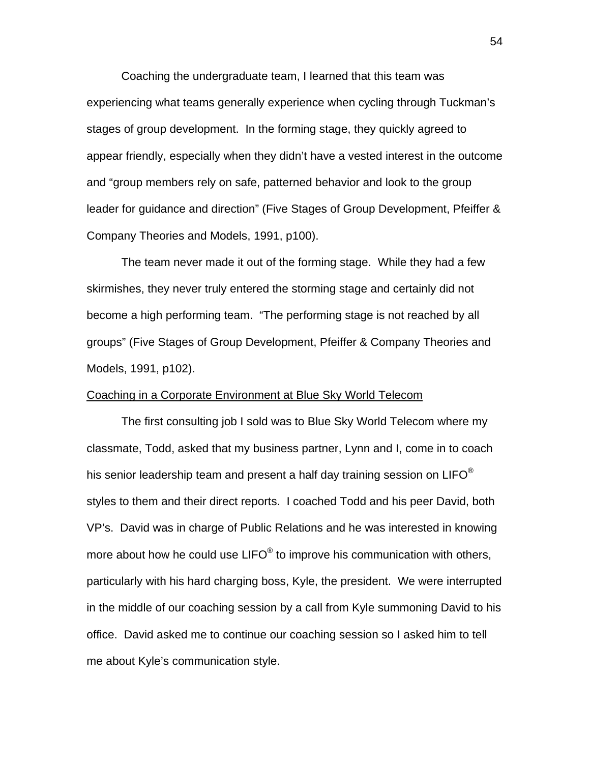Coaching the undergraduate team, I learned that this team was experiencing what teams generally experience when cycling through Tuckman's stages of group development. In the forming stage, they quickly agreed to appear friendly, especially when they didn't have a vested interest in the outcome and "group members rely on safe, patterned behavior and look to the group leader for guidance and direction" (Five Stages of Group Development, Pfeiffer & Company Theories and Models, 1991, p100).

 The team never made it out of the forming stage. While they had a few skirmishes, they never truly entered the storming stage and certainly did not become a high performing team. "The performing stage is not reached by all groups" (Five Stages of Group Development, Pfeiffer & Company Theories and Models, 1991, p102).

#### Coaching in a Corporate Environment at Blue Sky World Telecom

 The first consulting job I sold was to Blue Sky World Telecom where my classmate, Todd, asked that my business partner, Lynn and I, come in to coach his senior leadership team and present a half day training session on LIFO<sup>®</sup> styles to them and their direct reports. I coached Todd and his peer David, both VP's. David was in charge of Public Relations and he was interested in knowing more about how he could use  $LIFO^{\circledcirc}$  to improve his communication with others, particularly with his hard charging boss, Kyle, the president. We were interrupted in the middle of our coaching session by a call from Kyle summoning David to his office. David asked me to continue our coaching session so I asked him to tell me about Kyle's communication style.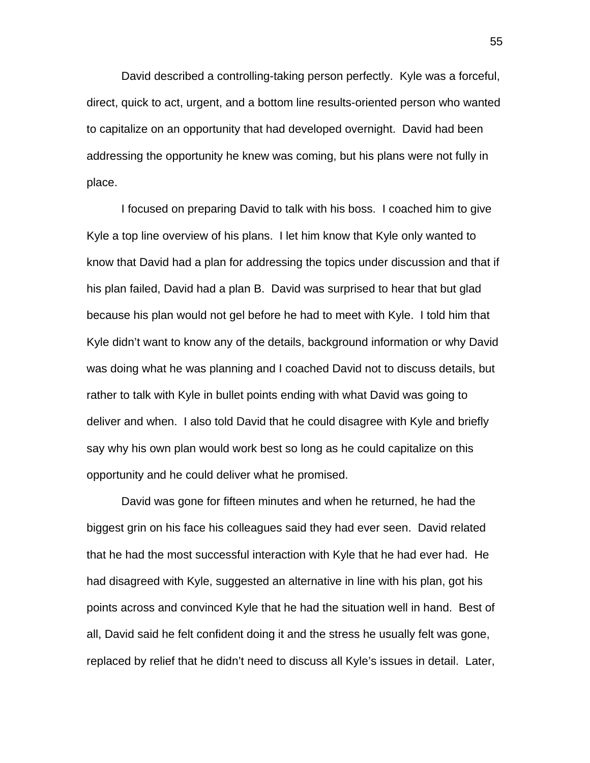David described a controlling-taking person perfectly. Kyle was a forceful, direct, quick to act, urgent, and a bottom line results-oriented person who wanted to capitalize on an opportunity that had developed overnight. David had been addressing the opportunity he knew was coming, but his plans were not fully in place.

 I focused on preparing David to talk with his boss. I coached him to give Kyle a top line overview of his plans. I let him know that Kyle only wanted to know that David had a plan for addressing the topics under discussion and that if his plan failed, David had a plan B. David was surprised to hear that but glad because his plan would not gel before he had to meet with Kyle. I told him that Kyle didn't want to know any of the details, background information or why David was doing what he was planning and I coached David not to discuss details, but rather to talk with Kyle in bullet points ending with what David was going to deliver and when. I also told David that he could disagree with Kyle and briefly say why his own plan would work best so long as he could capitalize on this opportunity and he could deliver what he promised.

 David was gone for fifteen minutes and when he returned, he had the biggest grin on his face his colleagues said they had ever seen. David related that he had the most successful interaction with Kyle that he had ever had. He had disagreed with Kyle, suggested an alternative in line with his plan, got his points across and convinced Kyle that he had the situation well in hand. Best of all, David said he felt confident doing it and the stress he usually felt was gone, replaced by relief that he didn't need to discuss all Kyle's issues in detail. Later,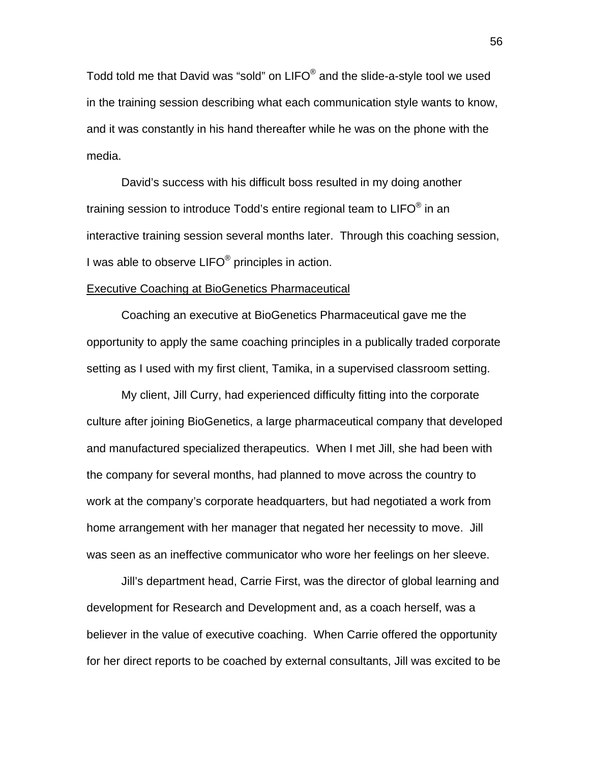Todd told me that David was "sold" on LIFO® and the slide-a-style tool we used in the training session describing what each communication style wants to know, and it was constantly in his hand thereafter while he was on the phone with the media.

 David's success with his difficult boss resulted in my doing another training session to introduce Todd's entire regional team to  $LIFO^@$  in an interactive training session several months later. Through this coaching session, I was able to observe LIFO<sup>®</sup> principles in action.

#### Executive Coaching at BioGenetics Pharmaceutical

 Coaching an executive at BioGenetics Pharmaceutical gave me the opportunity to apply the same coaching principles in a publically traded corporate setting as I used with my first client, Tamika, in a supervised classroom setting.

 My client, Jill Curry, had experienced difficulty fitting into the corporate culture after joining BioGenetics, a large pharmaceutical company that developed and manufactured specialized therapeutics. When I met Jill, she had been with the company for several months, had planned to move across the country to work at the company's corporate headquarters, but had negotiated a work from home arrangement with her manager that negated her necessity to move. Jill was seen as an ineffective communicator who wore her feelings on her sleeve.

 Jill's department head, Carrie First, was the director of global learning and development for Research and Development and, as a coach herself, was a believer in the value of executive coaching. When Carrie offered the opportunity for her direct reports to be coached by external consultants, Jill was excited to be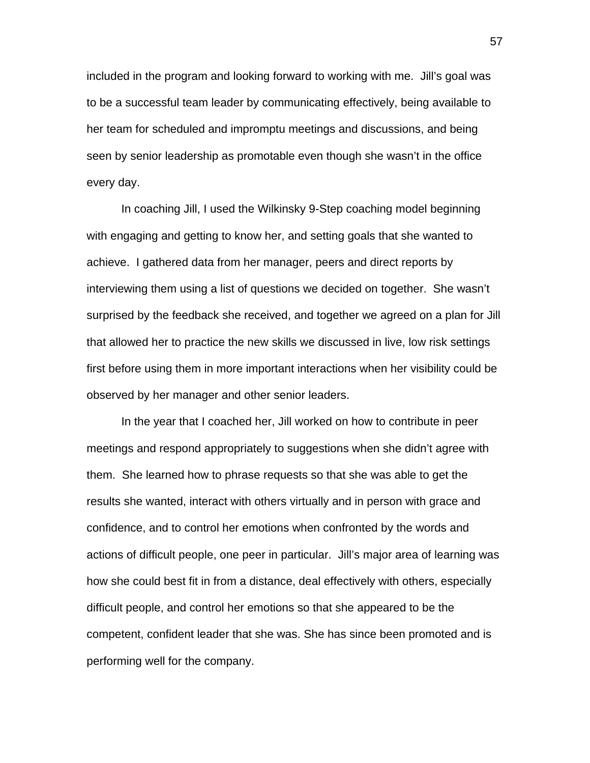included in the program and looking forward to working with me. Jill's goal was to be a successful team leader by communicating effectively, being available to her team for scheduled and impromptu meetings and discussions, and being seen by senior leadership as promotable even though she wasn't in the office every day.

 In coaching Jill, I used the Wilkinsky 9-Step coaching model beginning with engaging and getting to know her, and setting goals that she wanted to achieve. I gathered data from her manager, peers and direct reports by interviewing them using a list of questions we decided on together. She wasn't surprised by the feedback she received, and together we agreed on a plan for Jill that allowed her to practice the new skills we discussed in live, low risk settings first before using them in more important interactions when her visibility could be observed by her manager and other senior leaders.

 In the year that I coached her, Jill worked on how to contribute in peer meetings and respond appropriately to suggestions when she didn't agree with them. She learned how to phrase requests so that she was able to get the results she wanted, interact with others virtually and in person with grace and confidence, and to control her emotions when confronted by the words and actions of difficult people, one peer in particular. Jill's major area of learning was how she could best fit in from a distance, deal effectively with others, especially difficult people, and control her emotions so that she appeared to be the competent, confident leader that she was. She has since been promoted and is performing well for the company.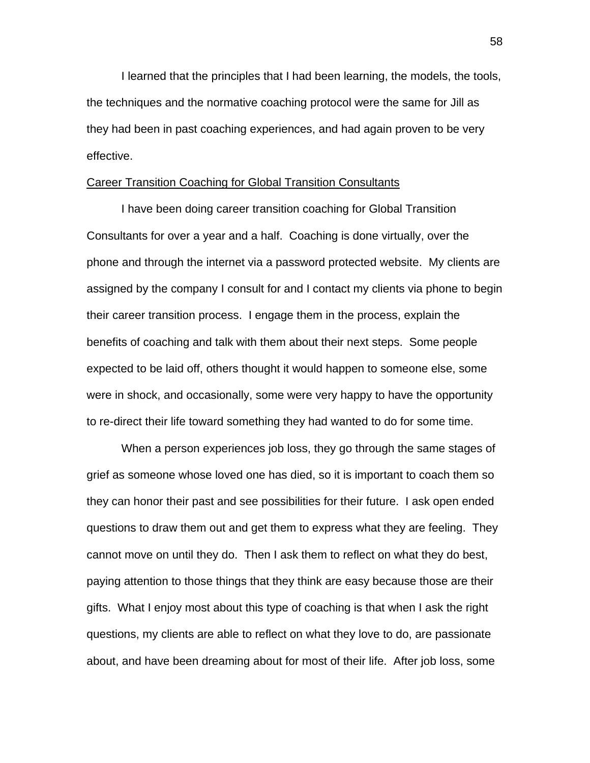I learned that the principles that I had been learning, the models, the tools, the techniques and the normative coaching protocol were the same for Jill as they had been in past coaching experiences, and had again proven to be very effective.

# Career Transition Coaching for Global Transition Consultants

 I have been doing career transition coaching for Global Transition Consultants for over a year and a half. Coaching is done virtually, over the phone and through the internet via a password protected website. My clients are assigned by the company I consult for and I contact my clients via phone to begin their career transition process. I engage them in the process, explain the benefits of coaching and talk with them about their next steps. Some people expected to be laid off, others thought it would happen to someone else, some were in shock, and occasionally, some were very happy to have the opportunity to re-direct their life toward something they had wanted to do for some time.

 When a person experiences job loss, they go through the same stages of grief as someone whose loved one has died, so it is important to coach them so they can honor their past and see possibilities for their future. I ask open ended questions to draw them out and get them to express what they are feeling. They cannot move on until they do. Then I ask them to reflect on what they do best, paying attention to those things that they think are easy because those are their gifts. What I enjoy most about this type of coaching is that when I ask the right questions, my clients are able to reflect on what they love to do, are passionate about, and have been dreaming about for most of their life. After job loss, some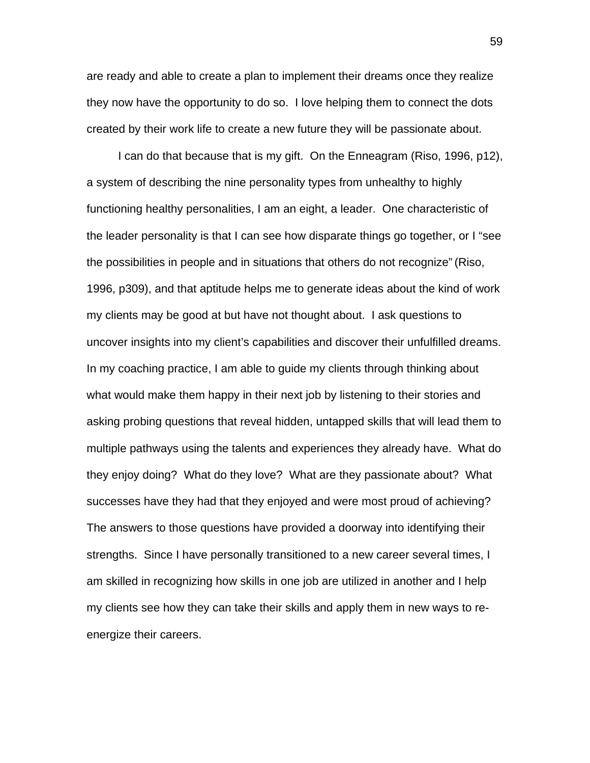are ready and able to create a plan to implement their dreams once they realize they now have the opportunity to do so. I love helping them to connect the dots created by their work life to create a new future they will be passionate about.

 I can do that because that is my gift. On the Enneagram (Riso, 1996, p12), a system of describing the nine personality types from unhealthy to highly functioning healthy personalities, I am an eight, a leader. One characteristic of the leader personality is that I can see how disparate things go together, or I "see the possibilities in people and in situations that others do not recognize" (Riso, 1996, p309), and that aptitude helps me to generate ideas about the kind of work my clients may be good at but have not thought about. I ask questions to uncover insights into my client's capabilities and discover their unfulfilled dreams. In my coaching practice, I am able to guide my clients through thinking about what would make them happy in their next job by listening to their stories and asking probing questions that reveal hidden, untapped skills that will lead them to multiple pathways using the talents and experiences they already have. What do they enjoy doing? What do they love? What are they passionate about? What successes have they had that they enjoyed and were most proud of achieving? The answers to those questions have provided a doorway into identifying their strengths. Since I have personally transitioned to a new career several times, I am skilled in recognizing how skills in one job are utilized in another and I help my clients see how they can take their skills and apply them in new ways to reenergize their careers.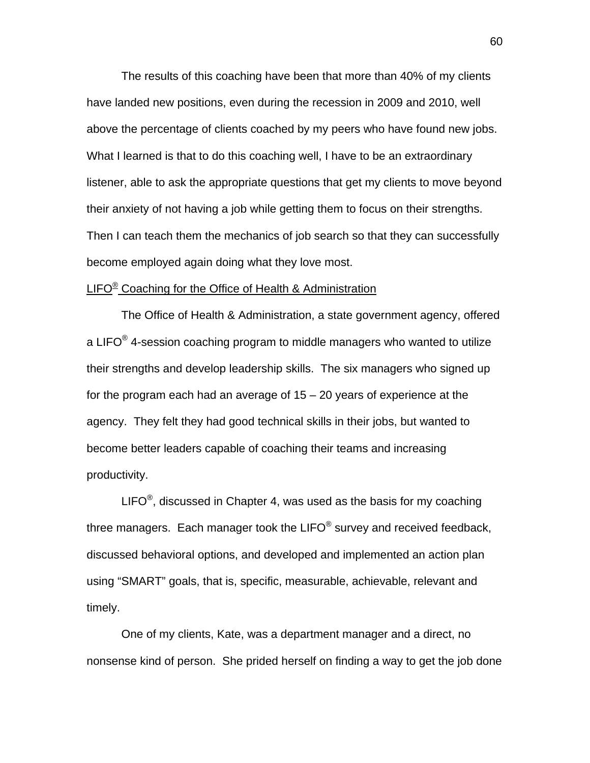The results of this coaching have been that more than 40% of my clients have landed new positions, even during the recession in 2009 and 2010, well above the percentage of clients coached by my peers who have found new jobs. What I learned is that to do this coaching well, I have to be an extraordinary listener, able to ask the appropriate questions that get my clients to move beyond their anxiety of not having a job while getting them to focus on their strengths. Then I can teach them the mechanics of job search so that they can successfully become employed again doing what they love most.

### LIFO<sup>®</sup> Coaching for the Office of Health & Administration

The Office of Health & Administration, a state government agency, offered a LIFO $^{\circledR}$  4-session coaching program to middle managers who wanted to utilize their strengths and develop leadership skills. The six managers who signed up for the program each had an average of 15 – 20 years of experience at the agency. They felt they had good technical skills in their jobs, but wanted to become better leaders capable of coaching their teams and increasing productivity.

LIFO $^{\circ}$ , discussed in Chapter 4, was used as the basis for my coaching three managers. Each manager took the LIFO $^{\circ}$  survey and received feedback, discussed behavioral options, and developed and implemented an action plan using "SMART" goals, that is, specific, measurable, achievable, relevant and timely.

 One of my clients, Kate, was a department manager and a direct, no nonsense kind of person. She prided herself on finding a way to get the job done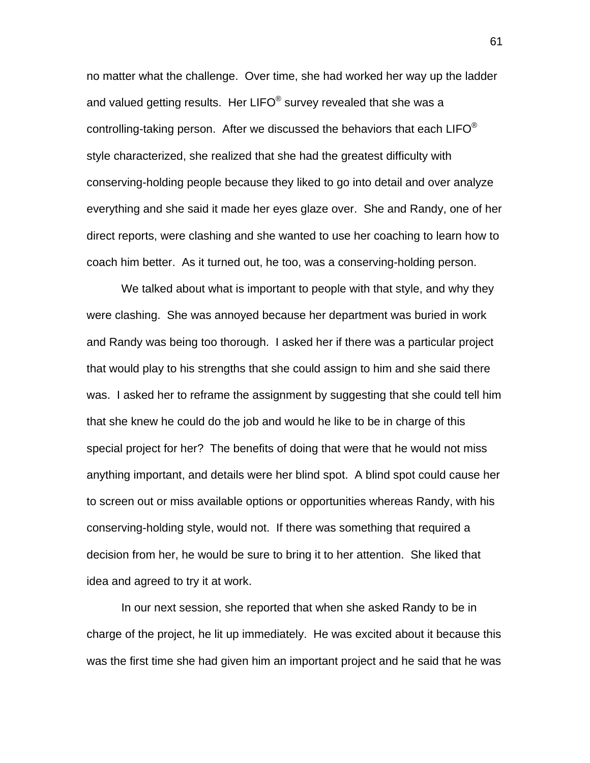no matter what the challenge. Over time, she had worked her way up the ladder and valued getting results. Her LIFO<sup>®</sup> survey revealed that she was a controlling-taking person. After we discussed the behaviors that each LIFO $^{\circledast}$ style characterized, she realized that she had the greatest difficulty with conserving-holding people because they liked to go into detail and over analyze everything and she said it made her eyes glaze over. She and Randy, one of her direct reports, were clashing and she wanted to use her coaching to learn how to coach him better. As it turned out, he too, was a conserving-holding person.

 We talked about what is important to people with that style, and why they were clashing. She was annoyed because her department was buried in work and Randy was being too thorough. I asked her if there was a particular project that would play to his strengths that she could assign to him and she said there was. I asked her to reframe the assignment by suggesting that she could tell him that she knew he could do the job and would he like to be in charge of this special project for her? The benefits of doing that were that he would not miss anything important, and details were her blind spot. A blind spot could cause her to screen out or miss available options or opportunities whereas Randy, with his conserving-holding style, would not. If there was something that required a decision from her, he would be sure to bring it to her attention. She liked that idea and agreed to try it at work.

 In our next session, she reported that when she asked Randy to be in charge of the project, he lit up immediately. He was excited about it because this was the first time she had given him an important project and he said that he was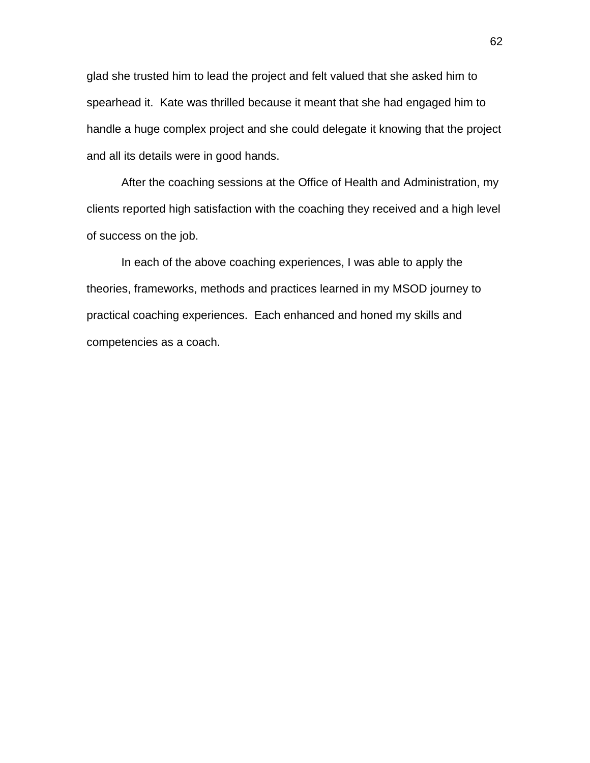glad she trusted him to lead the project and felt valued that she asked him to spearhead it. Kate was thrilled because it meant that she had engaged him to handle a huge complex project and she could delegate it knowing that the project and all its details were in good hands.

 After the coaching sessions at the Office of Health and Administration, my clients reported high satisfaction with the coaching they received and a high level of success on the job.

 In each of the above coaching experiences, I was able to apply the theories, frameworks, methods and practices learned in my MSOD journey to practical coaching experiences. Each enhanced and honed my skills and competencies as a coach.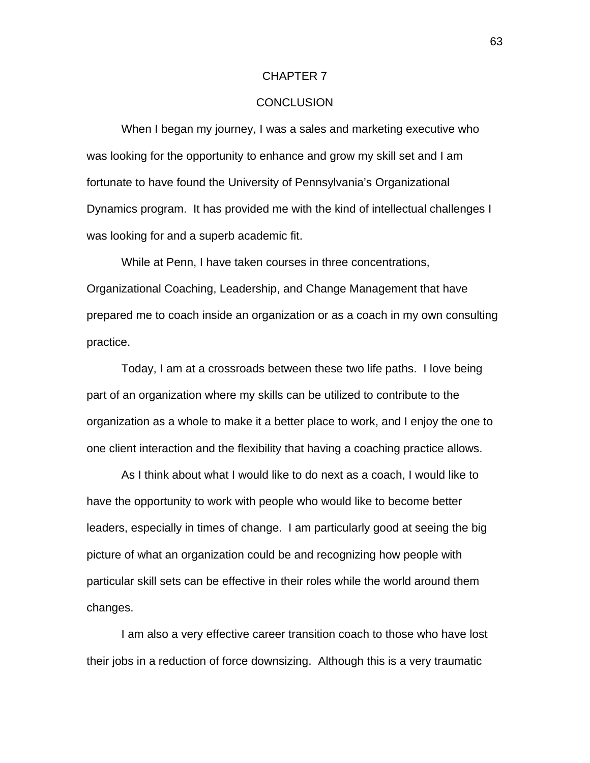#### CHAPTER 7

#### **CONCLUSION**

 When I began my journey, I was a sales and marketing executive who was looking for the opportunity to enhance and grow my skill set and I am fortunate to have found the University of Pennsylvania's Organizational Dynamics program. It has provided me with the kind of intellectual challenges I was looking for and a superb academic fit.

 While at Penn, I have taken courses in three concentrations, Organizational Coaching, Leadership, and Change Management that have prepared me to coach inside an organization or as a coach in my own consulting practice.

 Today, I am at a crossroads between these two life paths. I love being part of an organization where my skills can be utilized to contribute to the organization as a whole to make it a better place to work, and I enjoy the one to one client interaction and the flexibility that having a coaching practice allows.

 As I think about what I would like to do next as a coach, I would like to have the opportunity to work with people who would like to become better leaders, especially in times of change. I am particularly good at seeing the big picture of what an organization could be and recognizing how people with particular skill sets can be effective in their roles while the world around them changes.

 I am also a very effective career transition coach to those who have lost their jobs in a reduction of force downsizing. Although this is a very traumatic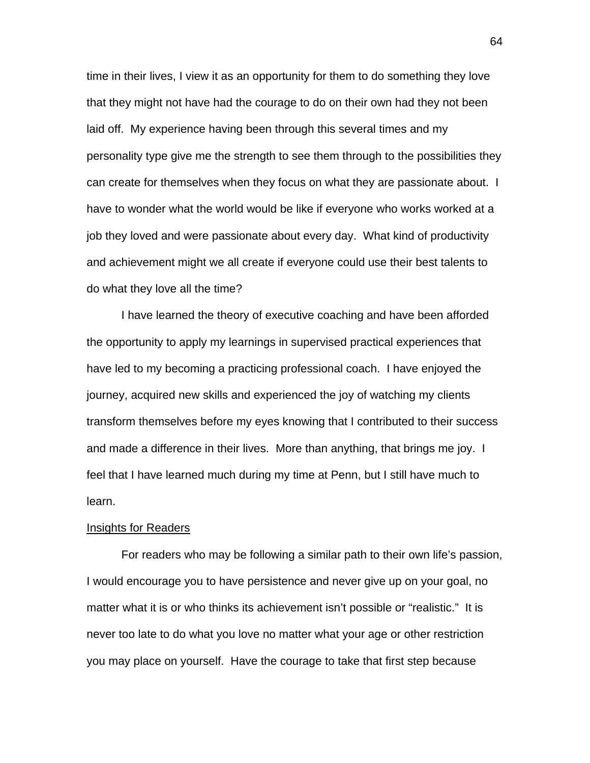time in their lives, I view it as an opportunity for them to do something they love that they might not have had the courage to do on their own had they not been laid off. My experience having been through this several times and my personality type give me the strength to see them through to the possibilities they can create for themselves when they focus on what they are passionate about. I have to wonder what the world would be like if everyone who works worked at a job they loved and were passionate about every day. What kind of productivity and achievement might we all create if everyone could use their best talents to do what they love all the time?

 I have learned the theory of executive coaching and have been afforded the opportunity to apply my learnings in supervised practical experiences that have led to my becoming a practicing professional coach. I have enjoyed the journey, acquired new skills and experienced the joy of watching my clients transform themselves before my eyes knowing that I contributed to their success and made a difference in their lives. More than anything, that brings me joy. I feel that I have learned much during my time at Penn, but I still have much to learn.

#### Insights for Readers

 For readers who may be following a similar path to their own life's passion, I would encourage you to have persistence and never give up on your goal, no matter what it is or who thinks its achievement isn't possible or "realistic." It is never too late to do what you love no matter what your age or other restriction you may place on yourself. Have the courage to take that first step because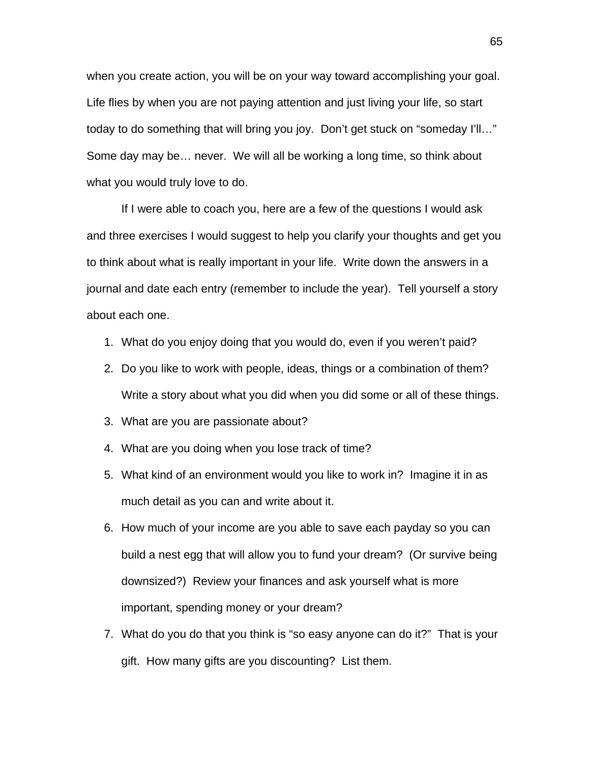when you create action, you will be on your way toward accomplishing your goal. Life flies by when you are not paying attention and just living your life, so start today to do something that will bring you joy. Don't get stuck on "someday I'll…" Some day may be… never. We will all be working a long time, so think about what you would truly love to do.

 If I were able to coach you, here are a few of the questions I would ask and three exercises I would suggest to help you clarify your thoughts and get you to think about what is really important in your life. Write down the answers in a journal and date each entry (remember to include the year). Tell yourself a story about each one.

- 1. What do you enjoy doing that you would do, even if you weren't paid?
- 2. Do you like to work with people, ideas, things or a combination of them? Write a story about what you did when you did some or all of these things.
- 3. What are you are passionate about?
- 4. What are you doing when you lose track of time?
- 5. What kind of an environment would you like to work in? Imagine it in as much detail as you can and write about it.
- 6. How much of your income are you able to save each payday so you can build a nest egg that will allow you to fund your dream? (Or survive being downsized?) Review your finances and ask yourself what is more important, spending money or your dream?
- 7. What do you do that you think is "so easy anyone can do it?" That is your gift. How many gifts are you discounting? List them.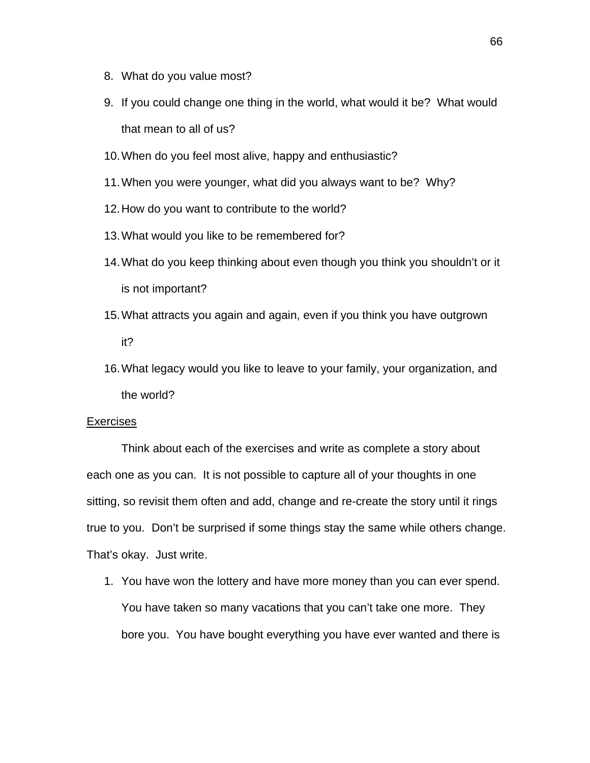- 8. What do you value most?
- 9. If you could change one thing in the world, what would it be? What would that mean to all of us?
- 10. When do you feel most alive, happy and enthusiastic?
- 11. When you were younger, what did you always want to be? Why?
- 12. How do you want to contribute to the world?
- 13. What would you like to be remembered for?
- 14. What do you keep thinking about even though you think you shouldn't or it is not important?
- 15. What attracts you again and again, even if you think you have outgrown it?
- 16. What legacy would you like to leave to your family, your organization, and the world?

#### Exercises

 Think about each of the exercises and write as complete a story about each one as you can. It is not possible to capture all of your thoughts in one sitting, so revisit them often and add, change and re-create the story until it rings true to you. Don't be surprised if some things stay the same while others change. That's okay. Just write.

1. You have won the lottery and have more money than you can ever spend. You have taken so many vacations that you can't take one more. They bore you. You have bought everything you have ever wanted and there is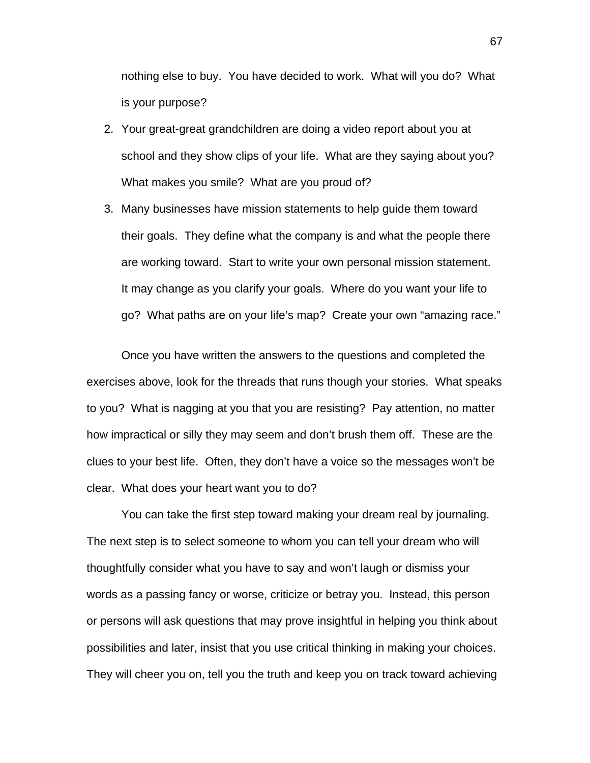nothing else to buy. You have decided to work. What will you do? What is your purpose?

- 2. Your great-great grandchildren are doing a video report about you at school and they show clips of your life. What are they saying about you? What makes you smile? What are you proud of?
- 3. Many businesses have mission statements to help guide them toward their goals. They define what the company is and what the people there are working toward. Start to write your own personal mission statement. It may change as you clarify your goals. Where do you want your life to go? What paths are on your life's map? Create your own "amazing race."

 Once you have written the answers to the questions and completed the exercises above, look for the threads that runs though your stories. What speaks to you? What is nagging at you that you are resisting? Pay attention, no matter how impractical or silly they may seem and don't brush them off. These are the clues to your best life. Often, they don't have a voice so the messages won't be clear. What does your heart want you to do?

 You can take the first step toward making your dream real by journaling. The next step is to select someone to whom you can tell your dream who will thoughtfully consider what you have to say and won't laugh or dismiss your words as a passing fancy or worse, criticize or betray you. Instead, this person or persons will ask questions that may prove insightful in helping you think about possibilities and later, insist that you use critical thinking in making your choices. They will cheer you on, tell you the truth and keep you on track toward achieving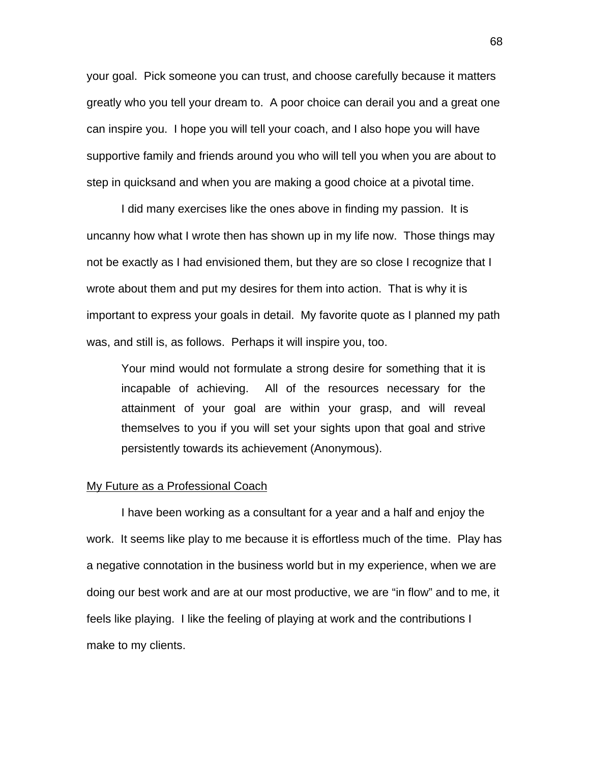your goal. Pick someone you can trust, and choose carefully because it matters greatly who you tell your dream to. A poor choice can derail you and a great one can inspire you. I hope you will tell your coach, and I also hope you will have supportive family and friends around you who will tell you when you are about to step in quicksand and when you are making a good choice at a pivotal time.

 I did many exercises like the ones above in finding my passion. It is uncanny how what I wrote then has shown up in my life now. Those things may not be exactly as I had envisioned them, but they are so close I recognize that I wrote about them and put my desires for them into action. That is why it is important to express your goals in detail. My favorite quote as I planned my path was, and still is, as follows. Perhaps it will inspire you, too.

Your mind would not formulate a strong desire for something that it is incapable of achieving. All of the resources necessary for the attainment of your goal are within your grasp, and will reveal themselves to you if you will set your sights upon that goal and strive persistently towards its achievement (Anonymous).

#### My Future as a Professional Coach

 I have been working as a consultant for a year and a half and enjoy the work. It seems like play to me because it is effortless much of the time. Play has a negative connotation in the business world but in my experience, when we are doing our best work and are at our most productive, we are "in flow" and to me, it feels like playing. I like the feeling of playing at work and the contributions I make to my clients.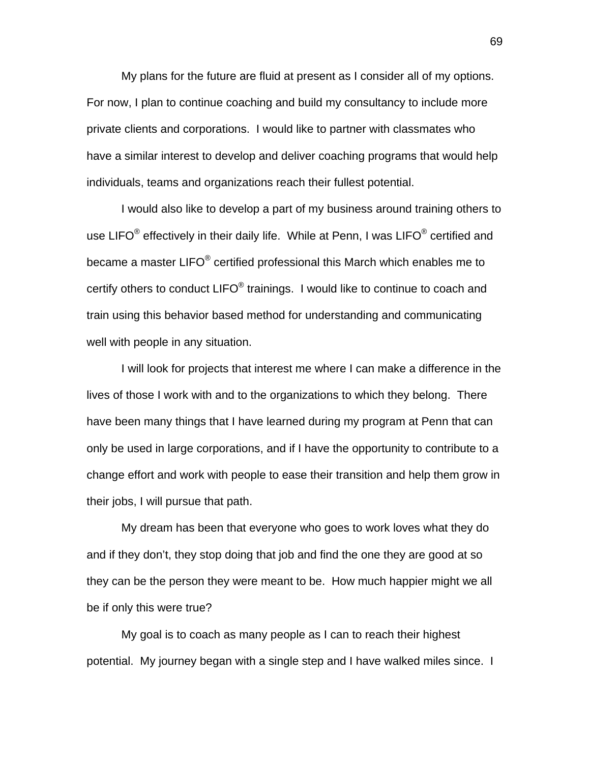My plans for the future are fluid at present as I consider all of my options. For now, I plan to continue coaching and build my consultancy to include more private clients and corporations. I would like to partner with classmates who have a similar interest to develop and deliver coaching programs that would help individuals, teams and organizations reach their fullest potential.

 I would also like to develop a part of my business around training others to use LIFO $^{\circ}$  effectively in their daily life. While at Penn, I was LIFO $^{\circ}$  certified and became a master LIFO $^{\circledast}$  certified professional this March which enables me to certify others to conduct LIFO® trainings. I would like to continue to coach and train using this behavior based method for understanding and communicating well with people in any situation.

 I will look for projects that interest me where I can make a difference in the lives of those I work with and to the organizations to which they belong. There have been many things that I have learned during my program at Penn that can only be used in large corporations, and if I have the opportunity to contribute to a change effort and work with people to ease their transition and help them grow in their jobs, I will pursue that path.

 My dream has been that everyone who goes to work loves what they do and if they don't, they stop doing that job and find the one they are good at so they can be the person they were meant to be. How much happier might we all be if only this were true?

 My goal is to coach as many people as I can to reach their highest potential. My journey began with a single step and I have walked miles since. I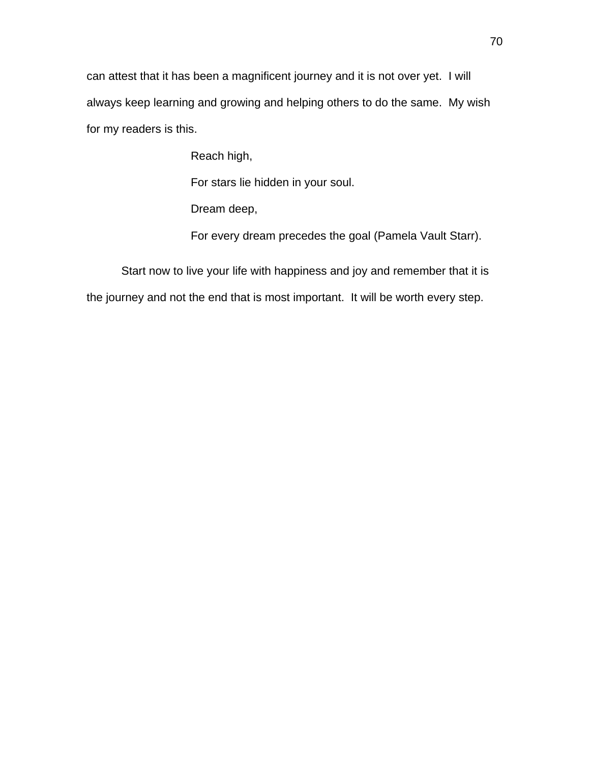can attest that it has been a magnificent journey and it is not over yet. I will always keep learning and growing and helping others to do the same. My wish for my readers is this.

Reach high,

For stars lie hidden in your soul.

Dream deep,

For every dream precedes the goal (Pamela Vault Starr).

 Start now to live your life with happiness and joy and remember that it is the journey and not the end that is most important. It will be worth every step.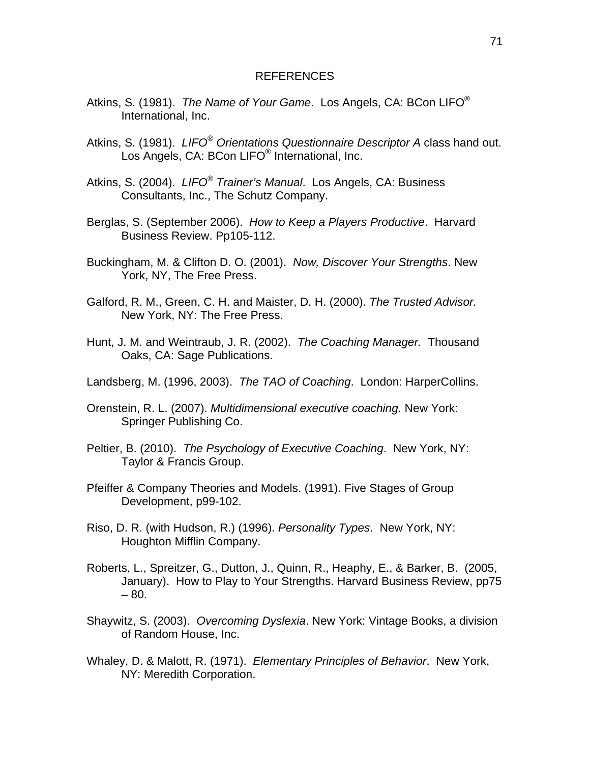#### REFERENCES

- Atkins, S. (1981). *The Name of Your Game*. Los Angels, CA: BCon LIFO® International, Inc.
- Atkins, S. (1981). *LIFO® Orientations Questionnaire Descriptor A* class hand out. Los Angels, CA: BCon LIFO® International, Inc.
- Atkins, S. (2004). *LIFO® Trainer's Manual*. Los Angels, CA: Business Consultants, Inc., The Schutz Company.
- Berglas, S. (September 2006). *How to Keep a Players Productive*. Harvard Business Review. Pp105-112.
- Buckingham, M. & Clifton D. O. (2001). *Now, Discover Your Strengths*. New York, NY, The Free Press.
- Galford, R. M., Green, C. H. and Maister, D. H. (2000). *The Trusted Advisor.* New York, NY: The Free Press.
- Hunt, J. M. and Weintraub, J. R. (2002). *The Coaching Manager.* Thousand Oaks, CA: Sage Publications.
- Landsberg, M. (1996, 2003). *The TAO of Coaching*. London: HarperCollins.
- Orenstein, R. L. (2007). *Multidimensional executive coaching.* New York: Springer Publishing Co.
- Peltier, B. (2010). *The Psychology of Executive Coaching*. New York, NY: Taylor & Francis Group.
- Pfeiffer & Company Theories and Models. (1991). Five Stages of Group Development, p99-102.
- Riso, D. R. (with Hudson, R.) (1996). *Personality Types*. New York, NY: Houghton Mifflin Company.
- Roberts, L., Spreitzer, G., Dutton, J., Quinn, R., Heaphy, E., & Barker, B. (2005, January). How to Play to Your Strengths. Harvard Business Review, pp75 – 80.
- Shaywitz, S. (2003). *Overcoming Dyslexia*. New York: Vintage Books, a division of Random House, Inc.
- Whaley, D. & Malott, R. (1971). *Elementary Principles of Behavior*. New York, NY: Meredith Corporation.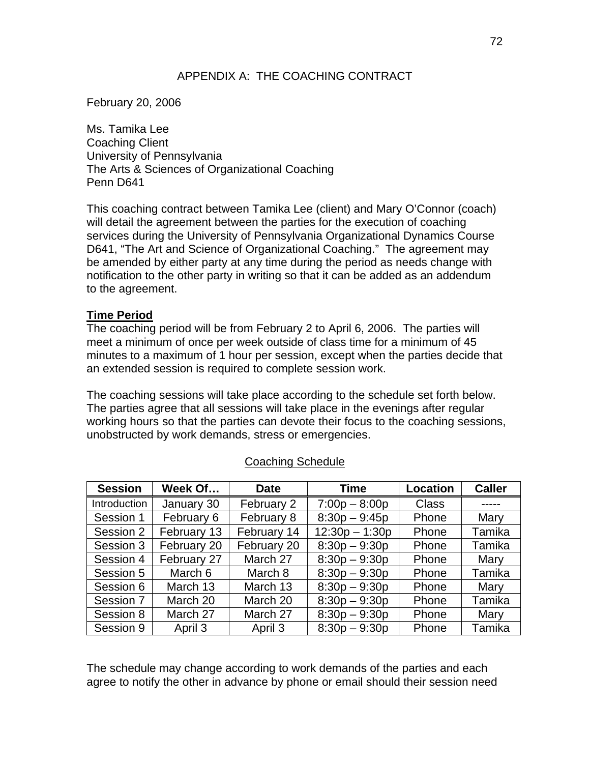# APPENDIX A: THE COACHING CONTRACT

February 20, 2006

Ms. Tamika Lee Coaching Client University of Pennsylvania The Arts & Sciences of Organizational Coaching Penn D641

This coaching contract between Tamika Lee (client) and Mary O'Connor (coach) will detail the agreement between the parties for the execution of coaching services during the University of Pennsylvania Organizational Dynamics Course D641, "The Art and Science of Organizational Coaching." The agreement may be amended by either party at any time during the period as needs change with notification to the other party in writing so that it can be added as an addendum to the agreement.

### **Time Period**

The coaching period will be from February 2 to April 6, 2006. The parties will meet a minimum of once per week outside of class time for a minimum of 45 minutes to a maximum of 1 hour per session, except when the parties decide that an extended session is required to complete session work.

The coaching sessions will take place according to the schedule set forth below. The parties agree that all sessions will take place in the evenings after regular working hours so that the parties can devote their focus to the coaching sessions, unobstructed by work demands, stress or emergencies.

| <b>Session</b> | Week Of     | <b>Date</b> | <b>Time</b>      | Location     | <b>Caller</b> |
|----------------|-------------|-------------|------------------|--------------|---------------|
| Introduction   | January 30  | February 2  | $7:00p - 8:00p$  | <b>Class</b> |               |
| Session 1      | February 6  | February 8  | $8:30p - 9:45p$  | Phone        | Mary          |
| Session 2      | February 13 | February 14 | $12:30p - 1:30p$ | Phone        | Tamika        |
| Session 3      | February 20 | February 20 | $8:30p - 9:30p$  | Phone        | Tamika        |
| Session 4      | February 27 | March 27    | $8:30p - 9:30p$  | Phone        | Mary          |
| Session 5      | March 6     | March 8     | $8:30p - 9:30p$  | Phone        | Tamika        |
| Session 6      | March 13    | March 13    | $8:30p - 9:30p$  | Phone        | Mary          |
| Session 7      | March 20    | March 20    | $8:30p - 9:30p$  | Phone        | Tamika        |
| Session 8      | March 27    | March 27    | $8:30p - 9:30p$  | Phone        | Mary          |
| Session 9      | April 3     | April 3     | $8:30p - 9:30p$  | Phone        | Tamika        |

### Coaching Schedule

The schedule may change according to work demands of the parties and each agree to notify the other in advance by phone or email should their session need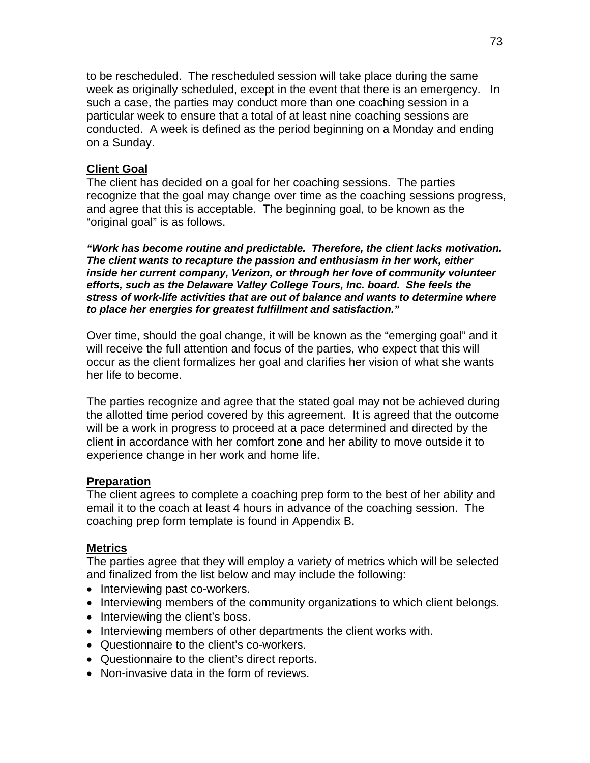to be rescheduled. The rescheduled session will take place during the same week as originally scheduled, except in the event that there is an emergency. In such a case, the parties may conduct more than one coaching session in a particular week to ensure that a total of at least nine coaching sessions are conducted. A week is defined as the period beginning on a Monday and ending on a Sunday.

### **Client Goal**

The client has decided on a goal for her coaching sessions. The parties recognize that the goal may change over time as the coaching sessions progress, and agree that this is acceptable. The beginning goal, to be known as the "original goal" is as follows.

*"Work has become routine and predictable. Therefore, the client lacks motivation. The client wants to recapture the passion and enthusiasm in her work, either inside her current company, Verizon, or through her love of community volunteer efforts, such as the Delaware Valley College Tours, Inc. board. She feels the stress of work-life activities that are out of balance and wants to determine where to place her energies for greatest fulfillment and satisfaction."* 

Over time, should the goal change, it will be known as the "emerging goal" and it will receive the full attention and focus of the parties, who expect that this will occur as the client formalizes her goal and clarifies her vision of what she wants her life to become.

The parties recognize and agree that the stated goal may not be achieved during the allotted time period covered by this agreement. It is agreed that the outcome will be a work in progress to proceed at a pace determined and directed by the client in accordance with her comfort zone and her ability to move outside it to experience change in her work and home life.

### **Preparation**

The client agrees to complete a coaching prep form to the best of her ability and email it to the coach at least 4 hours in advance of the coaching session. The coaching prep form template is found in Appendix B.

### **Metrics**

The parties agree that they will employ a variety of metrics which will be selected and finalized from the list below and may include the following:

- Interviewing past co-workers.
- Interviewing members of the community organizations to which client belongs.
- Interviewing the client's boss.
- Interviewing members of other departments the client works with.
- Questionnaire to the client's co-workers.
- Questionnaire to the client's direct reports.
- Non-invasive data in the form of reviews.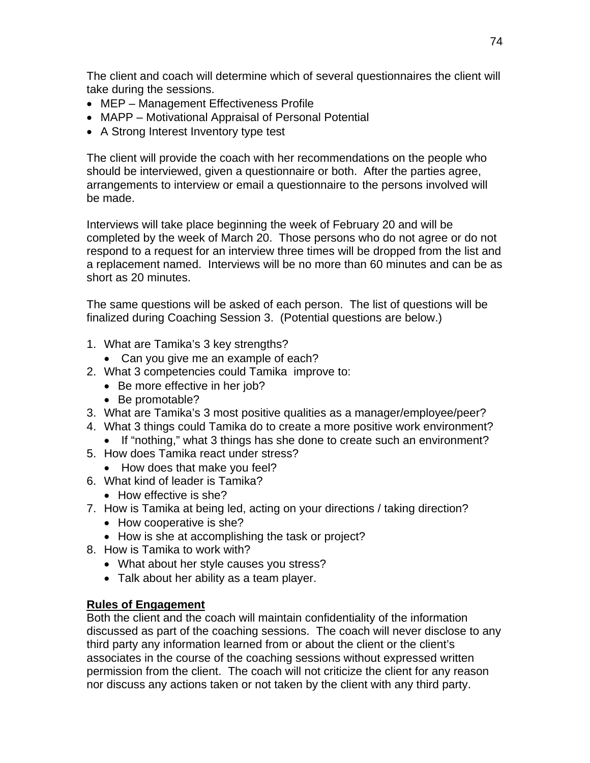The client and coach will determine which of several questionnaires the client will take during the sessions.

- MEP Management Effectiveness Profile
- MAPP Motivational Appraisal of Personal Potential
- A Strong Interest Inventory type test

The client will provide the coach with her recommendations on the people who should be interviewed, given a questionnaire or both. After the parties agree, arrangements to interview or email a questionnaire to the persons involved will be made.

Interviews will take place beginning the week of February 20 and will be completed by the week of March 20. Those persons who do not agree or do not respond to a request for an interview three times will be dropped from the list and a replacement named. Interviews will be no more than 60 minutes and can be as short as 20 minutes.

The same questions will be asked of each person. The list of questions will be finalized during Coaching Session 3. (Potential questions are below.)

- 1. What are Tamika's 3 key strengths?
	- Can you give me an example of each?
- 2. What 3 competencies could Tamika improve to:
	- Be more effective in her job?
	- Be promotable?
- 3. What are Tamika's 3 most positive qualities as a manager/employee/peer?
- 4. What 3 things could Tamika do to create a more positive work environment?
	- If "nothing," what 3 things has she done to create such an environment?
- 5. How does Tamika react under stress?
	- How does that make you feel?
- 6. What kind of leader is Tamika?
	- How effective is she?
- 7. How is Tamika at being led, acting on your directions / taking direction?
	- How cooperative is she?
	- How is she at accomplishing the task or project?
- 8. How is Tamika to work with?
	- What about her style causes you stress?
	- Talk about her ability as a team player.

## **Rules of Engagement**

Both the client and the coach will maintain confidentiality of the information discussed as part of the coaching sessions. The coach will never disclose to any third party any information learned from or about the client or the client's associates in the course of the coaching sessions without expressed written permission from the client. The coach will not criticize the client for any reason nor discuss any actions taken or not taken by the client with any third party.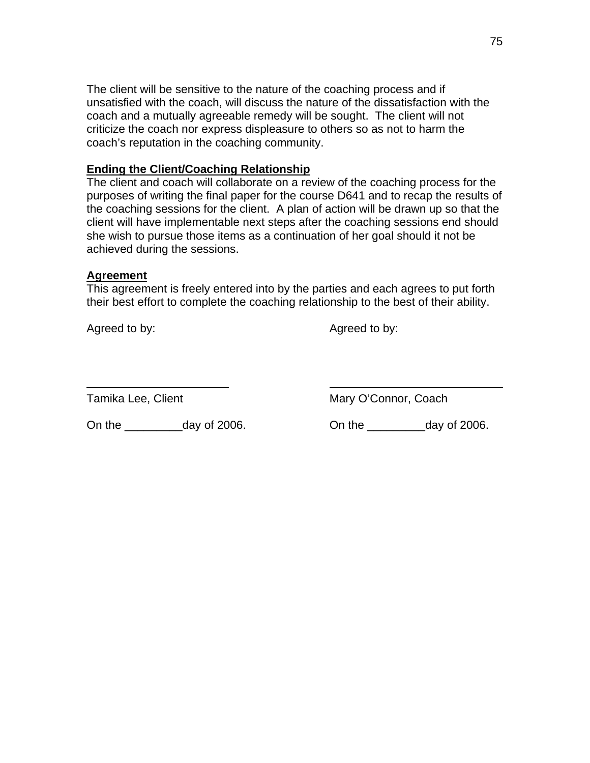The client will be sensitive to the nature of the coaching process and if unsatisfied with the coach, will discuss the nature of the dissatisfaction with the coach and a mutually agreeable remedy will be sought. The client will not criticize the coach nor express displeasure to others so as not to harm the coach's reputation in the coaching community.

### **Ending the Client/Coaching Relationship**

The client and coach will collaborate on a review of the coaching process for the purposes of writing the final paper for the course D641 and to recap the results of the coaching sessions for the client. A plan of action will be drawn up so that the client will have implementable next steps after the coaching sessions end should she wish to pursue those items as a continuation of her goal should it not be achieved during the sessions.

### **Agreement**

This agreement is freely entered into by the parties and each agrees to put forth their best effort to complete the coaching relationship to the best of their ability.

Agreed to by: Agreed to by:

 $\overline{a}$ 

Tamika Lee, Client Mary O'Connor, Coach

On the \_\_\_\_\_\_\_\_\_day of 2006. On the \_\_\_\_\_\_\_\_\_day of 2006.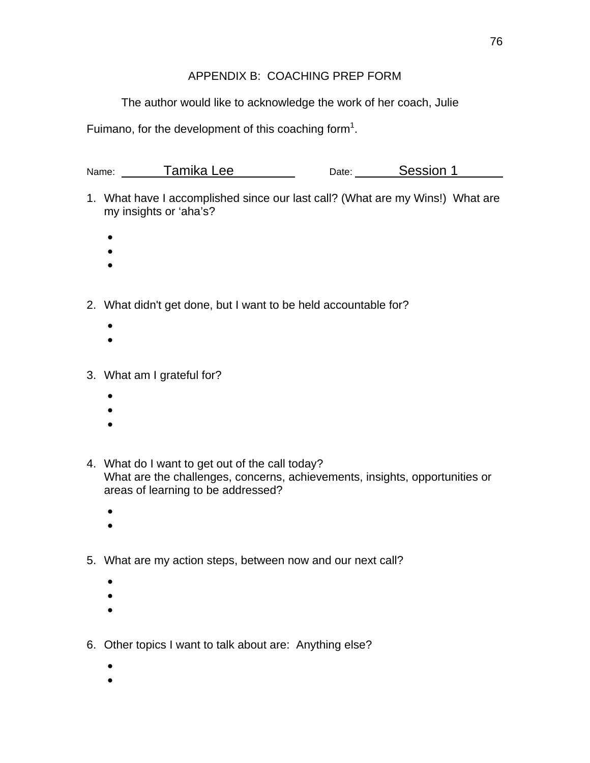# APPENDIX B: COACHING PREP FORM

The author would like to acknowledge the work of her coach, Julie

Fuimano, for the development of this coaching form<sup>1</sup>.

| Name: | Tamika Lee | Date: | Session 1 |  |
|-------|------------|-------|-----------|--|
|       |            |       |           |  |

- 1. What have I accomplished since our last call? (What are my Wins!) What are my insights or 'aha's?
	- $\bullet$
	- $\bullet$
	- $\bullet$
- 2. What didn't get done, but I want to be held accountable for?
	- $\bullet$
	- $\bullet$
- 3. What am I grateful for?
	- $\bullet$
	- $\bullet$
	- $\bullet$
- 4. What do I want to get out of the call today? What are the challenges, concerns, achievements, insights, opportunities or areas of learning to be addressed?
	- $\bullet$
	- $\bullet$
- 5. What are my action steps, between now and our next call?
	- $\bullet$
	- $\bullet$
	- $\bullet$
- 6. Other topics I want to talk about are: Anything else?
	- $\bullet$
	- $\bullet$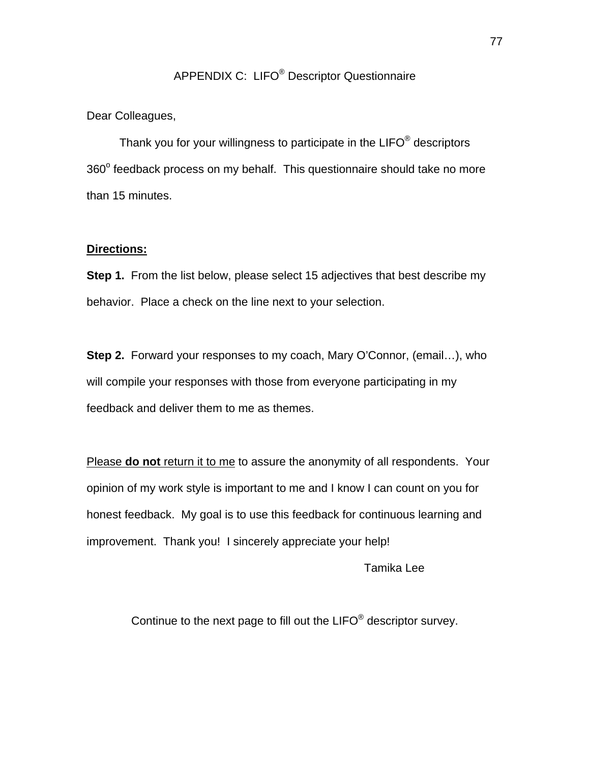# APPENDIX C: LIFO® Descriptor Questionnaire

#### Dear Colleagues,

Thank you for your willingness to participate in the LIFO<sup>®</sup> descriptors 360° feedback process on my behalf. This questionnaire should take no more than 15 minutes.

#### **Directions:**

**Step 1.** From the list below, please select 15 adjectives that best describe my behavior. Place a check on the line next to your selection.

**Step 2.** Forward your responses to my coach, Mary O'Connor, (email…), who will compile your responses with those from everyone participating in my feedback and deliver them to me as themes.

Please **do not** return it to me to assure the anonymity of all respondents. Your opinion of my work style is important to me and I know I can count on you for honest feedback. My goal is to use this feedback for continuous learning and improvement. Thank you! I sincerely appreciate your help!

Tamika Lee

Continue to the next page to fill out the LIFO® descriptor survey.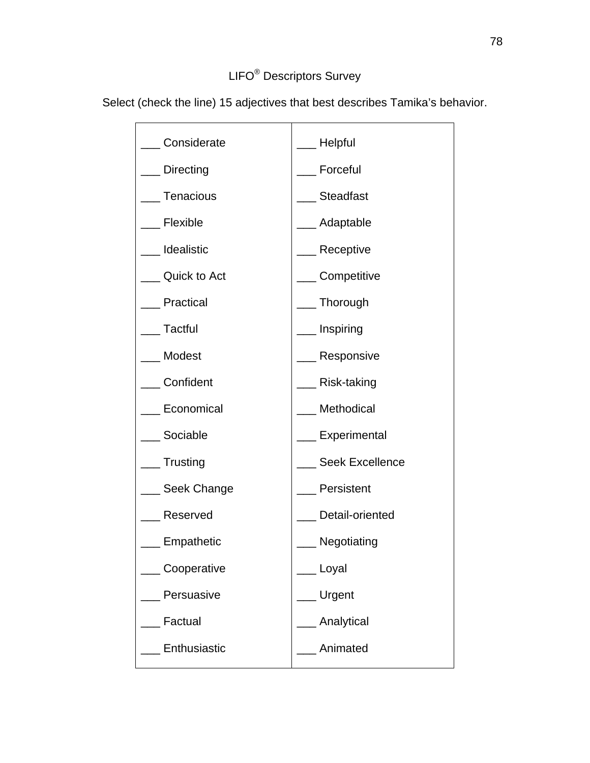# LIFO® Descriptors Survey

**Considerate** Directing **Tenacious Flexible** \_\_\_ Idealistic Quick to Act **Practical Tactful** \_\_\_ Modest \_\_\_ Confident Economical Sociable **Trusting** Seek Change \_\_\_ Reserved **Empathetic** \_\_\_ Cooperative Persuasive **Factual Enthusiastic** \_\_\_ Helpful \_\_\_ Forceful **Steadfast** \_\_\_ Adaptable Receptive **Competitive Thorough** \_\_\_ Inspiring Responsive \_\_\_ Risk-taking **Methodical Experimental** Seek Excellence **Persistent** Detail-oriented \_\_\_ Negotiating \_\_\_ Loyal \_\_\_ Urgent **Analytical** \_\_\_ Animated

Select (check the line) 15 adjectives that best describes Tamika's behavior.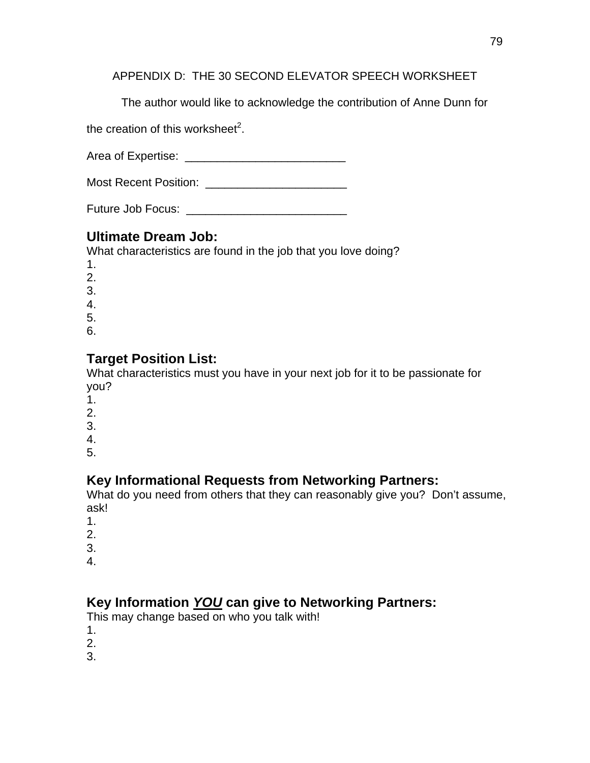APPENDIX D: THE 30 SECOND ELEVATOR SPEECH WORKSHEET

The author would like to acknowledge the contribution of Anne Dunn for

the creation of this worksheet<sup>2</sup>.

Area of Expertise: \_\_\_\_\_\_\_\_\_\_\_\_\_\_\_\_\_\_\_\_\_\_\_\_\_

Most Recent Position: \_\_\_\_\_\_\_\_\_\_\_\_\_\_\_\_\_\_\_\_\_\_

Future Job Focus: \_\_\_\_\_\_\_\_\_\_\_\_\_\_\_\_\_\_\_\_\_\_\_\_\_

# **Ultimate Dream Job:**

What characteristics are found in the job that you love doing?

- 1.
- 2.
- 3.
- 4.
- 5.
- 6.

# **Target Position List:**

What characteristics must you have in your next job for it to be passionate for you?

- 1.
- 2.
- 3.
- 4.
- 5.

# **Key Informational Requests from Networking Partners:**

What do you need from others that they can reasonably give you? Don't assume, ask!

- 1.
- 2.
- 3.
- 4.

# **Key Information** *YOU* **can give to Networking Partners:**

This may change based on who you talk with!

- 1.
- 2.
- 3.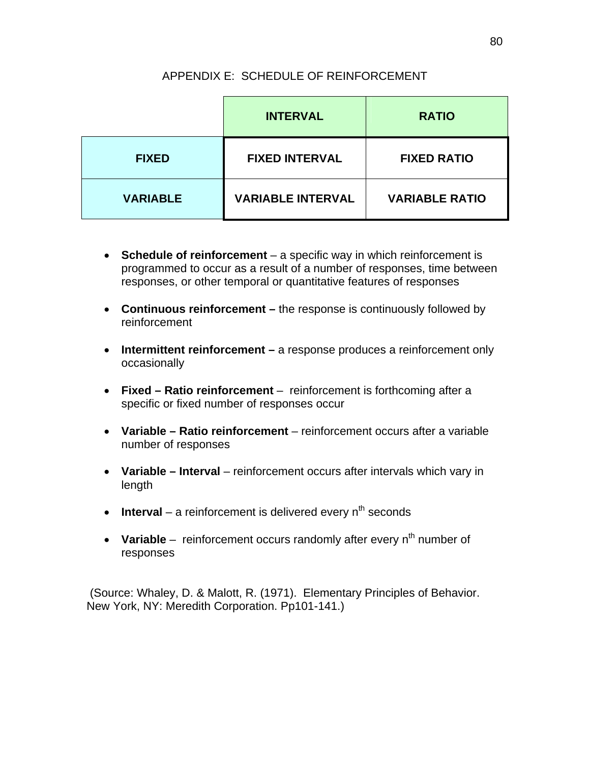# APPENDIX E: SCHEDULE OF REINFORCEMENT

|                 | <b>INTERVAL</b>          | <b>RATIO</b>          |  |
|-----------------|--------------------------|-----------------------|--|
| <b>FIXED</b>    | <b>FIXED INTERVAL</b>    | <b>FIXED RATIO</b>    |  |
| <b>VARIABLE</b> | <b>VARIABLE INTERVAL</b> | <b>VARIABLE RATIO</b> |  |

- **Schedule of reinforcement** a specific way in which reinforcement is programmed to occur as a result of a number of responses, time between responses, or other temporal or quantitative features of responses
- **Continuous reinforcement** the response is continuously followed by reinforcement
- **Intermittent reinforcement** a response produces a reinforcement only occasionally
- **Fixed Ratio reinforcement** reinforcement is forthcoming after a specific or fixed number of responses occur
- **Variable Ratio reinforcement** reinforcement occurs after a variable number of responses
- **Variable Interval** reinforcement occurs after intervals which vary in length
- **Interval** a reinforcement is delivered every  $n^{th}$  seconds
- Variable reinforcement occurs randomly after every n<sup>th</sup> number of responses

 (Source: Whaley, D. & Malott, R. (1971). Elementary Principles of Behavior. New York, NY: Meredith Corporation. Pp101-141.)